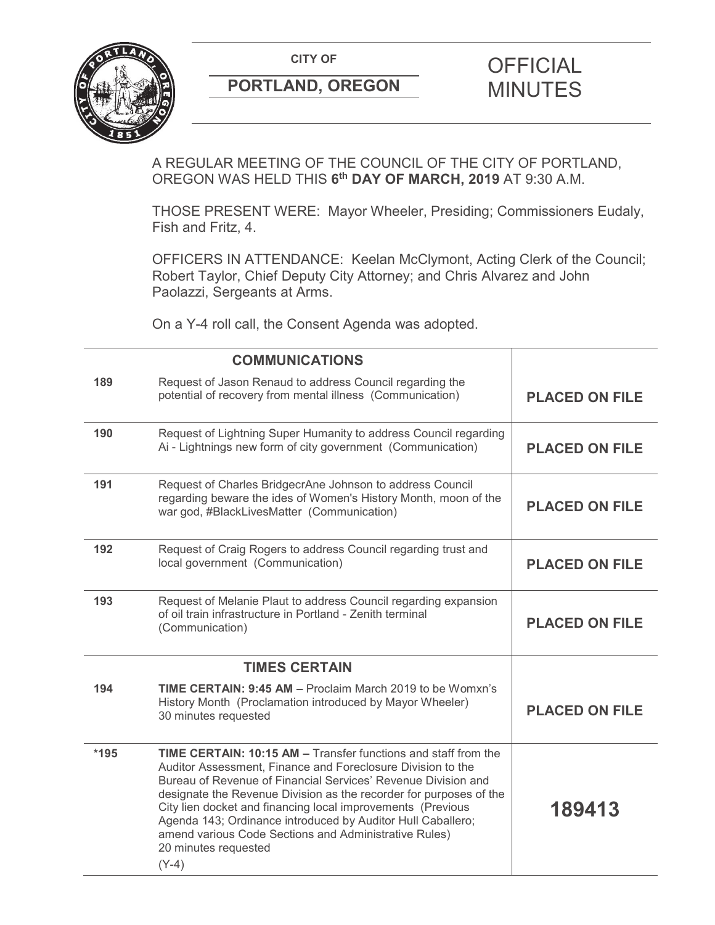**CITY OF CITY OF STRIPS OF FICIAL** 



# **PORTLAND, OREGON MINUTES**

# A REGULAR MEETING OF THE COUNCIL OF THE CITY OF PORTLAND, OREGON WAS HELD THIS **6th DAY OF MARCH, 2019** AT 9:30 A.M.

THOSE PRESENT WERE: Mayor Wheeler, Presiding; Commissioners Eudaly, Fish and Fritz, 4.

OFFICERS IN ATTENDANCE: Keelan McClymont, Acting Clerk of the Council; Robert Taylor, Chief Deputy City Attorney; and Chris Alvarez and John Paolazzi, Sergeants at Arms.

On a Y-4 roll call, the Consent Agenda was adopted.

|      | <b>COMMUNICATIONS</b>                                                                                                                                                                                                                                                                                                                                                                                                                                                                                 |                       |
|------|-------------------------------------------------------------------------------------------------------------------------------------------------------------------------------------------------------------------------------------------------------------------------------------------------------------------------------------------------------------------------------------------------------------------------------------------------------------------------------------------------------|-----------------------|
| 189  | Request of Jason Renaud to address Council regarding the<br>potential of recovery from mental illness (Communication)                                                                                                                                                                                                                                                                                                                                                                                 | <b>PLACED ON FILE</b> |
| 190  | Request of Lightning Super Humanity to address Council regarding<br>Ai - Lightnings new form of city government (Communication)                                                                                                                                                                                                                                                                                                                                                                       | <b>PLACED ON FILE</b> |
| 191  | Request of Charles BridgecrAne Johnson to address Council<br>regarding beware the ides of Women's History Month, moon of the<br>war god, #BlackLivesMatter (Communication)                                                                                                                                                                                                                                                                                                                            | <b>PLACED ON FILE</b> |
| 192  | Request of Craig Rogers to address Council regarding trust and<br>local government (Communication)                                                                                                                                                                                                                                                                                                                                                                                                    | <b>PLACED ON FILE</b> |
| 193  | Request of Melanie Plaut to address Council regarding expansion<br>of oil train infrastructure in Portland - Zenith terminal<br>(Communication)                                                                                                                                                                                                                                                                                                                                                       | <b>PLACED ON FILE</b> |
|      | <b>TIMES CERTAIN</b>                                                                                                                                                                                                                                                                                                                                                                                                                                                                                  |                       |
| 194  | TIME CERTAIN: 9:45 AM - Proclaim March 2019 to be Womxn's<br>History Month (Proclamation introduced by Mayor Wheeler)<br>30 minutes requested                                                                                                                                                                                                                                                                                                                                                         | <b>PLACED ON FILE</b> |
| *195 | <b>TIME CERTAIN: 10:15 AM - Transfer functions and staff from the</b><br>Auditor Assessment, Finance and Foreclosure Division to the<br>Bureau of Revenue of Financial Services' Revenue Division and<br>designate the Revenue Division as the recorder for purposes of the<br>City lien docket and financing local improvements (Previous<br>Agenda 143; Ordinance introduced by Auditor Hull Caballero;<br>amend various Code Sections and Administrative Rules)<br>20 minutes requested<br>$(Y-4)$ | 189413                |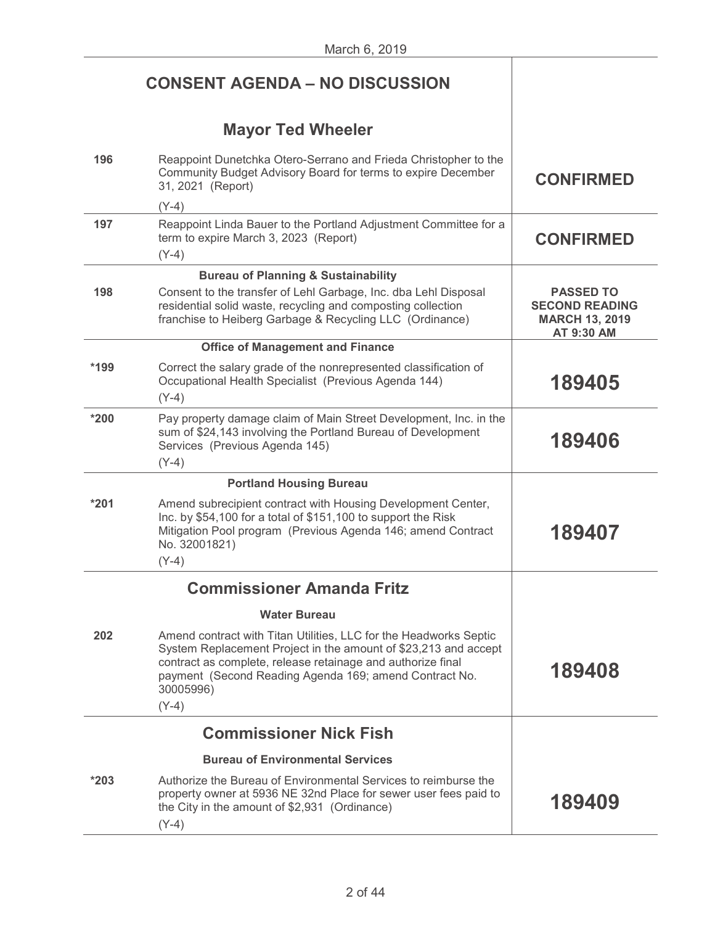|        | <b>CONSENT AGENDA - NO DISCUSSION</b>                                                                                                                                                                                                                                                 |                                                                                  |
|--------|---------------------------------------------------------------------------------------------------------------------------------------------------------------------------------------------------------------------------------------------------------------------------------------|----------------------------------------------------------------------------------|
|        | <b>Mayor Ted Wheeler</b>                                                                                                                                                                                                                                                              |                                                                                  |
| 196    | Reappoint Dunetchka Otero-Serrano and Frieda Christopher to the<br>Community Budget Advisory Board for terms to expire December<br>31, 2021 (Report)                                                                                                                                  | <b>CONFIRMED</b>                                                                 |
|        | $(Y-4)$                                                                                                                                                                                                                                                                               |                                                                                  |
| 197    | Reappoint Linda Bauer to the Portland Adjustment Committee for a<br>term to expire March 3, 2023 (Report)<br>$(Y-4)$                                                                                                                                                                  | <b>CONFIRMED</b>                                                                 |
|        | <b>Bureau of Planning &amp; Sustainability</b>                                                                                                                                                                                                                                        |                                                                                  |
| 198    | Consent to the transfer of Lehl Garbage, Inc. dba Lehl Disposal<br>residential solid waste, recycling and composting collection<br>franchise to Heiberg Garbage & Recycling LLC (Ordinance)                                                                                           | <b>PASSED TO</b><br><b>SECOND READING</b><br><b>MARCH 13, 2019</b><br>AT 9:30 AM |
|        | <b>Office of Management and Finance</b>                                                                                                                                                                                                                                               |                                                                                  |
| *199   | Correct the salary grade of the nonrepresented classification of<br>Occupational Health Specialist (Previous Agenda 144)<br>$(Y-4)$                                                                                                                                                   | 189405                                                                           |
| $*200$ | Pay property damage claim of Main Street Development, Inc. in the<br>sum of \$24,143 involving the Portland Bureau of Development<br>Services (Previous Agenda 145)<br>$(Y-4)$                                                                                                        | 189406                                                                           |
|        | <b>Portland Housing Bureau</b>                                                                                                                                                                                                                                                        |                                                                                  |
| $*201$ | Amend subrecipient contract with Housing Development Center,<br>Inc. by \$54,100 for a total of \$151,100 to support the Risk<br>Mitigation Pool program (Previous Agenda 146; amend Contract<br>No. 32001821)                                                                        | 189407                                                                           |
|        | $(Y-4)$                                                                                                                                                                                                                                                                               |                                                                                  |
|        | <b>Commissioner Amanda Fritz</b>                                                                                                                                                                                                                                                      |                                                                                  |
|        | <b>Water Bureau</b>                                                                                                                                                                                                                                                                   |                                                                                  |
| 202    | Amend contract with Titan Utilities, LLC for the Headworks Septic<br>System Replacement Project in the amount of \$23,213 and accept<br>contract as complete, release retainage and authorize final<br>payment (Second Reading Agenda 169; amend Contract No.<br>30005996)<br>$(Y-4)$ | 189408                                                                           |
|        | <b>Commissioner Nick Fish</b>                                                                                                                                                                                                                                                         |                                                                                  |
|        | <b>Bureau of Environmental Services</b>                                                                                                                                                                                                                                               |                                                                                  |
| $*203$ | Authorize the Bureau of Environmental Services to reimburse the<br>property owner at 5936 NE 32nd Place for sewer user fees paid to<br>the City in the amount of \$2,931 (Ordinance)<br>$(Y-4)$                                                                                       | 189409                                                                           |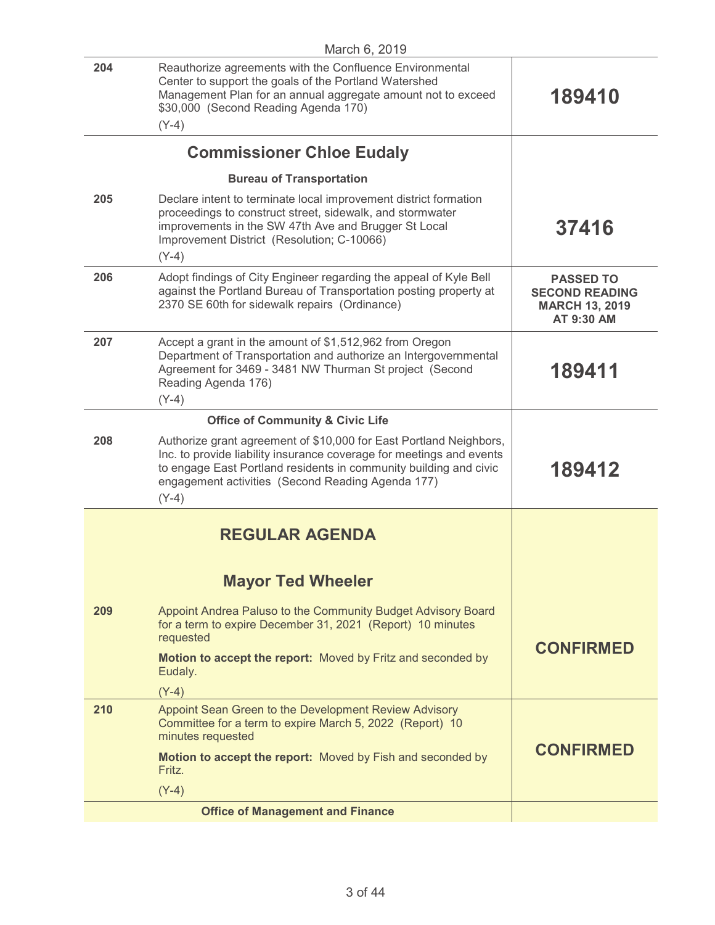| March 6, 2019 |                                                                                                                                                                                                                                                                                 |                                                                                  |
|---------------|---------------------------------------------------------------------------------------------------------------------------------------------------------------------------------------------------------------------------------------------------------------------------------|----------------------------------------------------------------------------------|
| 204           | Reauthorize agreements with the Confluence Environmental<br>Center to support the goals of the Portland Watershed<br>Management Plan for an annual aggregate amount not to exceed<br>\$30,000 (Second Reading Agenda 170)<br>$(Y-4)$                                            | 189410                                                                           |
|               |                                                                                                                                                                                                                                                                                 |                                                                                  |
|               | <b>Commissioner Chloe Eudaly</b>                                                                                                                                                                                                                                                |                                                                                  |
|               | <b>Bureau of Transportation</b>                                                                                                                                                                                                                                                 |                                                                                  |
| 205           | Declare intent to terminate local improvement district formation<br>proceedings to construct street, sidewalk, and stormwater<br>improvements in the SW 47th Ave and Brugger St Local<br>Improvement District (Resolution; C-10066)<br>$(Y-4)$                                  | 37416                                                                            |
| 206           | Adopt findings of City Engineer regarding the appeal of Kyle Bell<br>against the Portland Bureau of Transportation posting property at<br>2370 SE 60th for sidewalk repairs (Ordinance)                                                                                         | <b>PASSED TO</b><br><b>SECOND READING</b><br><b>MARCH 13, 2019</b><br>AT 9:30 AM |
| 207           | Accept a grant in the amount of \$1,512,962 from Oregon<br>Department of Transportation and authorize an Intergovernmental<br>Agreement for 3469 - 3481 NW Thurman St project (Second<br>Reading Agenda 176)<br>$(Y-4)$                                                         | 189411                                                                           |
|               | <b>Office of Community &amp; Civic Life</b>                                                                                                                                                                                                                                     |                                                                                  |
| 208           | Authorize grant agreement of \$10,000 for East Portland Neighbors,<br>Inc. to provide liability insurance coverage for meetings and events<br>to engage East Portland residents in community building and civic<br>engagement activities (Second Reading Agenda 177)<br>$(Y-4)$ | 189412                                                                           |
|               |                                                                                                                                                                                                                                                                                 |                                                                                  |
|               | <b>REGULAR AGENDA</b>                                                                                                                                                                                                                                                           |                                                                                  |
|               | <b>Mayor Ted Wheeler</b>                                                                                                                                                                                                                                                        |                                                                                  |
| 209           | Appoint Andrea Paluso to the Community Budget Advisory Board<br>for a term to expire December 31, 2021 (Report) 10 minutes<br>requested                                                                                                                                         |                                                                                  |
|               | Motion to accept the report: Moved by Fritz and seconded by<br>Eudaly.                                                                                                                                                                                                          | <b>CONFIRMED</b>                                                                 |
|               | $(Y-4)$                                                                                                                                                                                                                                                                         |                                                                                  |
| 210           | Appoint Sean Green to the Development Review Advisory<br>Committee for a term to expire March 5, 2022 (Report) 10<br>minutes requested                                                                                                                                          |                                                                                  |
|               | Motion to accept the report: Moved by Fish and seconded by<br>Fritz.                                                                                                                                                                                                            | <b>CONFIRMED</b>                                                                 |
|               | $(Y-4)$                                                                                                                                                                                                                                                                         |                                                                                  |
|               | <b>Office of Management and Finance</b>                                                                                                                                                                                                                                         |                                                                                  |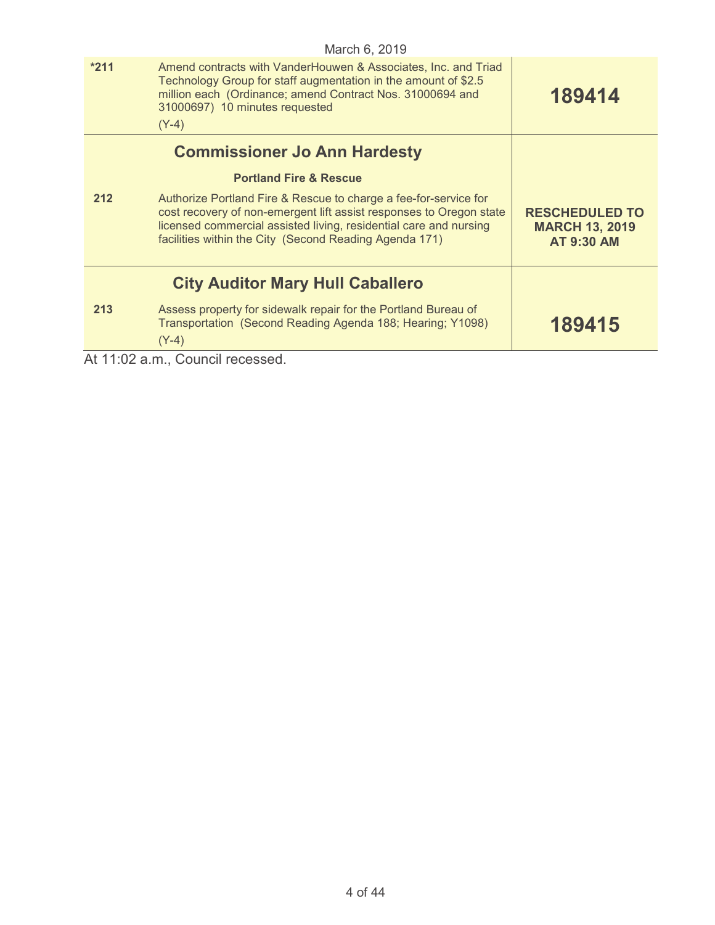|                                         | March 6, 2019                                                                                                                                                                                                                                                          |                                                                     |  |
|-----------------------------------------|------------------------------------------------------------------------------------------------------------------------------------------------------------------------------------------------------------------------------------------------------------------------|---------------------------------------------------------------------|--|
| $*211$                                  | Amend contracts with VanderHouwen & Associates, Inc. and Triad<br>Technology Group for staff augmentation in the amount of \$2.5<br>million each (Ordinance; amend Contract Nos. 31000694 and<br>31000697) 10 minutes requested<br>$(Y-4)$                             | 189414                                                              |  |
|                                         | <b>Commissioner Jo Ann Hardesty</b>                                                                                                                                                                                                                                    |                                                                     |  |
|                                         | <b>Portland Fire &amp; Rescue</b>                                                                                                                                                                                                                                      |                                                                     |  |
| 212                                     | Authorize Portland Fire & Rescue to charge a fee-for-service for<br>cost recovery of non-emergent lift assist responses to Oregon state<br>licensed commercial assisted living, residential care and nursing<br>facilities within the City (Second Reading Agenda 171) | <b>RESCHEDULED TO</b><br><b>MARCH 13, 2019</b><br><b>AT 9:30 AM</b> |  |
| <b>City Auditor Mary Hull Caballero</b> |                                                                                                                                                                                                                                                                        |                                                                     |  |
| 213                                     | Assess property for sidewalk repair for the Portland Bureau of<br>Transportation (Second Reading Agenda 188; Hearing; Y1098)<br>$(Y-4)$                                                                                                                                | 189415                                                              |  |
|                                         | At 11:02 a.m., Council recessed.                                                                                                                                                                                                                                       |                                                                     |  |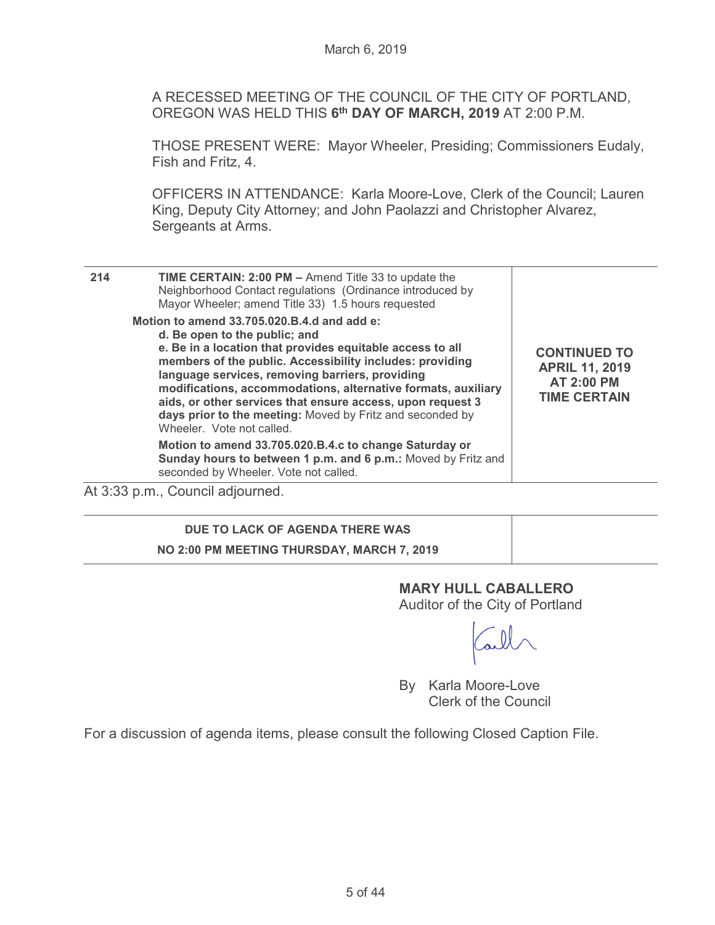A RECESSED MEETING OF THE COUNCIL OF THE CITY OF PORTLAND, OREGON WAS HELD THIS **6th DAY OF MARCH, 2019** AT 2:00 P.M.

THOSE PRESENT WERE: Mayor Wheeler, Presiding; Commissioners Eudaly, Fish and Fritz, 4.

OFFICERS IN ATTENDANCE: Karla Moore-Love, Clerk of the Council; Lauren King, Deputy City Attorney; and John Paolazzi and Christopher Alvarez, Sergeants at Arms.

| 214 | <b>TIME CERTAIN: 2:00 PM - Amend Title 33 to update the</b><br>Neighborhood Contact regulations (Ordinance introduced by<br>Mayor Wheeler; amend Title 33) 1.5 hours requested                                                                                                                                                                                                                                                                                                    |                                                                                          |
|-----|-----------------------------------------------------------------------------------------------------------------------------------------------------------------------------------------------------------------------------------------------------------------------------------------------------------------------------------------------------------------------------------------------------------------------------------------------------------------------------------|------------------------------------------------------------------------------------------|
|     | Motion to amend 33.705.020.B.4.d and add e:<br>d. Be open to the public; and<br>e. Be in a location that provides equitable access to all<br>members of the public. Accessibility includes: providing<br>language services, removing barriers, providing<br>modifications, accommodations, alternative formats, auxiliary<br>aids, or other services that ensure access, upon request 3<br>days prior to the meeting: Moved by Fritz and seconded by<br>Wheeler. Vote not called. | <b>CONTINUED TO</b><br><b>APRIL 11, 2019</b><br><b>AT 2:00 PM</b><br><b>TIME CERTAIN</b> |
|     | Motion to amend 33.705.020.B.4.c to change Saturday or<br>Sunday hours to between 1 p.m. and 6 p.m.: Moved by Fritz and<br>seconded by Wheeler. Vote not called.                                                                                                                                                                                                                                                                                                                  |                                                                                          |
|     | $A + 0.00 -  - 0$ If relative and                                                                                                                                                                                                                                                                                                                                                                                                                                                 |                                                                                          |

At 3:33 p.m., Council adjourned.

# **DUE TO LACK OF AGENDA THERE WAS NO 2:00 PM MEETING THURSDAY, MARCH 7, 2019**

## **MARY HULL CABALLERO**

Auditor of the City of Portland

By Karla Moore-Love Clerk of the Council

For a discussion of agenda items, please consult the following Closed Caption File.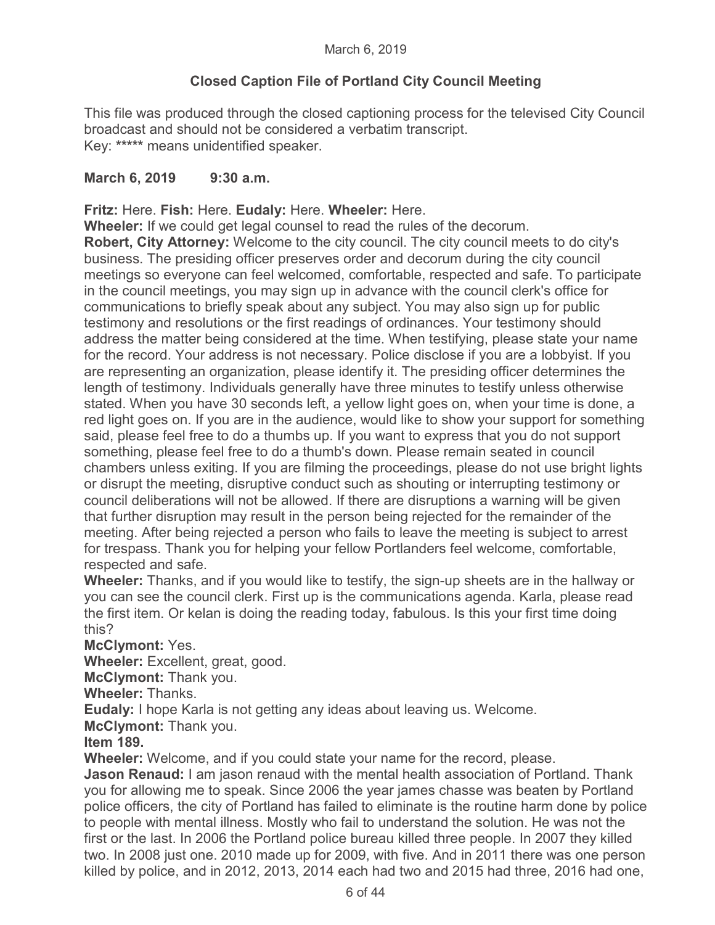# **Closed Caption File of Portland City Council Meeting**

This file was produced through the closed captioning process for the televised City Council broadcast and should not be considered a verbatim transcript. Key: **\*\*\*\*\*** means unidentified speaker.

## **March 6, 2019 9:30 a.m.**

**Fritz:** Here. **Fish:** Here. **Eudaly:** Here. **Wheeler:** Here.

**Wheeler:** If we could get legal counsel to read the rules of the decorum.

**Robert, City Attorney:** Welcome to the city council. The city council meets to do city's business. The presiding officer preserves order and decorum during the city council meetings so everyone can feel welcomed, comfortable, respected and safe. To participate in the council meetings, you may sign up in advance with the council clerk's office for communications to briefly speak about any subject. You may also sign up for public testimony and resolutions or the first readings of ordinances. Your testimony should address the matter being considered at the time. When testifying, please state your name for the record. Your address is not necessary. Police disclose if you are a lobbyist. If you are representing an organization, please identify it. The presiding officer determines the length of testimony. Individuals generally have three minutes to testify unless otherwise stated. When you have 30 seconds left, a yellow light goes on, when your time is done, a red light goes on. If you are in the audience, would like to show your support for something said, please feel free to do a thumbs up. If you want to express that you do not support something, please feel free to do a thumb's down. Please remain seated in council chambers unless exiting. If you are filming the proceedings, please do not use bright lights or disrupt the meeting, disruptive conduct such as shouting or interrupting testimony or council deliberations will not be allowed. If there are disruptions a warning will be given that further disruption may result in the person being rejected for the remainder of the meeting. After being rejected a person who fails to leave the meeting is subject to arrest for trespass. Thank you for helping your fellow Portlanders feel welcome, comfortable, respected and safe.

**Wheeler:** Thanks, and if you would like to testify, the sign-up sheets are in the hallway or you can see the council clerk. First up is the communications agenda. Karla, please read the first item. Or kelan is doing the reading today, fabulous. Is this your first time doing this?

**McClymont:** Yes.

**Wheeler:** Excellent, great, good.

**McClymont:** Thank you.

**Wheeler:** Thanks.

**Eudaly:** I hope Karla is not getting any ideas about leaving us. Welcome.

**McClymont:** Thank you.

**Item 189.** 

**Wheeler:** Welcome, and if you could state your name for the record, please.

**Jason Renaud:** I am jason renaud with the mental health association of Portland. Thank you for allowing me to speak. Since 2006 the year james chasse was beaten by Portland police officers, the city of Portland has failed to eliminate is the routine harm done by police to people with mental illness. Mostly who fail to understand the solution. He was not the first or the last. In 2006 the Portland police bureau killed three people. In 2007 they killed two. In 2008 just one. 2010 made up for 2009, with five. And in 2011 there was one person killed by police, and in 2012, 2013, 2014 each had two and 2015 had three, 2016 had one,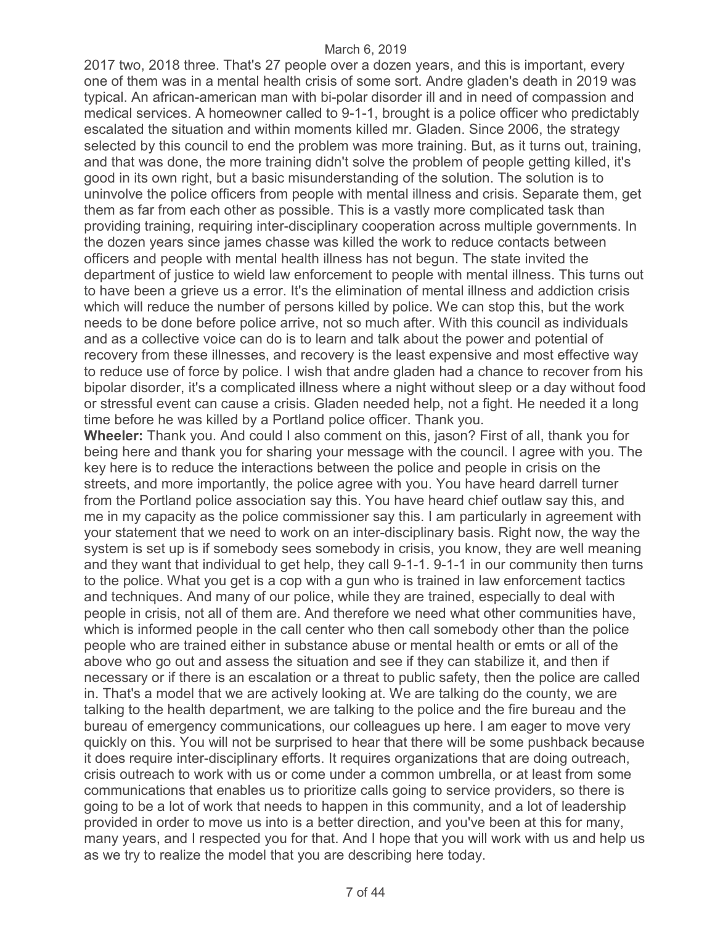2017 two, 2018 three. That's 27 people over a dozen years, and this is important, every one of them was in a mental health crisis of some sort. Andre gladen's death in 2019 was typical. An african-american man with bi-polar disorder ill and in need of compassion and medical services. A homeowner called to 9-1-1, brought is a police officer who predictably escalated the situation and within moments killed mr. Gladen. Since 2006, the strategy selected by this council to end the problem was more training. But, as it turns out, training, and that was done, the more training didn't solve the problem of people getting killed, it's good in its own right, but a basic misunderstanding of the solution. The solution is to uninvolve the police officers from people with mental illness and crisis. Separate them, get them as far from each other as possible. This is a vastly more complicated task than providing training, requiring inter-disciplinary cooperation across multiple governments. In the dozen years since james chasse was killed the work to reduce contacts between officers and people with mental health illness has not begun. The state invited the department of justice to wield law enforcement to people with mental illness. This turns out to have been a grieve us a error. It's the elimination of mental illness and addiction crisis which will reduce the number of persons killed by police. We can stop this, but the work needs to be done before police arrive, not so much after. With this council as individuals and as a collective voice can do is to learn and talk about the power and potential of recovery from these illnesses, and recovery is the least expensive and most effective way to reduce use of force by police. I wish that andre gladen had a chance to recover from his bipolar disorder, it's a complicated illness where a night without sleep or a day without food or stressful event can cause a crisis. Gladen needed help, not a fight. He needed it a long time before he was killed by a Portland police officer. Thank you.

**Wheeler:** Thank you. And could I also comment on this, jason? First of all, thank you for being here and thank you for sharing your message with the council. I agree with you. The key here is to reduce the interactions between the police and people in crisis on the streets, and more importantly, the police agree with you. You have heard darrell turner from the Portland police association say this. You have heard chief outlaw say this, and me in my capacity as the police commissioner say this. I am particularly in agreement with your statement that we need to work on an inter-disciplinary basis. Right now, the way the system is set up is if somebody sees somebody in crisis, you know, they are well meaning and they want that individual to get help, they call 9-1-1. 9-1-1 in our community then turns to the police. What you get is a cop with a gun who is trained in law enforcement tactics and techniques. And many of our police, while they are trained, especially to deal with people in crisis, not all of them are. And therefore we need what other communities have, which is informed people in the call center who then call somebody other than the police people who are trained either in substance abuse or mental health or emts or all of the above who go out and assess the situation and see if they can stabilize it, and then if necessary or if there is an escalation or a threat to public safety, then the police are called in. That's a model that we are actively looking at. We are talking do the county, we are talking to the health department, we are talking to the police and the fire bureau and the bureau of emergency communications, our colleagues up here. I am eager to move very quickly on this. You will not be surprised to hear that there will be some pushback because it does require inter-disciplinary efforts. It requires organizations that are doing outreach, crisis outreach to work with us or come under a common umbrella, or at least from some communications that enables us to prioritize calls going to service providers, so there is going to be a lot of work that needs to happen in this community, and a lot of leadership provided in order to move us into is a better direction, and you've been at this for many, many years, and I respected you for that. And I hope that you will work with us and help us as we try to realize the model that you are describing here today.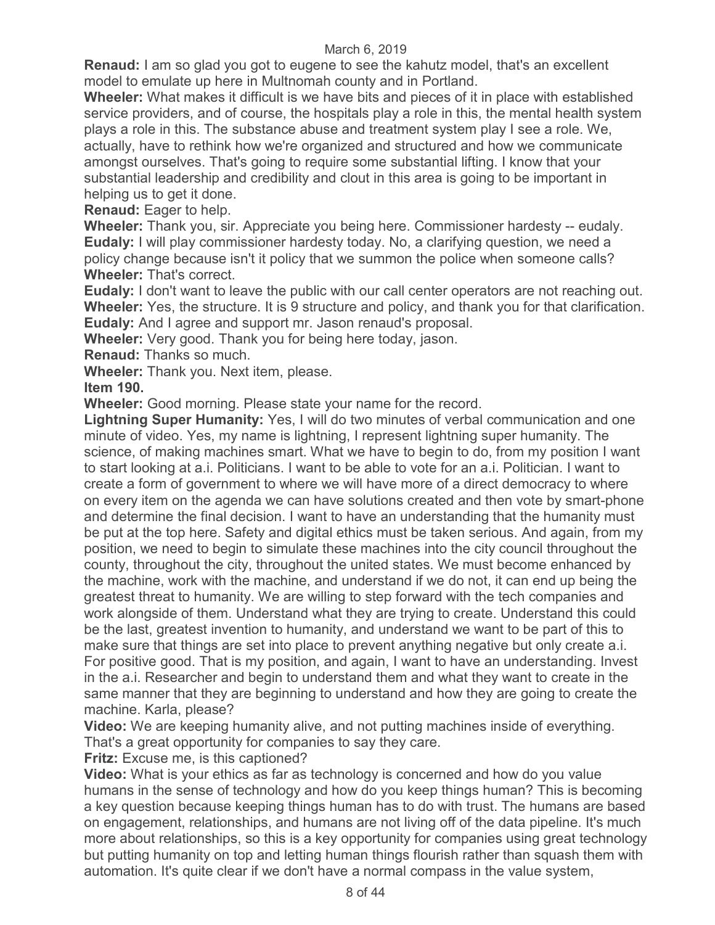**Renaud:** I am so glad you got to eugene to see the kahutz model, that's an excellent model to emulate up here in Multnomah county and in Portland.

**Wheeler:** What makes it difficult is we have bits and pieces of it in place with established service providers, and of course, the hospitals play a role in this, the mental health system plays a role in this. The substance abuse and treatment system play I see a role. We, actually, have to rethink how we're organized and structured and how we communicate amongst ourselves. That's going to require some substantial lifting. I know that your substantial leadership and credibility and clout in this area is going to be important in helping us to get it done.

**Renaud:** Eager to help.

**Wheeler:** Thank you, sir. Appreciate you being here. Commissioner hardesty -- eudaly. **Eudaly:** I will play commissioner hardesty today. No, a clarifying question, we need a policy change because isn't it policy that we summon the police when someone calls? **Wheeler:** That's correct.

**Eudaly:** I don't want to leave the public with our call center operators are not reaching out. **Wheeler:** Yes, the structure. It is 9 structure and policy, and thank you for that clarification. **Eudaly:** And I agree and support mr. Jason renaud's proposal.

**Wheeler:** Very good. Thank you for being here today, jason.

**Renaud:** Thanks so much.

**Wheeler:** Thank you. Next item, please.

**Item 190.** 

**Wheeler:** Good morning. Please state your name for the record.

**Lightning Super Humanity:** Yes, I will do two minutes of verbal communication and one minute of video. Yes, my name is lightning, I represent lightning super humanity. The science, of making machines smart. What we have to begin to do, from my position I want to start looking at a.i. Politicians. I want to be able to vote for an a.i. Politician. I want to create a form of government to where we will have more of a direct democracy to where on every item on the agenda we can have solutions created and then vote by smart-phone and determine the final decision. I want to have an understanding that the humanity must be put at the top here. Safety and digital ethics must be taken serious. And again, from my position, we need to begin to simulate these machines into the city council throughout the county, throughout the city, throughout the united states. We must become enhanced by the machine, work with the machine, and understand if we do not, it can end up being the greatest threat to humanity. We are willing to step forward with the tech companies and work alongside of them. Understand what they are trying to create. Understand this could be the last, greatest invention to humanity, and understand we want to be part of this to make sure that things are set into place to prevent anything negative but only create a.i. For positive good. That is my position, and again, I want to have an understanding. Invest in the a.i. Researcher and begin to understand them and what they want to create in the same manner that they are beginning to understand and how they are going to create the machine. Karla, please?

**Video:** We are keeping humanity alive, and not putting machines inside of everything. That's a great opportunity for companies to say they care.

**Fritz:** Excuse me, is this captioned?

**Video:** What is your ethics as far as technology is concerned and how do you value humans in the sense of technology and how do you keep things human? This is becoming a key question because keeping things human has to do with trust. The humans are based on engagement, relationships, and humans are not living off of the data pipeline. It's much more about relationships, so this is a key opportunity for companies using great technology but putting humanity on top and letting human things flourish rather than squash them with automation. It's quite clear if we don't have a normal compass in the value system,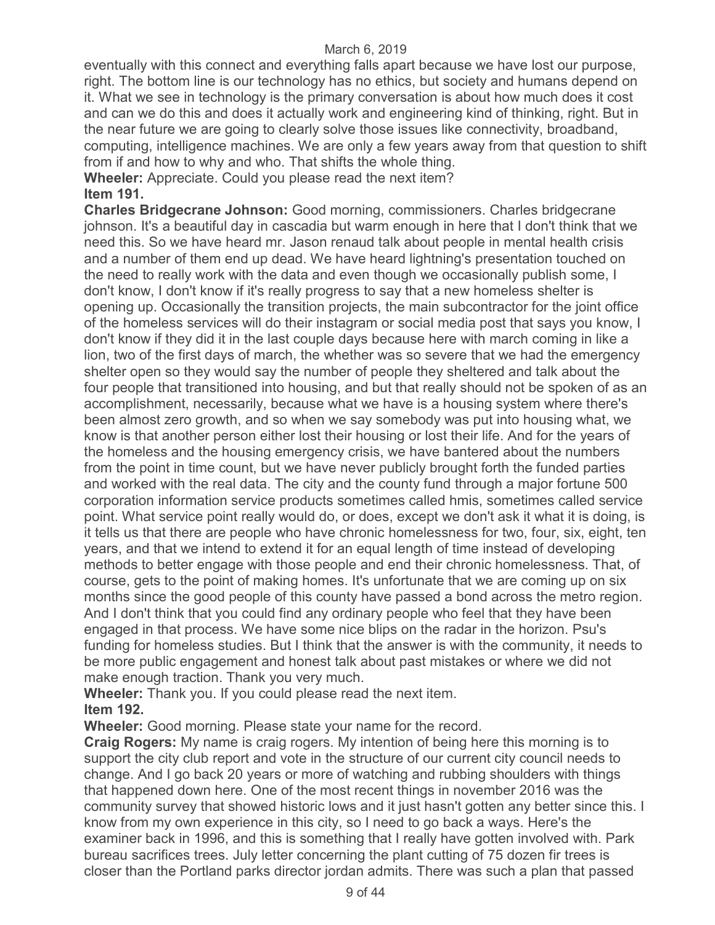eventually with this connect and everything falls apart because we have lost our purpose, right. The bottom line is our technology has no ethics, but society and humans depend on it. What we see in technology is the primary conversation is about how much does it cost and can we do this and does it actually work and engineering kind of thinking, right. But in the near future we are going to clearly solve those issues like connectivity, broadband, computing, intelligence machines. We are only a few years away from that question to shift from if and how to why and who. That shifts the whole thing.

**Wheeler:** Appreciate. Could you please read the next item? **Item 191.** 

**Charles Bridgecrane Johnson:** Good morning, commissioners. Charles bridgecrane johnson. It's a beautiful day in cascadia but warm enough in here that I don't think that we need this. So we have heard mr. Jason renaud talk about people in mental health crisis and a number of them end up dead. We have heard lightning's presentation touched on the need to really work with the data and even though we occasionally publish some, I don't know, I don't know if it's really progress to say that a new homeless shelter is opening up. Occasionally the transition projects, the main subcontractor for the joint office of the homeless services will do their instagram or social media post that says you know, I don't know if they did it in the last couple days because here with march coming in like a lion, two of the first days of march, the whether was so severe that we had the emergency shelter open so they would say the number of people they sheltered and talk about the four people that transitioned into housing, and but that really should not be spoken of as an accomplishment, necessarily, because what we have is a housing system where there's been almost zero growth, and so when we say somebody was put into housing what, we know is that another person either lost their housing or lost their life. And for the years of the homeless and the housing emergency crisis, we have bantered about the numbers from the point in time count, but we have never publicly brought forth the funded parties and worked with the real data. The city and the county fund through a major fortune 500 corporation information service products sometimes called hmis, sometimes called service point. What service point really would do, or does, except we don't ask it what it is doing, is it tells us that there are people who have chronic homelessness for two, four, six, eight, ten years, and that we intend to extend it for an equal length of time instead of developing methods to better engage with those people and end their chronic homelessness. That, of course, gets to the point of making homes. It's unfortunate that we are coming up on six months since the good people of this county have passed a bond across the metro region. And I don't think that you could find any ordinary people who feel that they have been engaged in that process. We have some nice blips on the radar in the horizon. Psu's funding for homeless studies. But I think that the answer is with the community, it needs to be more public engagement and honest talk about past mistakes or where we did not make enough traction. Thank you very much.

**Wheeler:** Thank you. If you could please read the next item. **Item 192.** 

**Wheeler:** Good morning. Please state your name for the record.

**Craig Rogers:** My name is craig rogers. My intention of being here this morning is to support the city club report and vote in the structure of our current city council needs to change. And I go back 20 years or more of watching and rubbing shoulders with things that happened down here. One of the most recent things in november 2016 was the community survey that showed historic lows and it just hasn't gotten any better since this. I know from my own experience in this city, so I need to go back a ways. Here's the examiner back in 1996, and this is something that I really have gotten involved with. Park bureau sacrifices trees. July letter concerning the plant cutting of 75 dozen fir trees is closer than the Portland parks director jordan admits. There was such a plan that passed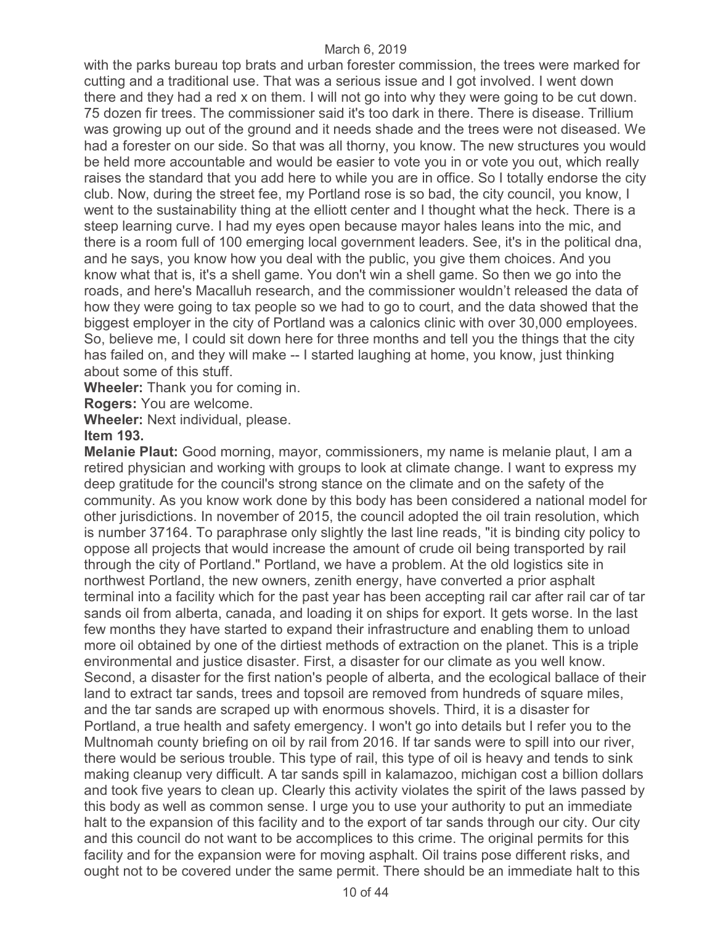with the parks bureau top brats and urban forester commission, the trees were marked for cutting and a traditional use. That was a serious issue and I got involved. I went down there and they had a red x on them. I will not go into why they were going to be cut down. 75 dozen fir trees. The commissioner said it's too dark in there. There is disease. Trillium was growing up out of the ground and it needs shade and the trees were not diseased. We had a forester on our side. So that was all thorny, you know. The new structures you would be held more accountable and would be easier to vote you in or vote you out, which really raises the standard that you add here to while you are in office. So I totally endorse the city club. Now, during the street fee, my Portland rose is so bad, the city council, you know, I went to the sustainability thing at the elliott center and I thought what the heck. There is a steep learning curve. I had my eyes open because mayor hales leans into the mic, and there is a room full of 100 emerging local government leaders. See, it's in the political dna, and he says, you know how you deal with the public, you give them choices. And you know what that is, it's a shell game. You don't win a shell game. So then we go into the roads, and here's Macalluh research, and the commissioner wouldn't released the data of how they were going to tax people so we had to go to court, and the data showed that the biggest employer in the city of Portland was a calonics clinic with over 30,000 employees. So, believe me, I could sit down here for three months and tell you the things that the city has failed on, and they will make -- I started laughing at home, you know, just thinking about some of this stuff.

**Wheeler:** Thank you for coming in.

**Rogers:** You are welcome.

**Wheeler:** Next individual, please.

### **Item 193.**

**Melanie Plaut:** Good morning, mayor, commissioners, my name is melanie plaut, I am a retired physician and working with groups to look at climate change. I want to express my deep gratitude for the council's strong stance on the climate and on the safety of the community. As you know work done by this body has been considered a national model for other jurisdictions. In november of 2015, the council adopted the oil train resolution, which is number 37164. To paraphrase only slightly the last line reads, "it is binding city policy to oppose all projects that would increase the amount of crude oil being transported by rail through the city of Portland." Portland, we have a problem. At the old logistics site in northwest Portland, the new owners, zenith energy, have converted a prior asphalt terminal into a facility which for the past year has been accepting rail car after rail car of tar sands oil from alberta, canada, and loading it on ships for export. It gets worse. In the last few months they have started to expand their infrastructure and enabling them to unload more oil obtained by one of the dirtiest methods of extraction on the planet. This is a triple environmental and justice disaster. First, a disaster for our climate as you well know. Second, a disaster for the first nation's people of alberta, and the ecological ballace of their land to extract tar sands, trees and topsoil are removed from hundreds of square miles, and the tar sands are scraped up with enormous shovels. Third, it is a disaster for Portland, a true health and safety emergency. I won't go into details but I refer you to the Multnomah county briefing on oil by rail from 2016. If tar sands were to spill into our river, there would be serious trouble. This type of rail, this type of oil is heavy and tends to sink making cleanup very difficult. A tar sands spill in kalamazoo, michigan cost a billion dollars and took five years to clean up. Clearly this activity violates the spirit of the laws passed by this body as well as common sense. I urge you to use your authority to put an immediate halt to the expansion of this facility and to the export of tar sands through our city. Our city and this council do not want to be accomplices to this crime. The original permits for this facility and for the expansion were for moving asphalt. Oil trains pose different risks, and ought not to be covered under the same permit. There should be an immediate halt to this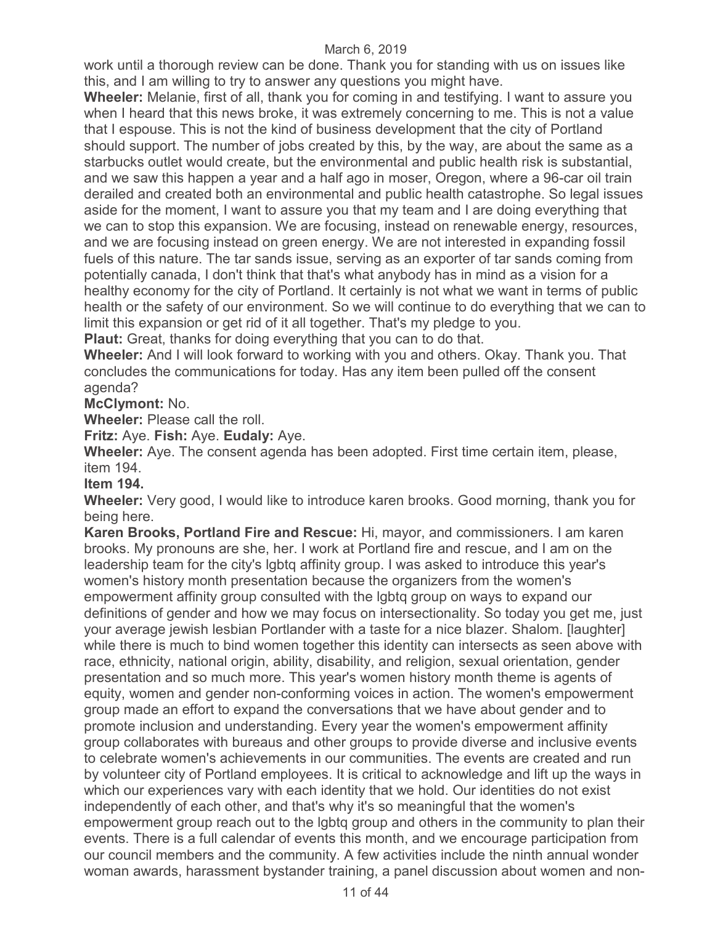work until a thorough review can be done. Thank you for standing with us on issues like this, and I am willing to try to answer any questions you might have.

**Wheeler:** Melanie, first of all, thank you for coming in and testifying. I want to assure you when I heard that this news broke, it was extremely concerning to me. This is not a value that I espouse. This is not the kind of business development that the city of Portland should support. The number of jobs created by this, by the way, are about the same as a starbucks outlet would create, but the environmental and public health risk is substantial, and we saw this happen a year and a half ago in moser, Oregon, where a 96-car oil train derailed and created both an environmental and public health catastrophe. So legal issues aside for the moment, I want to assure you that my team and I are doing everything that we can to stop this expansion. We are focusing, instead on renewable energy, resources, and we are focusing instead on green energy. We are not interested in expanding fossil fuels of this nature. The tar sands issue, serving as an exporter of tar sands coming from potentially canada, I don't think that that's what anybody has in mind as a vision for a healthy economy for the city of Portland. It certainly is not what we want in terms of public health or the safety of our environment. So we will continue to do everything that we can to limit this expansion or get rid of it all together. That's my pledge to you.

**Plaut:** Great, thanks for doing everything that you can to do that.

**Wheeler:** And I will look forward to working with you and others. Okay. Thank you. That concludes the communications for today. Has any item been pulled off the consent agenda?

**McClymont:** No.

**Wheeler:** Please call the roll.

**Fritz:** Aye. **Fish:** Aye. **Eudaly:** Aye.

**Wheeler:** Aye. The consent agenda has been adopted. First time certain item, please, item 194.

**Item 194.** 

**Wheeler:** Very good, I would like to introduce karen brooks. Good morning, thank you for being here.

**Karen Brooks, Portland Fire and Rescue:** Hi, mayor, and commissioners. I am karen brooks. My pronouns are she, her. I work at Portland fire and rescue, and I am on the leadership team for the city's lgbtq affinity group. I was asked to introduce this year's women's history month presentation because the organizers from the women's empowerment affinity group consulted with the lgbtq group on ways to expand our definitions of gender and how we may focus on intersectionality. So today you get me, just your average jewish lesbian Portlander with a taste for a nice blazer. Shalom. [laughter] while there is much to bind women together this identity can intersects as seen above with race, ethnicity, national origin, ability, disability, and religion, sexual orientation, gender presentation and so much more. This year's women history month theme is agents of equity, women and gender non-conforming voices in action. The women's empowerment group made an effort to expand the conversations that we have about gender and to promote inclusion and understanding. Every year the women's empowerment affinity group collaborates with bureaus and other groups to provide diverse and inclusive events to celebrate women's achievements in our communities. The events are created and run by volunteer city of Portland employees. It is critical to acknowledge and lift up the ways in which our experiences vary with each identity that we hold. Our identities do not exist independently of each other, and that's why it's so meaningful that the women's empowerment group reach out to the lgbtq group and others in the community to plan their events. There is a full calendar of events this month, and we encourage participation from our council members and the community. A few activities include the ninth annual wonder woman awards, harassment bystander training, a panel discussion about women and non-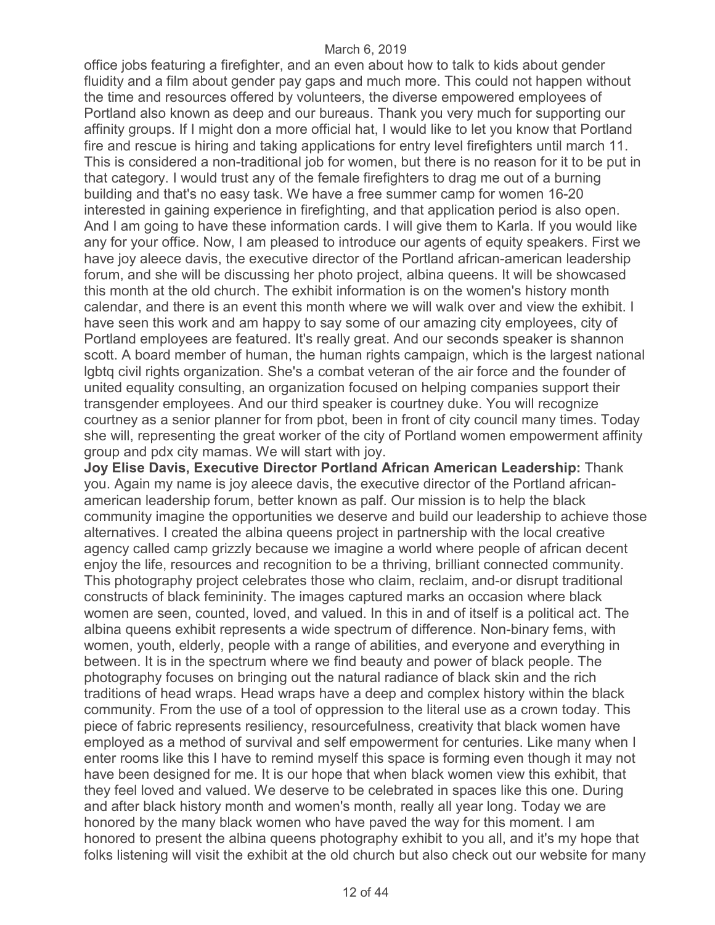office jobs featuring a firefighter, and an even about how to talk to kids about gender fluidity and a film about gender pay gaps and much more. This could not happen without the time and resources offered by volunteers, the diverse empowered employees of Portland also known as deep and our bureaus. Thank you very much for supporting our affinity groups. If I might don a more official hat, I would like to let you know that Portland fire and rescue is hiring and taking applications for entry level firefighters until march 11. This is considered a non-traditional job for women, but there is no reason for it to be put in that category. I would trust any of the female firefighters to drag me out of a burning building and that's no easy task. We have a free summer camp for women 16-20 interested in gaining experience in firefighting, and that application period is also open. And I am going to have these information cards. I will give them to Karla. If you would like any for your office. Now, I am pleased to introduce our agents of equity speakers. First we have joy aleece davis, the executive director of the Portland african-american leadership forum, and she will be discussing her photo project, albina queens. It will be showcased this month at the old church. The exhibit information is on the women's history month calendar, and there is an event this month where we will walk over and view the exhibit. I have seen this work and am happy to say some of our amazing city employees, city of Portland employees are featured. It's really great. And our seconds speaker is shannon scott. A board member of human, the human rights campaign, which is the largest national lgbtq civil rights organization. She's a combat veteran of the air force and the founder of united equality consulting, an organization focused on helping companies support their transgender employees. And our third speaker is courtney duke. You will recognize courtney as a senior planner for from pbot, been in front of city council many times. Today she will, representing the great worker of the city of Portland women empowerment affinity group and pdx city mamas. We will start with joy.

**Joy Elise Davis, Executive Director Portland African American Leadership:** Thank you. Again my name is joy aleece davis, the executive director of the Portland africanamerican leadership forum, better known as palf. Our mission is to help the black community imagine the opportunities we deserve and build our leadership to achieve those alternatives. I created the albina queens project in partnership with the local creative agency called camp grizzly because we imagine a world where people of african decent enjoy the life, resources and recognition to be a thriving, brilliant connected community. This photography project celebrates those who claim, reclaim, and-or disrupt traditional constructs of black femininity. The images captured marks an occasion where black women are seen, counted, loved, and valued. In this in and of itself is a political act. The albina queens exhibit represents a wide spectrum of difference. Non-binary fems, with women, youth, elderly, people with a range of abilities, and everyone and everything in between. It is in the spectrum where we find beauty and power of black people. The photography focuses on bringing out the natural radiance of black skin and the rich traditions of head wraps. Head wraps have a deep and complex history within the black community. From the use of a tool of oppression to the literal use as a crown today. This piece of fabric represents resiliency, resourcefulness, creativity that black women have employed as a method of survival and self empowerment for centuries. Like many when I enter rooms like this I have to remind myself this space is forming even though it may not have been designed for me. It is our hope that when black women view this exhibit, that they feel loved and valued. We deserve to be celebrated in spaces like this one. During and after black history month and women's month, really all year long. Today we are honored by the many black women who have paved the way for this moment. I am honored to present the albina queens photography exhibit to you all, and it's my hope that folks listening will visit the exhibit at the old church but also check out our website for many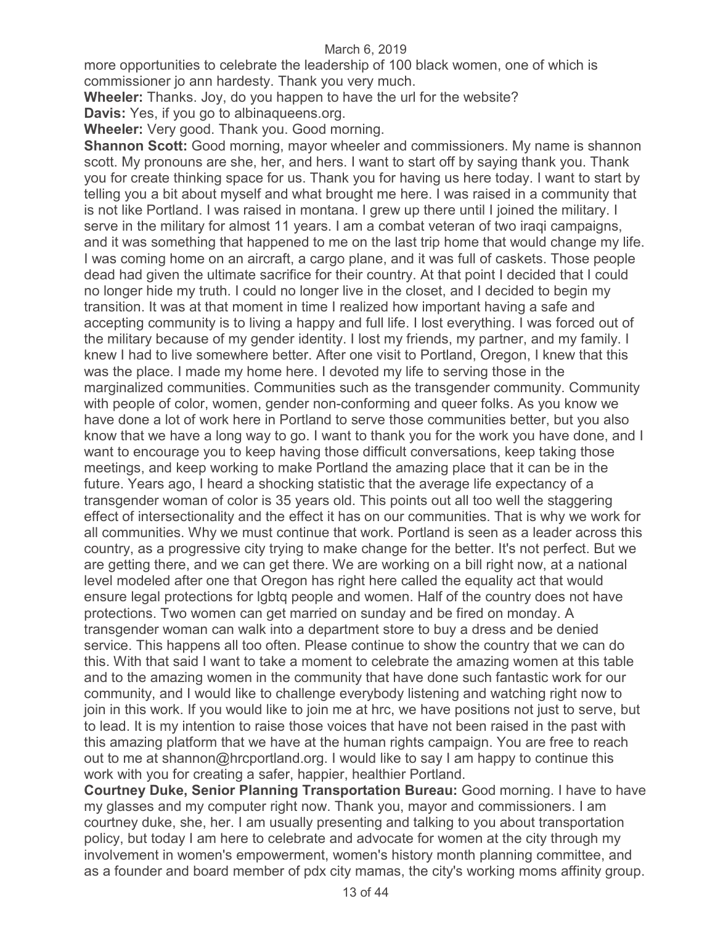more opportunities to celebrate the leadership of 100 black women, one of which is commissioner jo ann hardesty. Thank you very much.

**Wheeler:** Thanks. Joy, do you happen to have the url for the website?

**Davis:** Yes, if you go to albinaqueens.org.

**Wheeler:** Very good. Thank you. Good morning.

**Shannon Scott:** Good morning, mayor wheeler and commissioners. My name is shannon scott. My pronouns are she, her, and hers. I want to start off by saying thank you. Thank you for create thinking space for us. Thank you for having us here today. I want to start by telling you a bit about myself and what brought me here. I was raised in a community that is not like Portland. I was raised in montana. I grew up there until I joined the military. I serve in the military for almost 11 years. I am a combat veteran of two iraqi campaigns, and it was something that happened to me on the last trip home that would change my life. I was coming home on an aircraft, a cargo plane, and it was full of caskets. Those people dead had given the ultimate sacrifice for their country. At that point I decided that I could no longer hide my truth. I could no longer live in the closet, and I decided to begin my transition. It was at that moment in time I realized how important having a safe and accepting community is to living a happy and full life. I lost everything. I was forced out of the military because of my gender identity. I lost my friends, my partner, and my family. I knew I had to live somewhere better. After one visit to Portland, Oregon, I knew that this was the place. I made my home here. I devoted my life to serving those in the marginalized communities. Communities such as the transgender community. Community with people of color, women, gender non-conforming and queer folks. As you know we have done a lot of work here in Portland to serve those communities better, but you also know that we have a long way to go. I want to thank you for the work you have done, and I want to encourage you to keep having those difficult conversations, keep taking those meetings, and keep working to make Portland the amazing place that it can be in the future. Years ago, I heard a shocking statistic that the average life expectancy of a transgender woman of color is 35 years old. This points out all too well the staggering effect of intersectionality and the effect it has on our communities. That is why we work for all communities. Why we must continue that work. Portland is seen as a leader across this country, as a progressive city trying to make change for the better. It's not perfect. But we are getting there, and we can get there. We are working on a bill right now, at a national level modeled after one that Oregon has right here called the equality act that would ensure legal protections for lgbtq people and women. Half of the country does not have protections. Two women can get married on sunday and be fired on monday. A transgender woman can walk into a department store to buy a dress and be denied service. This happens all too often. Please continue to show the country that we can do this. With that said I want to take a moment to celebrate the amazing women at this table and to the amazing women in the community that have done such fantastic work for our community, and I would like to challenge everybody listening and watching right now to join in this work. If you would like to join me at hrc, we have positions not just to serve, but to lead. It is my intention to raise those voices that have not been raised in the past with this amazing platform that we have at the human rights campaign. You are free to reach out to me at shannon@hrcportland.org. I would like to say I am happy to continue this work with you for creating a safer, happier, healthier Portland.

**Courtney Duke, Senior Planning Transportation Bureau:** Good morning. I have to have my glasses and my computer right now. Thank you, mayor and commissioners. I am courtney duke, she, her. I am usually presenting and talking to you about transportation policy, but today I am here to celebrate and advocate for women at the city through my involvement in women's empowerment, women's history month planning committee, and as a founder and board member of pdx city mamas, the city's working moms affinity group.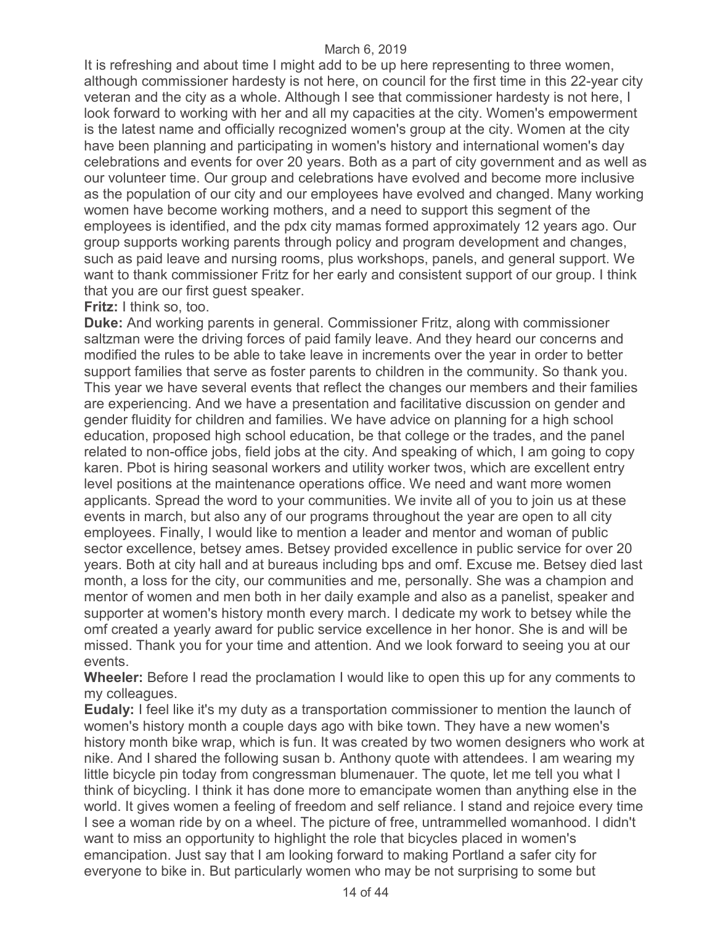It is refreshing and about time I might add to be up here representing to three women, although commissioner hardesty is not here, on council for the first time in this 22-year city veteran and the city as a whole. Although I see that commissioner hardesty is not here, I look forward to working with her and all my capacities at the city. Women's empowerment is the latest name and officially recognized women's group at the city. Women at the city have been planning and participating in women's history and international women's day celebrations and events for over 20 years. Both as a part of city government and as well as our volunteer time. Our group and celebrations have evolved and become more inclusive as the population of our city and our employees have evolved and changed. Many working women have become working mothers, and a need to support this segment of the employees is identified, and the pdx city mamas formed approximately 12 years ago. Our group supports working parents through policy and program development and changes, such as paid leave and nursing rooms, plus workshops, panels, and general support. We want to thank commissioner Fritz for her early and consistent support of our group. I think that you are our first guest speaker.

## **Fritz:** I think so, too.

**Duke:** And working parents in general. Commissioner Fritz, along with commissioner saltzman were the driving forces of paid family leave. And they heard our concerns and modified the rules to be able to take leave in increments over the year in order to better support families that serve as foster parents to children in the community. So thank you. This year we have several events that reflect the changes our members and their families are experiencing. And we have a presentation and facilitative discussion on gender and gender fluidity for children and families. We have advice on planning for a high school education, proposed high school education, be that college or the trades, and the panel related to non-office jobs, field jobs at the city. And speaking of which, I am going to copy karen. Pbot is hiring seasonal workers and utility worker twos, which are excellent entry level positions at the maintenance operations office. We need and want more women applicants. Spread the word to your communities. We invite all of you to join us at these events in march, but also any of our programs throughout the year are open to all city employees. Finally, I would like to mention a leader and mentor and woman of public sector excellence, betsey ames. Betsey provided excellence in public service for over 20 years. Both at city hall and at bureaus including bps and omf. Excuse me. Betsey died last month, a loss for the city, our communities and me, personally. She was a champion and mentor of women and men both in her daily example and also as a panelist, speaker and supporter at women's history month every march. I dedicate my work to betsey while the omf created a yearly award for public service excellence in her honor. She is and will be missed. Thank you for your time and attention. And we look forward to seeing you at our events.

**Wheeler:** Before I read the proclamation I would like to open this up for any comments to my colleagues.

**Eudaly:** I feel like it's my duty as a transportation commissioner to mention the launch of women's history month a couple days ago with bike town. They have a new women's history month bike wrap, which is fun. It was created by two women designers who work at nike. And I shared the following susan b. Anthony quote with attendees. I am wearing my little bicycle pin today from congressman blumenauer. The quote, let me tell you what I think of bicycling. I think it has done more to emancipate women than anything else in the world. It gives women a feeling of freedom and self reliance. I stand and rejoice every time I see a woman ride by on a wheel. The picture of free, untrammelled womanhood. I didn't want to miss an opportunity to highlight the role that bicycles placed in women's emancipation. Just say that I am looking forward to making Portland a safer city for everyone to bike in. But particularly women who may be not surprising to some but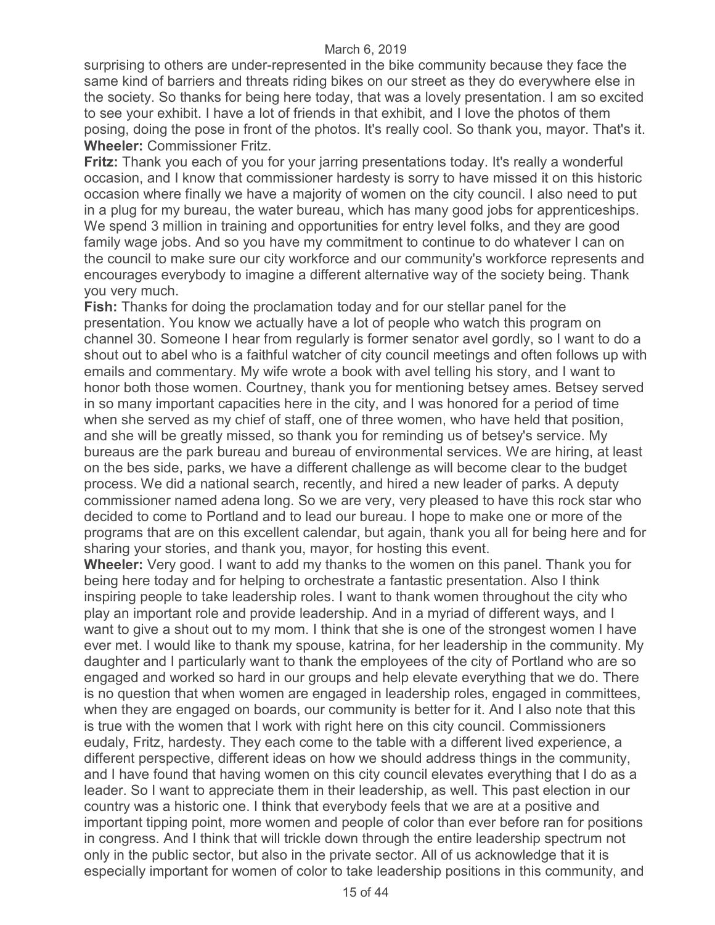surprising to others are under-represented in the bike community because they face the same kind of barriers and threats riding bikes on our street as they do everywhere else in the society. So thanks for being here today, that was a lovely presentation. I am so excited to see your exhibit. I have a lot of friends in that exhibit, and I love the photos of them posing, doing the pose in front of the photos. It's really cool. So thank you, mayor. That's it. **Wheeler:** Commissioner Fritz.

**Fritz:** Thank you each of you for your jarring presentations today. It's really a wonderful occasion, and I know that commissioner hardesty is sorry to have missed it on this historic occasion where finally we have a majority of women on the city council. I also need to put in a plug for my bureau, the water bureau, which has many good jobs for apprenticeships. We spend 3 million in training and opportunities for entry level folks, and they are good family wage jobs. And so you have my commitment to continue to do whatever I can on the council to make sure our city workforce and our community's workforce represents and encourages everybody to imagine a different alternative way of the society being. Thank you very much.

**Fish:** Thanks for doing the proclamation today and for our stellar panel for the presentation. You know we actually have a lot of people who watch this program on channel 30. Someone I hear from regularly is former senator avel gordly, so I want to do a shout out to abel who is a faithful watcher of city council meetings and often follows up with emails and commentary. My wife wrote a book with avel telling his story, and I want to honor both those women. Courtney, thank you for mentioning betsey ames. Betsey served in so many important capacities here in the city, and I was honored for a period of time when she served as my chief of staff, one of three women, who have held that position, and she will be greatly missed, so thank you for reminding us of betsey's service. My bureaus are the park bureau and bureau of environmental services. We are hiring, at least on the bes side, parks, we have a different challenge as will become clear to the budget process. We did a national search, recently, and hired a new leader of parks. A deputy commissioner named adena long. So we are very, very pleased to have this rock star who decided to come to Portland and to lead our bureau. I hope to make one or more of the programs that are on this excellent calendar, but again, thank you all for being here and for sharing your stories, and thank you, mayor, for hosting this event.

**Wheeler:** Very good. I want to add my thanks to the women on this panel. Thank you for being here today and for helping to orchestrate a fantastic presentation. Also I think inspiring people to take leadership roles. I want to thank women throughout the city who play an important role and provide leadership. And in a myriad of different ways, and I want to give a shout out to my mom. I think that she is one of the strongest women I have ever met. I would like to thank my spouse, katrina, for her leadership in the community. My daughter and I particularly want to thank the employees of the city of Portland who are so engaged and worked so hard in our groups and help elevate everything that we do. There is no question that when women are engaged in leadership roles, engaged in committees, when they are engaged on boards, our community is better for it. And I also note that this is true with the women that I work with right here on this city council. Commissioners eudaly, Fritz, hardesty. They each come to the table with a different lived experience, a different perspective, different ideas on how we should address things in the community, and I have found that having women on this city council elevates everything that I do as a leader. So I want to appreciate them in their leadership, as well. This past election in our country was a historic one. I think that everybody feels that we are at a positive and important tipping point, more women and people of color than ever before ran for positions in congress. And I think that will trickle down through the entire leadership spectrum not only in the public sector, but also in the private sector. All of us acknowledge that it is especially important for women of color to take leadership positions in this community, and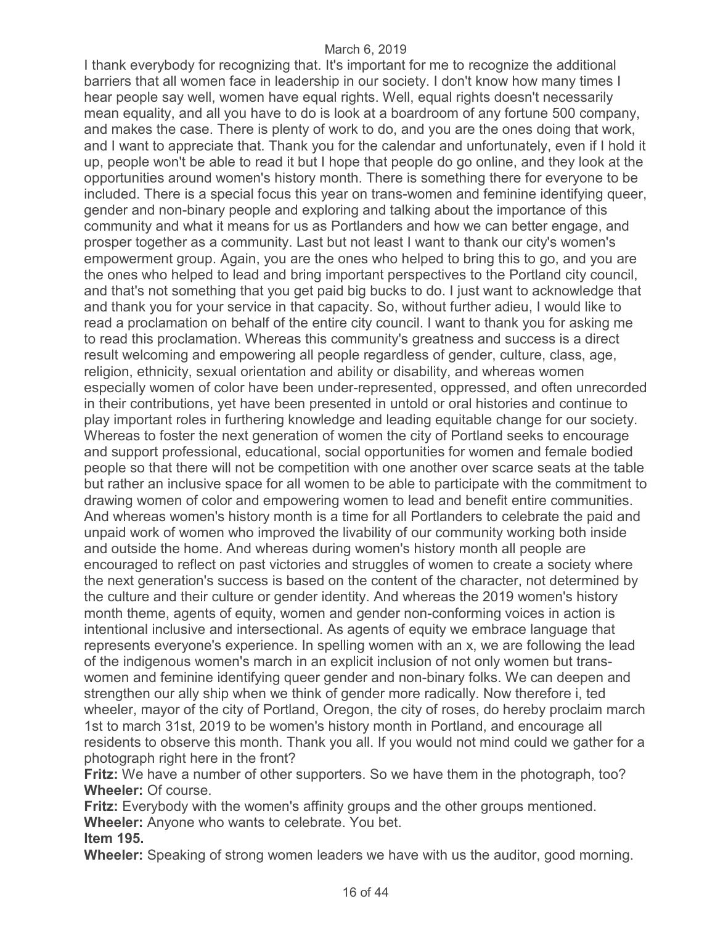I thank everybody for recognizing that. It's important for me to recognize the additional barriers that all women face in leadership in our society. I don't know how many times I hear people say well, women have equal rights. Well, equal rights doesn't necessarily mean equality, and all you have to do is look at a boardroom of any fortune 500 company, and makes the case. There is plenty of work to do, and you are the ones doing that work, and I want to appreciate that. Thank you for the calendar and unfortunately, even if I hold it up, people won't be able to read it but I hope that people do go online, and they look at the opportunities around women's history month. There is something there for everyone to be included. There is a special focus this year on trans-women and feminine identifying queer, gender and non-binary people and exploring and talking about the importance of this community and what it means for us as Portlanders and how we can better engage, and prosper together as a community. Last but not least I want to thank our city's women's empowerment group. Again, you are the ones who helped to bring this to go, and you are the ones who helped to lead and bring important perspectives to the Portland city council, and that's not something that you get paid big bucks to do. I just want to acknowledge that and thank you for your service in that capacity. So, without further adieu, I would like to read a proclamation on behalf of the entire city council. I want to thank you for asking me to read this proclamation. Whereas this community's greatness and success is a direct result welcoming and empowering all people regardless of gender, culture, class, age, religion, ethnicity, sexual orientation and ability or disability, and whereas women especially women of color have been under-represented, oppressed, and often unrecorded in their contributions, yet have been presented in untold or oral histories and continue to play important roles in furthering knowledge and leading equitable change for our society. Whereas to foster the next generation of women the city of Portland seeks to encourage and support professional, educational, social opportunities for women and female bodied people so that there will not be competition with one another over scarce seats at the table but rather an inclusive space for all women to be able to participate with the commitment to drawing women of color and empowering women to lead and benefit entire communities. And whereas women's history month is a time for all Portlanders to celebrate the paid and unpaid work of women who improved the livability of our community working both inside and outside the home. And whereas during women's history month all people are encouraged to reflect on past victories and struggles of women to create a society where the next generation's success is based on the content of the character, not determined by the culture and their culture or gender identity. And whereas the 2019 women's history month theme, agents of equity, women and gender non-conforming voices in action is intentional inclusive and intersectional. As agents of equity we embrace language that represents everyone's experience. In spelling women with an x, we are following the lead of the indigenous women's march in an explicit inclusion of not only women but transwomen and feminine identifying queer gender and non-binary folks. We can deepen and strengthen our ally ship when we think of gender more radically. Now therefore i, ted wheeler, mayor of the city of Portland, Oregon, the city of roses, do hereby proclaim march 1st to march 31st, 2019 to be women's history month in Portland, and encourage all residents to observe this month. Thank you all. If you would not mind could we gather for a photograph right here in the front?

**Fritz:** We have a number of other supporters. So we have them in the photograph, too? **Wheeler:** Of course.

**Fritz:** Everybody with the women's affinity groups and the other groups mentioned. **Wheeler:** Anyone who wants to celebrate. You bet. **Item 195.** 

**Wheeler:** Speaking of strong women leaders we have with us the auditor, good morning.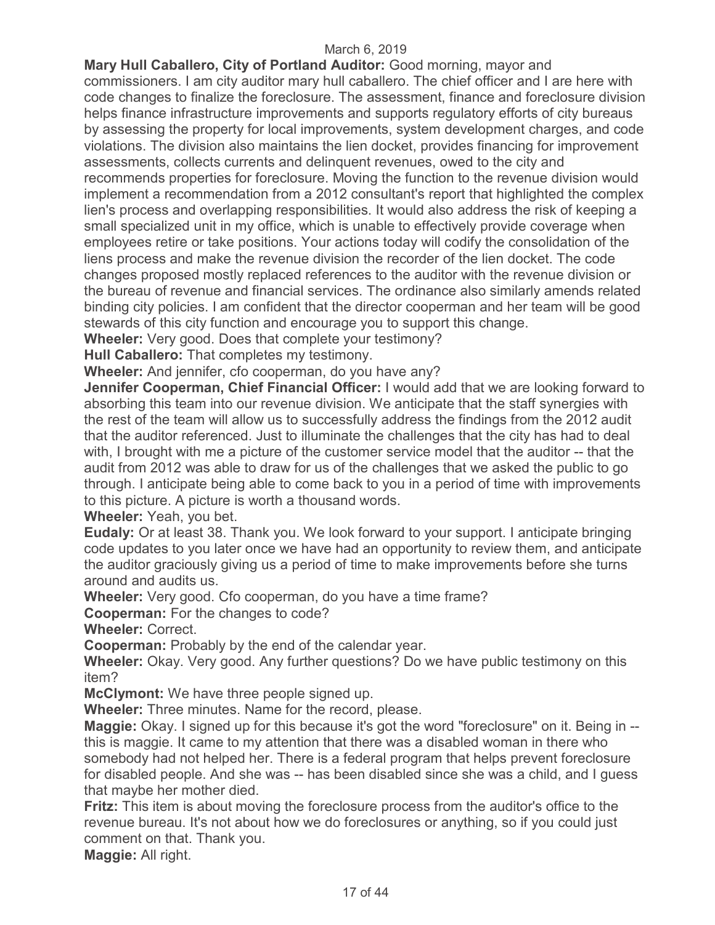**Mary Hull Caballero, City of Portland Auditor:** Good morning, mayor and commissioners. I am city auditor mary hull caballero. The chief officer and I are here with code changes to finalize the foreclosure. The assessment, finance and foreclosure division helps finance infrastructure improvements and supports regulatory efforts of city bureaus by assessing the property for local improvements, system development charges, and code violations. The division also maintains the lien docket, provides financing for improvement assessments, collects currents and delinquent revenues, owed to the city and recommends properties for foreclosure. Moving the function to the revenue division would implement a recommendation from a 2012 consultant's report that highlighted the complex lien's process and overlapping responsibilities. It would also address the risk of keeping a small specialized unit in my office, which is unable to effectively provide coverage when employees retire or take positions. Your actions today will codify the consolidation of the liens process and make the revenue division the recorder of the lien docket. The code changes proposed mostly replaced references to the auditor with the revenue division or the bureau of revenue and financial services. The ordinance also similarly amends related binding city policies. I am confident that the director cooperman and her team will be good stewards of this city function and encourage you to support this change.

**Wheeler:** Very good. Does that complete your testimony?

**Hull Caballero:** That completes my testimony.

**Wheeler:** And jennifer, cfo cooperman, do you have any?

**Jennifer Cooperman, Chief Financial Officer:** I would add that we are looking forward to absorbing this team into our revenue division. We anticipate that the staff synergies with the rest of the team will allow us to successfully address the findings from the 2012 audit that the auditor referenced. Just to illuminate the challenges that the city has had to deal with, I brought with me a picture of the customer service model that the auditor -- that the audit from 2012 was able to draw for us of the challenges that we asked the public to go through. I anticipate being able to come back to you in a period of time with improvements to this picture. A picture is worth a thousand words.

**Wheeler:** Yeah, you bet.

**Eudaly:** Or at least 38. Thank you. We look forward to your support. I anticipate bringing code updates to you later once we have had an opportunity to review them, and anticipate the auditor graciously giving us a period of time to make improvements before she turns around and audits us.

**Wheeler:** Very good. Cfo cooperman, do you have a time frame?

**Cooperman:** For the changes to code?

**Wheeler:** Correct.

**Cooperman:** Probably by the end of the calendar year.

**Wheeler:** Okay. Very good. Any further questions? Do we have public testimony on this item?

**McClymont:** We have three people signed up.

**Wheeler:** Three minutes. Name for the record, please.

**Maggie:** Okay. I signed up for this because it's got the word "foreclosure" on it. Being in - this is maggie. It came to my attention that there was a disabled woman in there who somebody had not helped her. There is a federal program that helps prevent foreclosure for disabled people. And she was -- has been disabled since she was a child, and I guess that maybe her mother died.

**Fritz:** This item is about moving the foreclosure process from the auditor's office to the revenue bureau. It's not about how we do foreclosures or anything, so if you could just comment on that. Thank you.

**Maggie:** All right.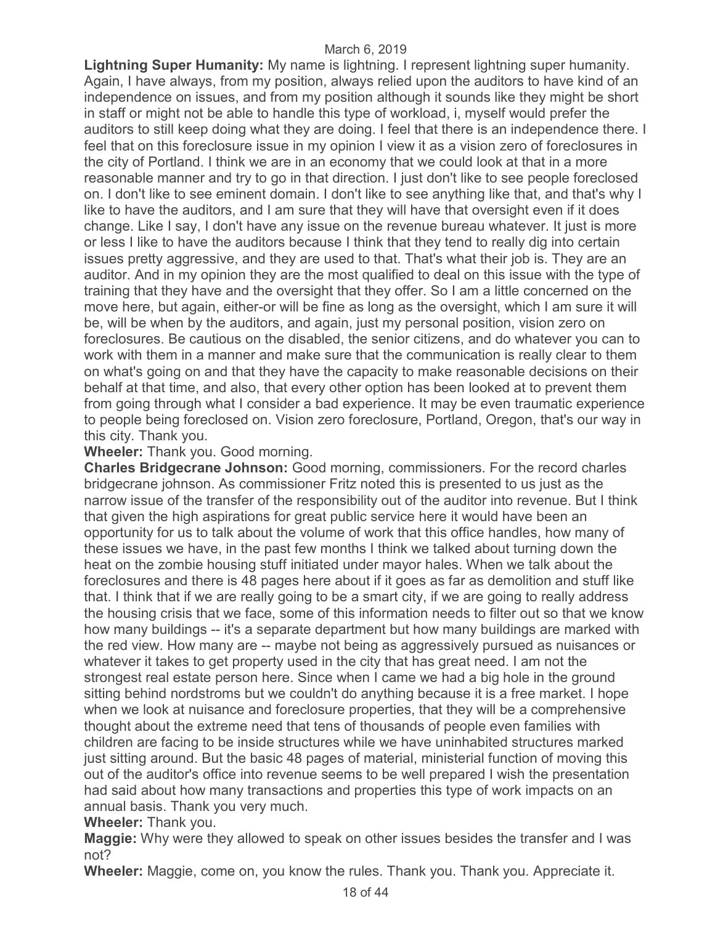**Lightning Super Humanity:** My name is lightning. I represent lightning super humanity. Again, I have always, from my position, always relied upon the auditors to have kind of an independence on issues, and from my position although it sounds like they might be short in staff or might not be able to handle this type of workload, i, myself would prefer the auditors to still keep doing what they are doing. I feel that there is an independence there. I feel that on this foreclosure issue in my opinion I view it as a vision zero of foreclosures in the city of Portland. I think we are in an economy that we could look at that in a more reasonable manner and try to go in that direction. I just don't like to see people foreclosed on. I don't like to see eminent domain. I don't like to see anything like that, and that's why I like to have the auditors, and I am sure that they will have that oversight even if it does change. Like I say, I don't have any issue on the revenue bureau whatever. It just is more or less I like to have the auditors because I think that they tend to really dig into certain issues pretty aggressive, and they are used to that. That's what their job is. They are an auditor. And in my opinion they are the most qualified to deal on this issue with the type of training that they have and the oversight that they offer. So I am a little concerned on the move here, but again, either-or will be fine as long as the oversight, which I am sure it will be, will be when by the auditors, and again, just my personal position, vision zero on foreclosures. Be cautious on the disabled, the senior citizens, and do whatever you can to work with them in a manner and make sure that the communication is really clear to them on what's going on and that they have the capacity to make reasonable decisions on their behalf at that time, and also, that every other option has been looked at to prevent them from going through what I consider a bad experience. It may be even traumatic experience to people being foreclosed on. Vision zero foreclosure, Portland, Oregon, that's our way in this city. Thank you.

## **Wheeler:** Thank you. Good morning.

**Charles Bridgecrane Johnson:** Good morning, commissioners. For the record charles bridgecrane johnson. As commissioner Fritz noted this is presented to us just as the narrow issue of the transfer of the responsibility out of the auditor into revenue. But I think that given the high aspirations for great public service here it would have been an opportunity for us to talk about the volume of work that this office handles, how many of these issues we have, in the past few months I think we talked about turning down the heat on the zombie housing stuff initiated under mayor hales. When we talk about the foreclosures and there is 48 pages here about if it goes as far as demolition and stuff like that. I think that if we are really going to be a smart city, if we are going to really address the housing crisis that we face, some of this information needs to filter out so that we know how many buildings -- it's a separate department but how many buildings are marked with the red view. How many are -- maybe not being as aggressively pursued as nuisances or whatever it takes to get property used in the city that has great need. I am not the strongest real estate person here. Since when I came we had a big hole in the ground sitting behind nordstroms but we couldn't do anything because it is a free market. I hope when we look at nuisance and foreclosure properties, that they will be a comprehensive thought about the extreme need that tens of thousands of people even families with children are facing to be inside structures while we have uninhabited structures marked just sitting around. But the basic 48 pages of material, ministerial function of moving this out of the auditor's office into revenue seems to be well prepared I wish the presentation had said about how many transactions and properties this type of work impacts on an annual basis. Thank you very much.

**Wheeler:** Thank you.

**Maggie:** Why were they allowed to speak on other issues besides the transfer and I was not?

**Wheeler:** Maggie, come on, you know the rules. Thank you. Thank you. Appreciate it.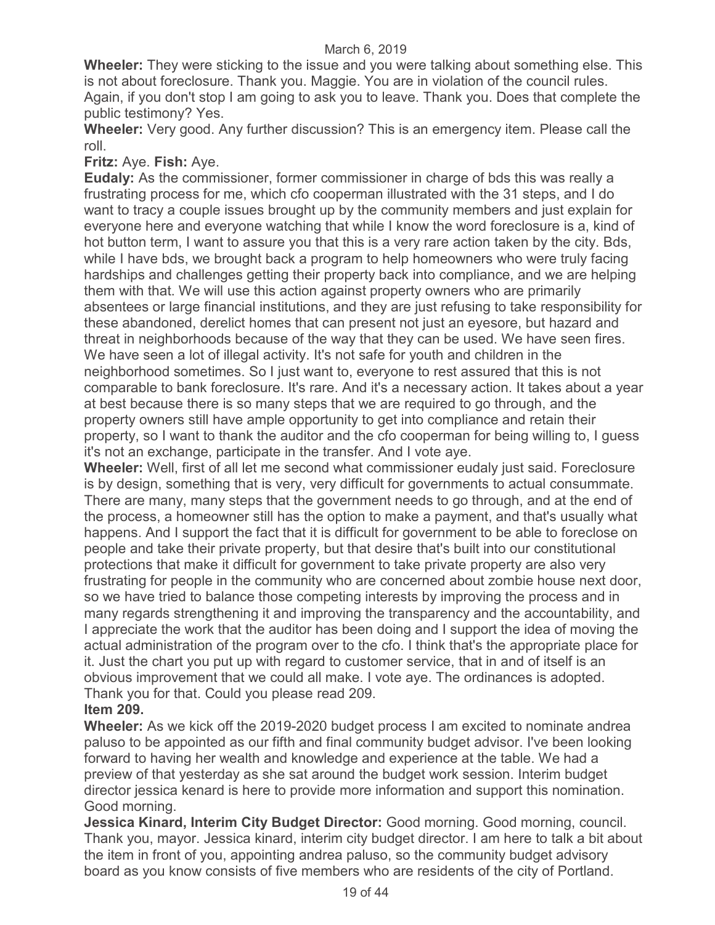**Wheeler:** They were sticking to the issue and you were talking about something else. This is not about foreclosure. Thank you. Maggie. You are in violation of the council rules. Again, if you don't stop I am going to ask you to leave. Thank you. Does that complete the public testimony? Yes.

**Wheeler:** Very good. Any further discussion? This is an emergency item. Please call the roll.

**Fritz:** Aye. **Fish:** Aye.

**Eudaly:** As the commissioner, former commissioner in charge of bds this was really a frustrating process for me, which cfo cooperman illustrated with the 31 steps, and I do want to tracy a couple issues brought up by the community members and just explain for everyone here and everyone watching that while I know the word foreclosure is a, kind of hot button term, I want to assure you that this is a very rare action taken by the city. Bds, while I have bds, we brought back a program to help homeowners who were truly facing hardships and challenges getting their property back into compliance, and we are helping them with that. We will use this action against property owners who are primarily absentees or large financial institutions, and they are just refusing to take responsibility for these abandoned, derelict homes that can present not just an eyesore, but hazard and threat in neighborhoods because of the way that they can be used. We have seen fires. We have seen a lot of illegal activity. It's not safe for youth and children in the neighborhood sometimes. So I just want to, everyone to rest assured that this is not comparable to bank foreclosure. It's rare. And it's a necessary action. It takes about a year at best because there is so many steps that we are required to go through, and the property owners still have ample opportunity to get into compliance and retain their property, so I want to thank the auditor and the cfo cooperman for being willing to, I guess it's not an exchange, participate in the transfer. And I vote aye.

**Wheeler:** Well, first of all let me second what commissioner eudaly just said. Foreclosure is by design, something that is very, very difficult for governments to actual consummate. There are many, many steps that the government needs to go through, and at the end of the process, a homeowner still has the option to make a payment, and that's usually what happens. And I support the fact that it is difficult for government to be able to foreclose on people and take their private property, but that desire that's built into our constitutional protections that make it difficult for government to take private property are also very frustrating for people in the community who are concerned about zombie house next door, so we have tried to balance those competing interests by improving the process and in many regards strengthening it and improving the transparency and the accountability, and I appreciate the work that the auditor has been doing and I support the idea of moving the actual administration of the program over to the cfo. I think that's the appropriate place for it. Just the chart you put up with regard to customer service, that in and of itself is an obvious improvement that we could all make. I vote aye. The ordinances is adopted. Thank you for that. Could you please read 209.

## **Item 209.**

**Wheeler:** As we kick off the 2019-2020 budget process I am excited to nominate andrea paluso to be appointed as our fifth and final community budget advisor. I've been looking forward to having her wealth and knowledge and experience at the table. We had a preview of that yesterday as she sat around the budget work session. Interim budget director jessica kenard is here to provide more information and support this nomination. Good morning.

**Jessica Kinard, Interim City Budget Director:** Good morning. Good morning, council. Thank you, mayor. Jessica kinard, interim city budget director. I am here to talk a bit about the item in front of you, appointing andrea paluso, so the community budget advisory board as you know consists of five members who are residents of the city of Portland.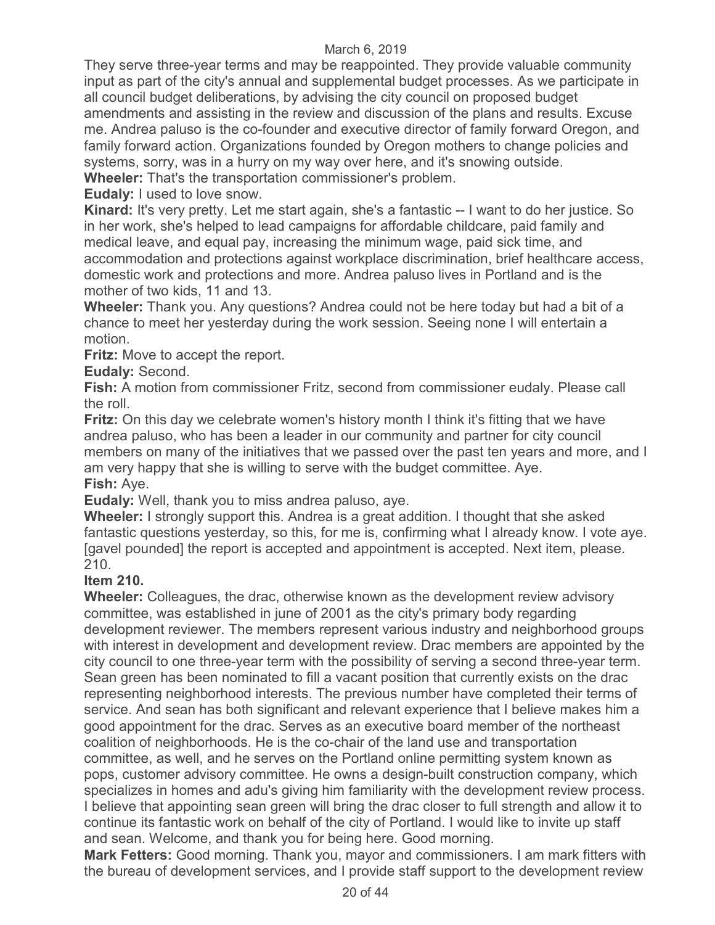They serve three-year terms and may be reappointed. They provide valuable community input as part of the city's annual and supplemental budget processes. As we participate in all council budget deliberations, by advising the city council on proposed budget amendments and assisting in the review and discussion of the plans and results. Excuse me. Andrea paluso is the co-founder and executive director of family forward Oregon, and family forward action. Organizations founded by Oregon mothers to change policies and systems, sorry, was in a hurry on my way over here, and it's snowing outside.

**Wheeler:** That's the transportation commissioner's problem.

**Eudaly:** I used to love snow.

**Kinard:** It's very pretty. Let me start again, she's a fantastic -- I want to do her justice. So in her work, she's helped to lead campaigns for affordable childcare, paid family and medical leave, and equal pay, increasing the minimum wage, paid sick time, and accommodation and protections against workplace discrimination, brief healthcare access, domestic work and protections and more. Andrea paluso lives in Portland and is the mother of two kids, 11 and 13.

**Wheeler:** Thank you. Any questions? Andrea could not be here today but had a bit of a chance to meet her yesterday during the work session. Seeing none I will entertain a motion.

**Fritz:** Move to accept the report.

**Eudaly:** Second.

**Fish:** A motion from commissioner Fritz, second from commissioner eudaly. Please call the roll.

**Fritz:** On this day we celebrate women's history month I think it's fitting that we have andrea paluso, who has been a leader in our community and partner for city council members on many of the initiatives that we passed over the past ten years and more, and I am very happy that she is willing to serve with the budget committee. Aye. **Fish:** Aye.

**Eudaly:** Well, thank you to miss andrea paluso, aye.

**Wheeler:** I strongly support this. Andrea is a great addition. I thought that she asked fantastic questions yesterday, so this, for me is, confirming what I already know. I vote aye. [gavel pounded] the report is accepted and appointment is accepted. Next item, please. 210.

## **Item 210.**

**Wheeler:** Colleagues, the drac, otherwise known as the development review advisory committee, was established in june of 2001 as the city's primary body regarding development reviewer. The members represent various industry and neighborhood groups with interest in development and development review. Drac members are appointed by the city council to one three-year term with the possibility of serving a second three-year term. Sean green has been nominated to fill a vacant position that currently exists on the drac representing neighborhood interests. The previous number have completed their terms of service. And sean has both significant and relevant experience that I believe makes him a good appointment for the drac. Serves as an executive board member of the northeast coalition of neighborhoods. He is the co-chair of the land use and transportation committee, as well, and he serves on the Portland online permitting system known as pops, customer advisory committee. He owns a design-built construction company, which specializes in homes and adu's giving him familiarity with the development review process. I believe that appointing sean green will bring the drac closer to full strength and allow it to continue its fantastic work on behalf of the city of Portland. I would like to invite up staff and sean. Welcome, and thank you for being here. Good morning.

**Mark Fetters:** Good morning. Thank you, mayor and commissioners. I am mark fitters with the bureau of development services, and I provide staff support to the development review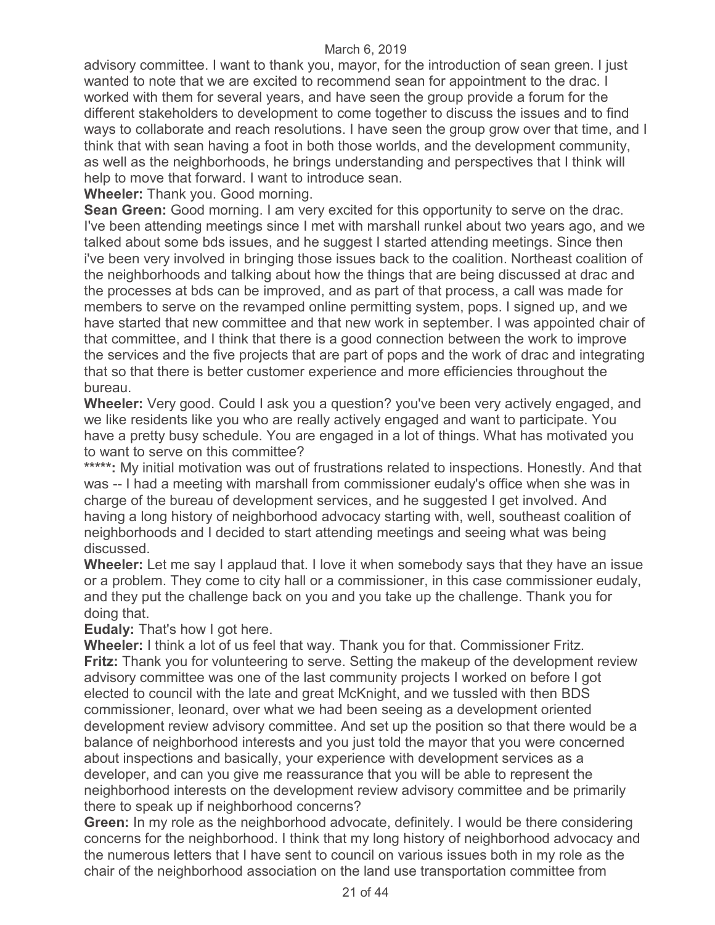advisory committee. I want to thank you, mayor, for the introduction of sean green. I just wanted to note that we are excited to recommend sean for appointment to the drac. I worked with them for several years, and have seen the group provide a forum for the different stakeholders to development to come together to discuss the issues and to find ways to collaborate and reach resolutions. I have seen the group grow over that time, and I think that with sean having a foot in both those worlds, and the development community, as well as the neighborhoods, he brings understanding and perspectives that I think will help to move that forward. I want to introduce sean.

**Wheeler:** Thank you. Good morning.

**Sean Green:** Good morning. I am very excited for this opportunity to serve on the drac. I've been attending meetings since I met with marshall runkel about two years ago, and we talked about some bds issues, and he suggest I started attending meetings. Since then i've been very involved in bringing those issues back to the coalition. Northeast coalition of the neighborhoods and talking about how the things that are being discussed at drac and the processes at bds can be improved, and as part of that process, a call was made for members to serve on the revamped online permitting system, pops. I signed up, and we have started that new committee and that new work in september. I was appointed chair of that committee, and I think that there is a good connection between the work to improve the services and the five projects that are part of pops and the work of drac and integrating that so that there is better customer experience and more efficiencies throughout the bureau.

**Wheeler:** Very good. Could I ask you a question? you've been very actively engaged, and we like residents like you who are really actively engaged and want to participate. You have a pretty busy schedule. You are engaged in a lot of things. What has motivated you to want to serve on this committee?

\*\*\*\*\*: My initial motivation was out of frustrations related to inspections. Honestly. And that was -- I had a meeting with marshall from commissioner eudaly's office when she was in charge of the bureau of development services, and he suggested I get involved. And having a long history of neighborhood advocacy starting with, well, southeast coalition of neighborhoods and I decided to start attending meetings and seeing what was being discussed.

**Wheeler:** Let me say I applaud that. I love it when somebody says that they have an issue or a problem. They come to city hall or a commissioner, in this case commissioner eudaly, and they put the challenge back on you and you take up the challenge. Thank you for doing that.

**Eudaly:** That's how I got here.

**Wheeler:** I think a lot of us feel that way. Thank you for that. Commissioner Fritz. **Fritz:** Thank you for volunteering to serve. Setting the makeup of the development review advisory committee was one of the last community projects I worked on before I got elected to council with the late and great McKnight, and we tussled with then BDS commissioner, leonard, over what we had been seeing as a development oriented development review advisory committee. And set up the position so that there would be a balance of neighborhood interests and you just told the mayor that you were concerned about inspections and basically, your experience with development services as a developer, and can you give me reassurance that you will be able to represent the neighborhood interests on the development review advisory committee and be primarily there to speak up if neighborhood concerns?

**Green:** In my role as the neighborhood advocate, definitely. I would be there considering concerns for the neighborhood. I think that my long history of neighborhood advocacy and the numerous letters that I have sent to council on various issues both in my role as the chair of the neighborhood association on the land use transportation committee from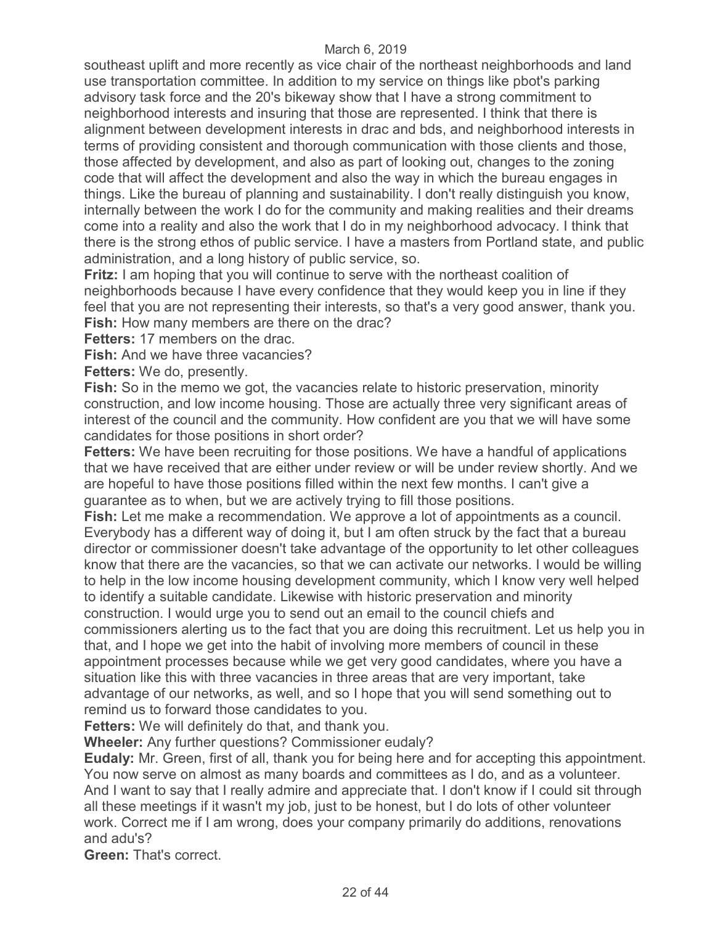southeast uplift and more recently as vice chair of the northeast neighborhoods and land use transportation committee. In addition to my service on things like pbot's parking advisory task force and the 20's bikeway show that I have a strong commitment to neighborhood interests and insuring that those are represented. I think that there is alignment between development interests in drac and bds, and neighborhood interests in terms of providing consistent and thorough communication with those clients and those, those affected by development, and also as part of looking out, changes to the zoning code that will affect the development and also the way in which the bureau engages in things. Like the bureau of planning and sustainability. I don't really distinguish you know, internally between the work I do for the community and making realities and their dreams come into a reality and also the work that I do in my neighborhood advocacy. I think that there is the strong ethos of public service. I have a masters from Portland state, and public administration, and a long history of public service, so.

**Fritz:** I am hoping that you will continue to serve with the northeast coalition of neighborhoods because I have every confidence that they would keep you in line if they feel that you are not representing their interests, so that's a very good answer, thank you. **Fish:** How many members are there on the drac?

**Fetters:** 17 members on the drac.

**Fish:** And we have three vacancies?

**Fetters:** We do, presently.

**Fish:** So in the memo we got, the vacancies relate to historic preservation, minority construction, and low income housing. Those are actually three very significant areas of interest of the council and the community. How confident are you that we will have some candidates for those positions in short order?

**Fetters:** We have been recruiting for those positions. We have a handful of applications that we have received that are either under review or will be under review shortly. And we are hopeful to have those positions filled within the next few months. I can't give a guarantee as to when, but we are actively trying to fill those positions.

**Fish:** Let me make a recommendation. We approve a lot of appointments as a council. Everybody has a different way of doing it, but I am often struck by the fact that a bureau director or commissioner doesn't take advantage of the opportunity to let other colleagues know that there are the vacancies, so that we can activate our networks. I would be willing to help in the low income housing development community, which I know very well helped to identify a suitable candidate. Likewise with historic preservation and minority construction. I would urge you to send out an email to the council chiefs and commissioners alerting us to the fact that you are doing this recruitment. Let us help you in that, and I hope we get into the habit of involving more members of council in these appointment processes because while we get very good candidates, where you have a situation like this with three vacancies in three areas that are very important, take advantage of our networks, as well, and so I hope that you will send something out to remind us to forward those candidates to you.

**Fetters:** We will definitely do that, and thank you.

**Wheeler:** Any further questions? Commissioner eudaly?

**Eudaly:** Mr. Green, first of all, thank you for being here and for accepting this appointment. You now serve on almost as many boards and committees as I do, and as a volunteer. And I want to say that I really admire and appreciate that. I don't know if I could sit through all these meetings if it wasn't my job, just to be honest, but I do lots of other volunteer work. Correct me if I am wrong, does your company primarily do additions, renovations and adu's?

**Green:** That's correct.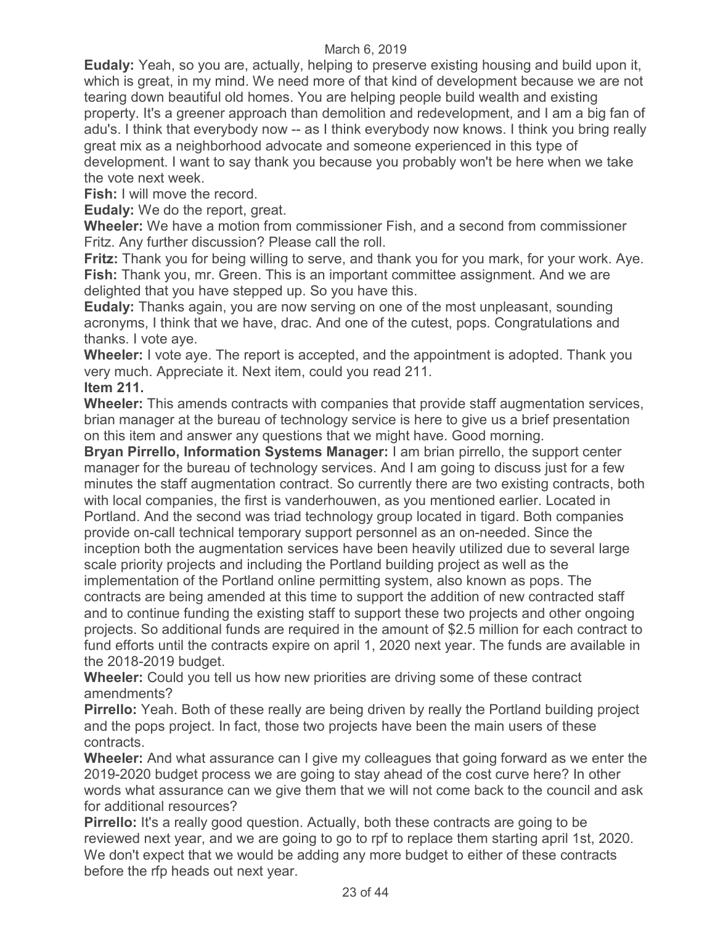**Eudaly:** Yeah, so you are, actually, helping to preserve existing housing and build upon it, which is great, in my mind. We need more of that kind of development because we are not tearing down beautiful old homes. You are helping people build wealth and existing property. It's a greener approach than demolition and redevelopment, and I am a big fan of adu's. I think that everybody now -- as I think everybody now knows. I think you bring really great mix as a neighborhood advocate and someone experienced in this type of development. I want to say thank you because you probably won't be here when we take the vote next week.

**Fish:** I will move the record.

**Eudaly:** We do the report, great.

**Wheeler:** We have a motion from commissioner Fish, and a second from commissioner Fritz. Any further discussion? Please call the roll.

**Fritz:** Thank you for being willing to serve, and thank you for you mark, for your work. Aye. **Fish:** Thank you, mr. Green. This is an important committee assignment. And we are delighted that you have stepped up. So you have this.

**Eudaly:** Thanks again, you are now serving on one of the most unpleasant, sounding acronyms, I think that we have, drac. And one of the cutest, pops. Congratulations and thanks. I vote aye.

**Wheeler:** I vote aye. The report is accepted, and the appointment is adopted. Thank you very much. Appreciate it. Next item, could you read 211. **Item 211.** 

**Wheeler:** This amends contracts with companies that provide staff augmentation services, brian manager at the bureau of technology service is here to give us a brief presentation on this item and answer any questions that we might have. Good morning.

**Bryan Pirrello, Information Systems Manager:** I am brian pirrello, the support center manager for the bureau of technology services. And I am going to discuss just for a few minutes the staff augmentation contract. So currently there are two existing contracts, both with local companies, the first is vanderhouwen, as you mentioned earlier. Located in Portland. And the second was triad technology group located in tigard. Both companies provide on-call technical temporary support personnel as an on-needed. Since the inception both the augmentation services have been heavily utilized due to several large scale priority projects and including the Portland building project as well as the implementation of the Portland online permitting system, also known as pops. The contracts are being amended at this time to support the addition of new contracted staff and to continue funding the existing staff to support these two projects and other ongoing projects. So additional funds are required in the amount of \$2.5 million for each contract to fund efforts until the contracts expire on april 1, 2020 next year. The funds are available in the 2018-2019 budget.

**Wheeler:** Could you tell us how new priorities are driving some of these contract amendments?

**Pirrello:** Yeah. Both of these really are being driven by really the Portland building project and the pops project. In fact, those two projects have been the main users of these contracts.

**Wheeler:** And what assurance can I give my colleagues that going forward as we enter the 2019-2020 budget process we are going to stay ahead of the cost curve here? In other words what assurance can we give them that we will not come back to the council and ask for additional resources?

**Pirrello:** It's a really good question. Actually, both these contracts are going to be reviewed next year, and we are going to go to rpf to replace them starting april 1st, 2020. We don't expect that we would be adding any more budget to either of these contracts before the rfp heads out next year.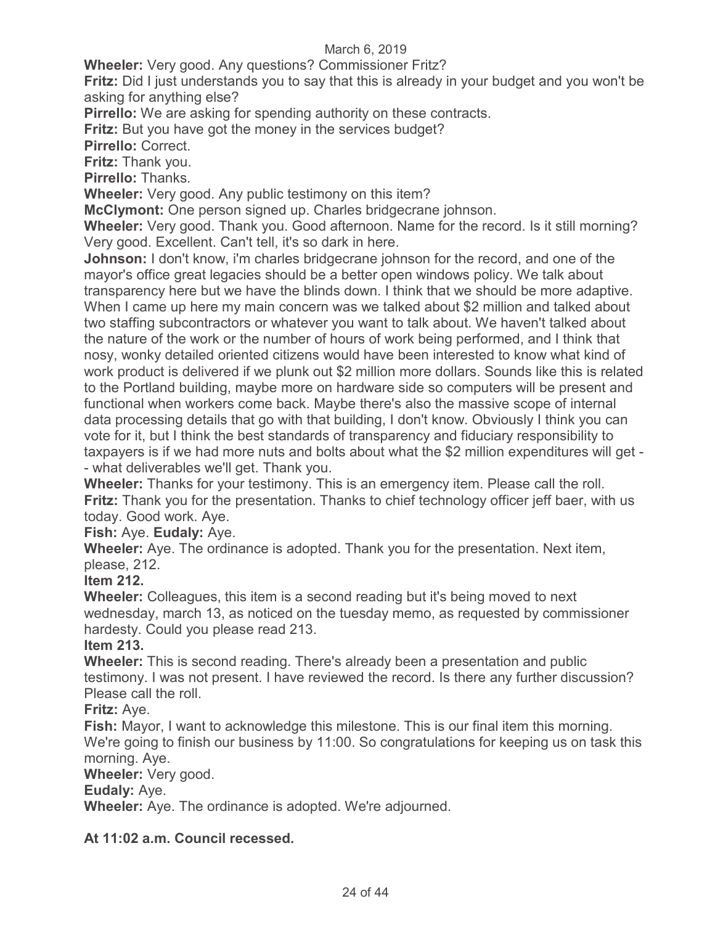**Wheeler:** Very good. Any questions? Commissioner Fritz?

**Fritz:** Did I just understands you to say that this is already in your budget and you won't be asking for anything else?

**Pirrello:** We are asking for spending authority on these contracts.

**Fritz:** But you have got the money in the services budget?

**Pirrello:** Correct.

**Fritz:** Thank you.

**Pirrello:** Thanks.

**Wheeler:** Very good. Any public testimony on this item?

**McClymont:** One person signed up. Charles bridgecrane johnson.

**Wheeler:** Very good. Thank you. Good afternoon. Name for the record. Is it still morning? Very good. Excellent. Can't tell, it's so dark in here.

**Johnson:** I don't know, i'm charles bridgecrane johnson for the record, and one of the mayor's office great legacies should be a better open windows policy. We talk about transparency here but we have the blinds down. I think that we should be more adaptive. When I came up here my main concern was we talked about \$2 million and talked about two staffing subcontractors or whatever you want to talk about. We haven't talked about the nature of the work or the number of hours of work being performed, and I think that nosy, wonky detailed oriented citizens would have been interested to know what kind of work product is delivered if we plunk out \$2 million more dollars. Sounds like this is related to the Portland building, maybe more on hardware side so computers will be present and functional when workers come back. Maybe there's also the massive scope of internal data processing details that go with that building, I don't know. Obviously I think you can vote for it, but I think the best standards of transparency and fiduciary responsibility to taxpayers is if we had more nuts and bolts about what the \$2 million expenditures will get - - what deliverables we'll get. Thank you.

**Wheeler:** Thanks for your testimony. This is an emergency item. Please call the roll. **Fritz:** Thank you for the presentation. Thanks to chief technology officer jeff baer, with us today. Good work. Aye.

**Fish:** Aye. **Eudaly:** Aye.

**Wheeler:** Aye. The ordinance is adopted. Thank you for the presentation. Next item, please, 212.

**Item 212.**

**Wheeler:** Colleagues, this item is a second reading but it's being moved to next wednesday, march 13, as noticed on the tuesday memo, as requested by commissioner hardesty. Could you please read 213.

## **Item 213.**

**Wheeler:** This is second reading. There's already been a presentation and public testimony. I was not present. I have reviewed the record. Is there any further discussion? Please call the roll.

## **Fritz:** Aye.

**Fish:** Mayor, I want to acknowledge this milestone. This is our final item this morning. We're going to finish our business by 11:00. So congratulations for keeping us on task this morning. Aye.

**Wheeler:** Very good.

## **Eudaly:** Aye.

**Wheeler:** Aye. The ordinance is adopted. We're adjourned.

**At 11:02 a.m. Council recessed.**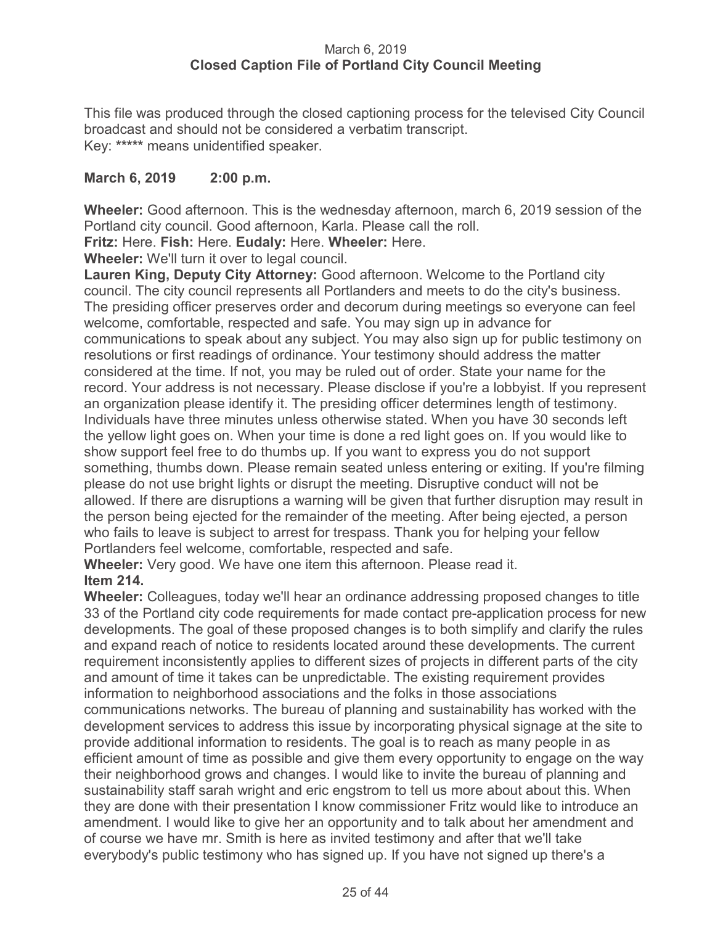## March 6, 2019 **Closed Caption File of Portland City Council Meeting**

This file was produced through the closed captioning process for the televised City Council broadcast and should not be considered a verbatim transcript. Key: **\*\*\*\*\*** means unidentified speaker.

## **March 6, 2019 2:00 p.m.**

**Wheeler:** Good afternoon. This is the wednesday afternoon, march 6, 2019 session of the Portland city council. Good afternoon, Karla. Please call the roll.

**Fritz:** Here. **Fish:** Here. **Eudaly:** Here. **Wheeler:** Here.

**Wheeler:** We'll turn it over to legal council.

**Lauren King, Deputy City Attorney:** Good afternoon. Welcome to the Portland city council. The city council represents all Portlanders and meets to do the city's business. The presiding officer preserves order and decorum during meetings so everyone can feel welcome, comfortable, respected and safe. You may sign up in advance for communications to speak about any subject. You may also sign up for public testimony on resolutions or first readings of ordinance. Your testimony should address the matter considered at the time. If not, you may be ruled out of order. State your name for the record. Your address is not necessary. Please disclose if you're a lobbyist. If you represent an organization please identify it. The presiding officer determines length of testimony. Individuals have three minutes unless otherwise stated. When you have 30 seconds left the yellow light goes on. When your time is done a red light goes on. If you would like to show support feel free to do thumbs up. If you want to express you do not support something, thumbs down. Please remain seated unless entering or exiting. If you're filming please do not use bright lights or disrupt the meeting. Disruptive conduct will not be allowed. If there are disruptions a warning will be given that further disruption may result in the person being ejected for the remainder of the meeting. After being ejected, a person who fails to leave is subject to arrest for trespass. Thank you for helping your fellow Portlanders feel welcome, comfortable, respected and safe.

**Wheeler:** Very good. We have one item this afternoon. Please read it. **Item 214.** 

**Wheeler:** Colleagues, today we'll hear an ordinance addressing proposed changes to title 33 of the Portland city code requirements for made contact pre-application process for new developments. The goal of these proposed changes is to both simplify and clarify the rules and expand reach of notice to residents located around these developments. The current requirement inconsistently applies to different sizes of projects in different parts of the city and amount of time it takes can be unpredictable. The existing requirement provides information to neighborhood associations and the folks in those associations communications networks. The bureau of planning and sustainability has worked with the development services to address this issue by incorporating physical signage at the site to provide additional information to residents. The goal is to reach as many people in as efficient amount of time as possible and give them every opportunity to engage on the way their neighborhood grows and changes. I would like to invite the bureau of planning and sustainability staff sarah wright and eric engstrom to tell us more about about this. When they are done with their presentation I know commissioner Fritz would like to introduce an amendment. I would like to give her an opportunity and to talk about her amendment and of course we have mr. Smith is here as invited testimony and after that we'll take everybody's public testimony who has signed up. If you have not signed up there's a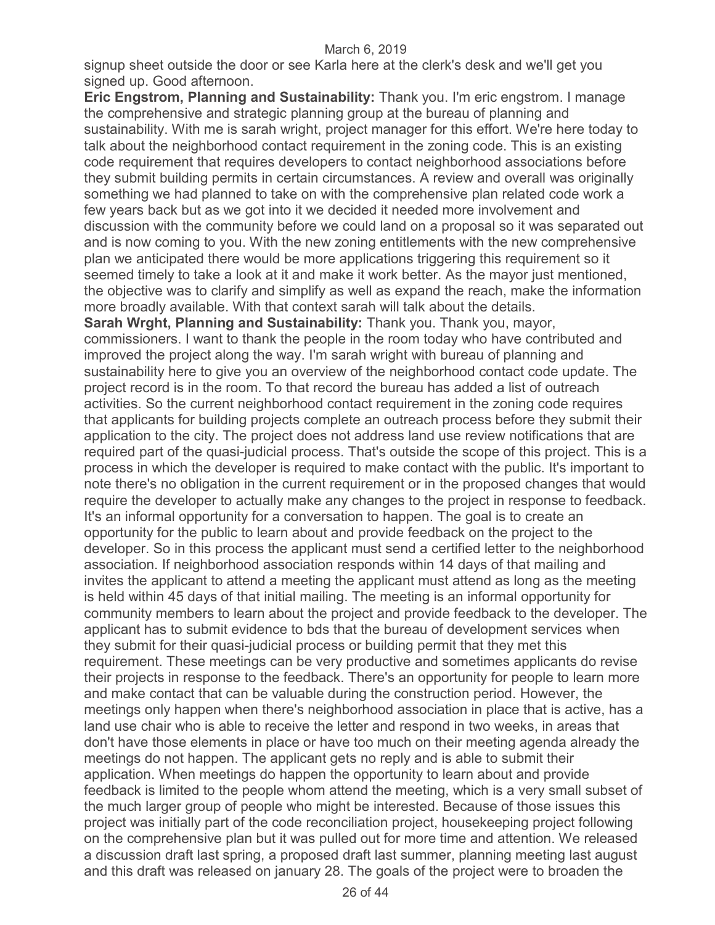signup sheet outside the door or see Karla here at the clerk's desk and we'll get you signed up. Good afternoon.

**Eric Engstrom, Planning and Sustainability:** Thank you. I'm eric engstrom. I manage the comprehensive and strategic planning group at the bureau of planning and sustainability. With me is sarah wright, project manager for this effort. We're here today to talk about the neighborhood contact requirement in the zoning code. This is an existing code requirement that requires developers to contact neighborhood associations before they submit building permits in certain circumstances. A review and overall was originally something we had planned to take on with the comprehensive plan related code work a few years back but as we got into it we decided it needed more involvement and discussion with the community before we could land on a proposal so it was separated out and is now coming to you. With the new zoning entitlements with the new comprehensive plan we anticipated there would be more applications triggering this requirement so it seemed timely to take a look at it and make it work better. As the mayor just mentioned, the objective was to clarify and simplify as well as expand the reach, make the information more broadly available. With that context sarah will talk about the details.

**Sarah Wrght, Planning and Sustainability:** Thank you. Thank you, mayor, commissioners. I want to thank the people in the room today who have contributed and improved the project along the way. I'm sarah wright with bureau of planning and sustainability here to give you an overview of the neighborhood contact code update. The project record is in the room. To that record the bureau has added a list of outreach activities. So the current neighborhood contact requirement in the zoning code requires that applicants for building projects complete an outreach process before they submit their application to the city. The project does not address land use review notifications that are required part of the quasi-judicial process. That's outside the scope of this project. This is a process in which the developer is required to make contact with the public. It's important to note there's no obligation in the current requirement or in the proposed changes that would require the developer to actually make any changes to the project in response to feedback. It's an informal opportunity for a conversation to happen. The goal is to create an opportunity for the public to learn about and provide feedback on the project to the developer. So in this process the applicant must send a certified letter to the neighborhood association. If neighborhood association responds within 14 days of that mailing and invites the applicant to attend a meeting the applicant must attend as long as the meeting is held within 45 days of that initial mailing. The meeting is an informal opportunity for community members to learn about the project and provide feedback to the developer. The applicant has to submit evidence to bds that the bureau of development services when they submit for their quasi-judicial process or building permit that they met this requirement. These meetings can be very productive and sometimes applicants do revise their projects in response to the feedback. There's an opportunity for people to learn more and make contact that can be valuable during the construction period. However, the meetings only happen when there's neighborhood association in place that is active, has a land use chair who is able to receive the letter and respond in two weeks, in areas that don't have those elements in place or have too much on their meeting agenda already the meetings do not happen. The applicant gets no reply and is able to submit their application. When meetings do happen the opportunity to learn about and provide feedback is limited to the people whom attend the meeting, which is a very small subset of the much larger group of people who might be interested. Because of those issues this project was initially part of the code reconciliation project, housekeeping project following on the comprehensive plan but it was pulled out for more time and attention. We released a discussion draft last spring, a proposed draft last summer, planning meeting last august and this draft was released on january 28. The goals of the project were to broaden the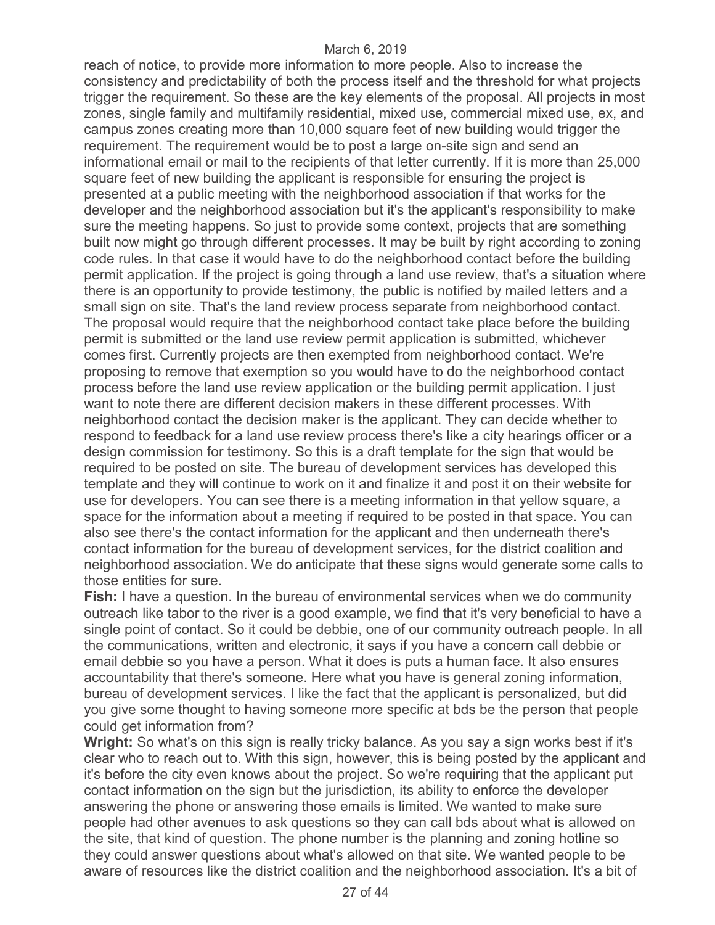reach of notice, to provide more information to more people. Also to increase the consistency and predictability of both the process itself and the threshold for what projects trigger the requirement. So these are the key elements of the proposal. All projects in most zones, single family and multifamily residential, mixed use, commercial mixed use, ex, and campus zones creating more than 10,000 square feet of new building would trigger the requirement. The requirement would be to post a large on-site sign and send an informational email or mail to the recipients of that letter currently. If it is more than 25,000 square feet of new building the applicant is responsible for ensuring the project is presented at a public meeting with the neighborhood association if that works for the developer and the neighborhood association but it's the applicant's responsibility to make sure the meeting happens. So just to provide some context, projects that are something built now might go through different processes. It may be built by right according to zoning code rules. In that case it would have to do the neighborhood contact before the building permit application. If the project is going through a land use review, that's a situation where there is an opportunity to provide testimony, the public is notified by mailed letters and a small sign on site. That's the land review process separate from neighborhood contact. The proposal would require that the neighborhood contact take place before the building permit is submitted or the land use review permit application is submitted, whichever comes first. Currently projects are then exempted from neighborhood contact. We're proposing to remove that exemption so you would have to do the neighborhood contact process before the land use review application or the building permit application. I just want to note there are different decision makers in these different processes. With neighborhood contact the decision maker is the applicant. They can decide whether to respond to feedback for a land use review process there's like a city hearings officer or a design commission for testimony. So this is a draft template for the sign that would be required to be posted on site. The bureau of development services has developed this template and they will continue to work on it and finalize it and post it on their website for use for developers. You can see there is a meeting information in that yellow square, a space for the information about a meeting if required to be posted in that space. You can also see there's the contact information for the applicant and then underneath there's contact information for the bureau of development services, for the district coalition and neighborhood association. We do anticipate that these signs would generate some calls to those entities for sure.

**Fish:** I have a question. In the bureau of environmental services when we do community outreach like tabor to the river is a good example, we find that it's very beneficial to have a single point of contact. So it could be debbie, one of our community outreach people. In all the communications, written and electronic, it says if you have a concern call debbie or email debbie so you have a person. What it does is puts a human face. It also ensures accountability that there's someone. Here what you have is general zoning information, bureau of development services. I like the fact that the applicant is personalized, but did you give some thought to having someone more specific at bds be the person that people could get information from?

**Wright:** So what's on this sign is really tricky balance. As you say a sign works best if it's clear who to reach out to. With this sign, however, this is being posted by the applicant and it's before the city even knows about the project. So we're requiring that the applicant put contact information on the sign but the jurisdiction, its ability to enforce the developer answering the phone or answering those emails is limited. We wanted to make sure people had other avenues to ask questions so they can call bds about what is allowed on the site, that kind of question. The phone number is the planning and zoning hotline so they could answer questions about what's allowed on that site. We wanted people to be aware of resources like the district coalition and the neighborhood association. It's a bit of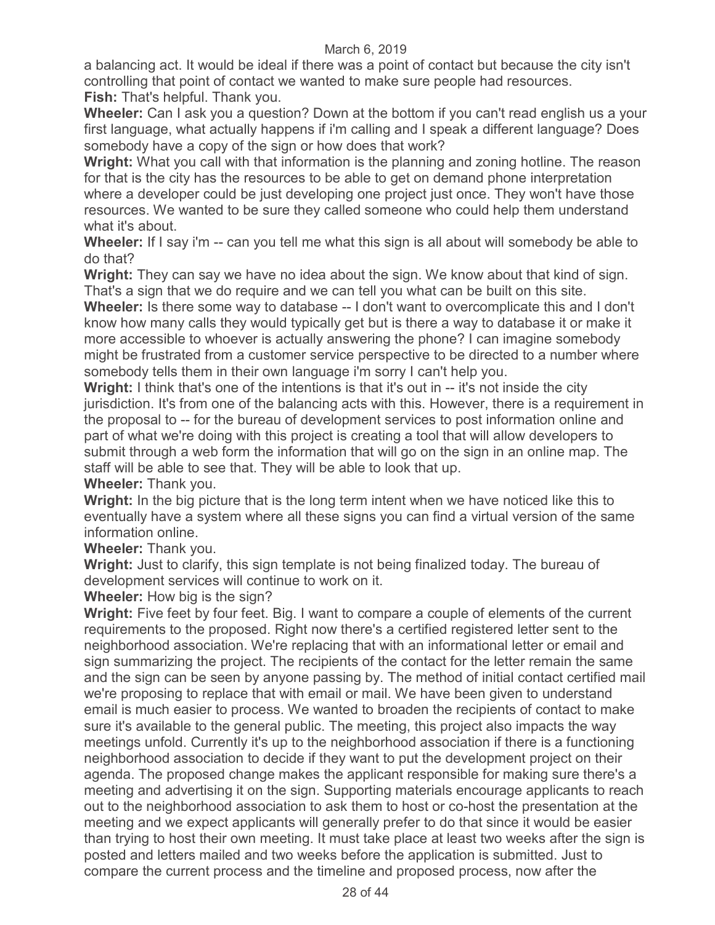a balancing act. It would be ideal if there was a point of contact but because the city isn't controlling that point of contact we wanted to make sure people had resources. **Fish:** That's helpful. Thank you.

**Wheeler:** Can I ask you a question? Down at the bottom if you can't read english us a your first language, what actually happens if i'm calling and I speak a different language? Does somebody have a copy of the sign or how does that work?

**Wright:** What you call with that information is the planning and zoning hotline. The reason for that is the city has the resources to be able to get on demand phone interpretation where a developer could be just developing one project just once. They won't have those resources. We wanted to be sure they called someone who could help them understand what it's about.

**Wheeler:** If I say i'm -- can you tell me what this sign is all about will somebody be able to do that?

**Wright:** They can say we have no idea about the sign. We know about that kind of sign. That's a sign that we do require and we can tell you what can be built on this site.

**Wheeler:** Is there some way to database -- I don't want to overcomplicate this and I don't know how many calls they would typically get but is there a way to database it or make it more accessible to whoever is actually answering the phone? I can imagine somebody might be frustrated from a customer service perspective to be directed to a number where somebody tells them in their own language i'm sorry I can't help you.

**Wright:** I think that's one of the intentions is that it's out in -- it's not inside the city jurisdiction. It's from one of the balancing acts with this. However, there is a requirement in the proposal to -- for the bureau of development services to post information online and part of what we're doing with this project is creating a tool that will allow developers to submit through a web form the information that will go on the sign in an online map. The staff will be able to see that. They will be able to look that up.

**Wheeler:** Thank you.

**Wright:** In the big picture that is the long term intent when we have noticed like this to eventually have a system where all these signs you can find a virtual version of the same information online.

**Wheeler:** Thank you.

**Wright:** Just to clarify, this sign template is not being finalized today. The bureau of development services will continue to work on it.

**Wheeler:** How big is the sign?

**Wright:** Five feet by four feet. Big. I want to compare a couple of elements of the current requirements to the proposed. Right now there's a certified registered letter sent to the neighborhood association. We're replacing that with an informational letter or email and sign summarizing the project. The recipients of the contact for the letter remain the same and the sign can be seen by anyone passing by. The method of initial contact certified mail we're proposing to replace that with email or mail. We have been given to understand email is much easier to process. We wanted to broaden the recipients of contact to make sure it's available to the general public. The meeting, this project also impacts the way meetings unfold. Currently it's up to the neighborhood association if there is a functioning neighborhood association to decide if they want to put the development project on their agenda. The proposed change makes the applicant responsible for making sure there's a meeting and advertising it on the sign. Supporting materials encourage applicants to reach out to the neighborhood association to ask them to host or co-host the presentation at the meeting and we expect applicants will generally prefer to do that since it would be easier than trying to host their own meeting. It must take place at least two weeks after the sign is posted and letters mailed and two weeks before the application is submitted. Just to compare the current process and the timeline and proposed process, now after the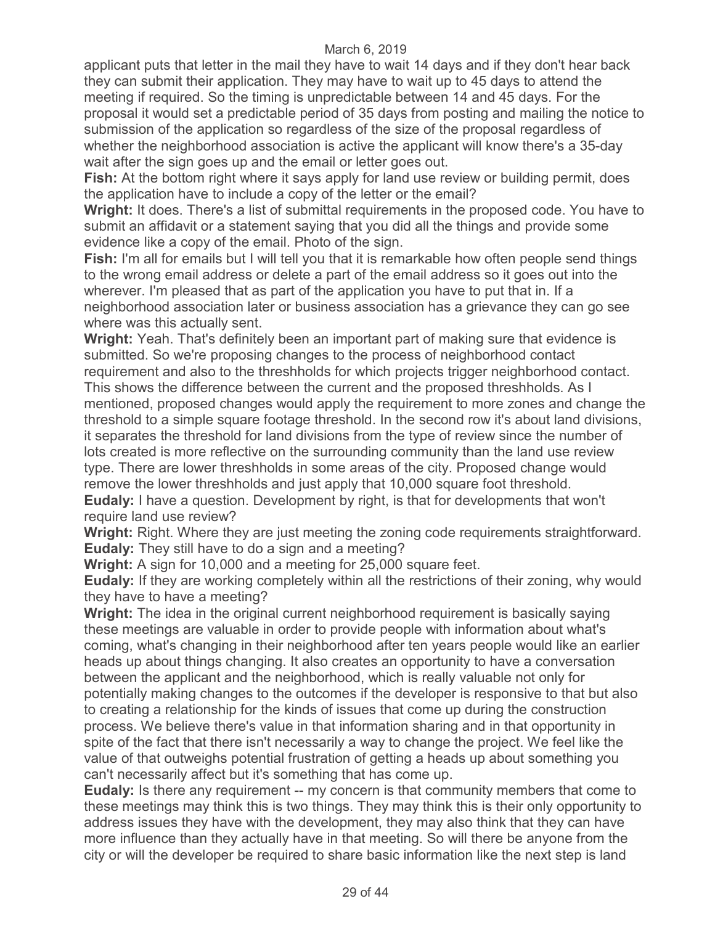applicant puts that letter in the mail they have to wait 14 days and if they don't hear back they can submit their application. They may have to wait up to 45 days to attend the meeting if required. So the timing is unpredictable between 14 and 45 days. For the proposal it would set a predictable period of 35 days from posting and mailing the notice to submission of the application so regardless of the size of the proposal regardless of whether the neighborhood association is active the applicant will know there's a 35-day wait after the sign goes up and the email or letter goes out.

**Fish:** At the bottom right where it says apply for land use review or building permit, does the application have to include a copy of the letter or the email?

**Wright:** It does. There's a list of submittal requirements in the proposed code. You have to submit an affidavit or a statement saying that you did all the things and provide some evidence like a copy of the email. Photo of the sign.

**Fish:** I'm all for emails but I will tell you that it is remarkable how often people send things to the wrong email address or delete a part of the email address so it goes out into the wherever. I'm pleased that as part of the application you have to put that in. If a neighborhood association later or business association has a grievance they can go see where was this actually sent.

**Wright:** Yeah. That's definitely been an important part of making sure that evidence is submitted. So we're proposing changes to the process of neighborhood contact requirement and also to the threshholds for which projects trigger neighborhood contact. This shows the difference between the current and the proposed threshholds. As I mentioned, proposed changes would apply the requirement to more zones and change the threshold to a simple square footage threshold. In the second row it's about land divisions, it separates the threshold for land divisions from the type of review since the number of lots created is more reflective on the surrounding community than the land use review type. There are lower threshholds in some areas of the city. Proposed change would remove the lower threshholds and just apply that 10,000 square foot threshold. **Eudaly:** I have a question. Development by right, is that for developments that won't

require land use review?

**Wright:** Right. Where they are just meeting the zoning code requirements straightforward. **Eudaly:** They still have to do a sign and a meeting?

**Wright:** A sign for 10,000 and a meeting for 25,000 square feet.

**Eudaly:** If they are working completely within all the restrictions of their zoning, why would they have to have a meeting?

**Wright:** The idea in the original current neighborhood requirement is basically saying these meetings are valuable in order to provide people with information about what's coming, what's changing in their neighborhood after ten years people would like an earlier heads up about things changing. It also creates an opportunity to have a conversation between the applicant and the neighborhood, which is really valuable not only for potentially making changes to the outcomes if the developer is responsive to that but also to creating a relationship for the kinds of issues that come up during the construction process. We believe there's value in that information sharing and in that opportunity in spite of the fact that there isn't necessarily a way to change the project. We feel like the value of that outweighs potential frustration of getting a heads up about something you can't necessarily affect but it's something that has come up.

**Eudaly:** Is there any requirement -- my concern is that community members that come to these meetings may think this is two things. They may think this is their only opportunity to address issues they have with the development, they may also think that they can have more influence than they actually have in that meeting. So will there be anyone from the city or will the developer be required to share basic information like the next step is land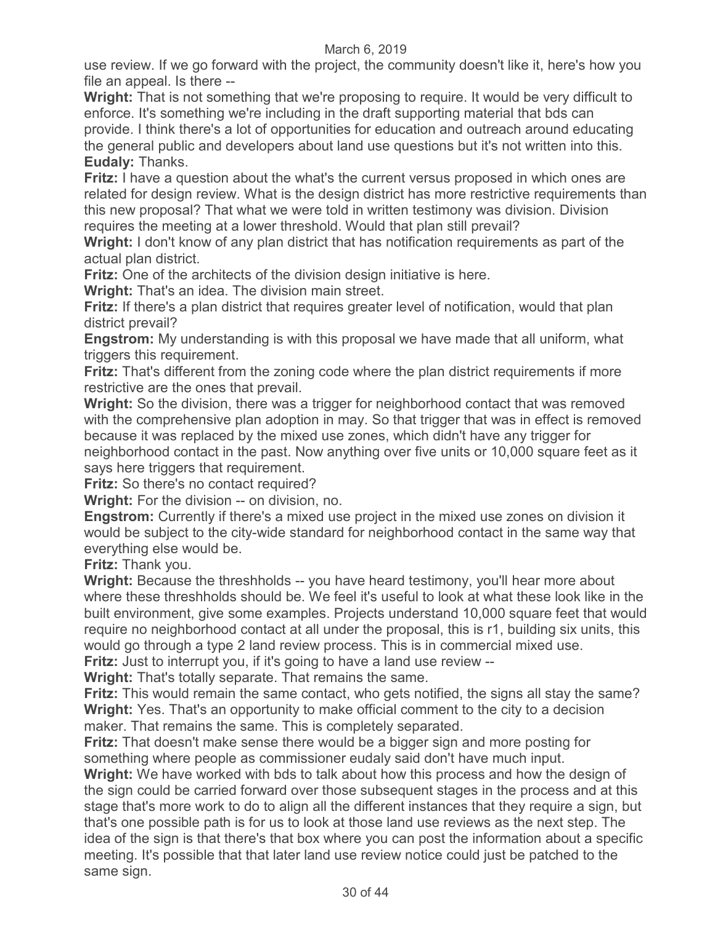use review. If we go forward with the project, the community doesn't like it, here's how you file an appeal. Is there --

**Wright:** That is not something that we're proposing to require. It would be very difficult to enforce. It's something we're including in the draft supporting material that bds can provide. I think there's a lot of opportunities for education and outreach around educating the general public and developers about land use questions but it's not written into this. **Eudaly:** Thanks.

**Fritz:** I have a question about the what's the current versus proposed in which ones are related for design review. What is the design district has more restrictive requirements than this new proposal? That what we were told in written testimony was division. Division requires the meeting at a lower threshold. Would that plan still prevail?

**Wright:** I don't know of any plan district that has notification requirements as part of the actual plan district.

**Fritz:** One of the architects of the division design initiative is here.

**Wright:** That's an idea. The division main street.

**Fritz:** If there's a plan district that requires greater level of notification, would that plan district prevail?

**Engstrom:** My understanding is with this proposal we have made that all uniform, what triggers this requirement.

**Fritz:** That's different from the zoning code where the plan district requirements if more restrictive are the ones that prevail.

**Wright:** So the division, there was a trigger for neighborhood contact that was removed with the comprehensive plan adoption in may. So that trigger that was in effect is removed because it was replaced by the mixed use zones, which didn't have any trigger for neighborhood contact in the past. Now anything over five units or 10,000 square feet as it says here triggers that requirement.

**Fritz:** So there's no contact required?

**Wright:** For the division -- on division, no.

**Engstrom:** Currently if there's a mixed use project in the mixed use zones on division it would be subject to the city-wide standard for neighborhood contact in the same way that everything else would be.

**Fritz:** Thank you.

**Wright:** Because the threshholds -- you have heard testimony, you'll hear more about where these threshholds should be. We feel it's useful to look at what these look like in the built environment, give some examples. Projects understand 10,000 square feet that would require no neighborhood contact at all under the proposal, this is r1, building six units, this would go through a type 2 land review process. This is in commercial mixed use.

**Fritz:** Just to interrupt you, if it's going to have a land use review --

**Wright:** That's totally separate. That remains the same.

**Fritz:** This would remain the same contact, who gets notified, the signs all stay the same? **Wright:** Yes. That's an opportunity to make official comment to the city to a decision maker. That remains the same. This is completely separated.

**Fritz:** That doesn't make sense there would be a bigger sign and more posting for something where people as commissioner eudaly said don't have much input.

**Wright:** We have worked with bds to talk about how this process and how the design of the sign could be carried forward over those subsequent stages in the process and at this stage that's more work to do to align all the different instances that they require a sign, but that's one possible path is for us to look at those land use reviews as the next step. The idea of the sign is that there's that box where you can post the information about a specific meeting. It's possible that that later land use review notice could just be patched to the same sign.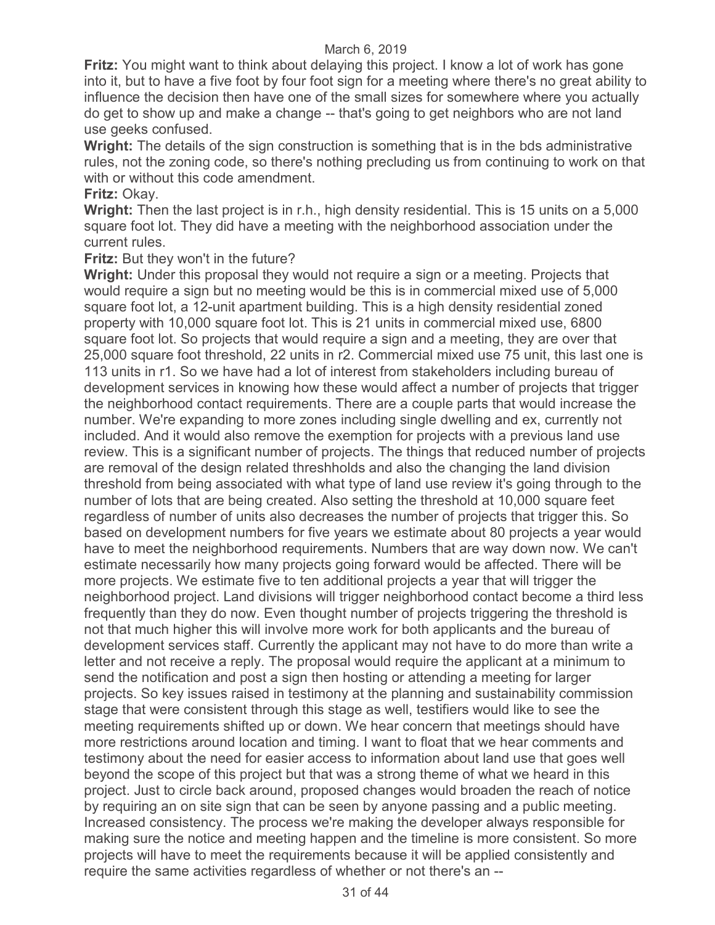**Fritz:** You might want to think about delaying this project. I know a lot of work has gone into it, but to have a five foot by four foot sign for a meeting where there's no great ability to influence the decision then have one of the small sizes for somewhere where you actually do get to show up and make a change -- that's going to get neighbors who are not land use geeks confused.

**Wright:** The details of the sign construction is something that is in the bds administrative rules, not the zoning code, so there's nothing precluding us from continuing to work on that with or without this code amendment.

## **Fritz:** Okay.

**Wright:** Then the last project is in r.h., high density residential. This is 15 units on a 5,000 square foot lot. They did have a meeting with the neighborhood association under the current rules.

## **Fritz:** But they won't in the future?

**Wright:** Under this proposal they would not require a sign or a meeting. Projects that would require a sign but no meeting would be this is in commercial mixed use of 5,000 square foot lot, a 12-unit apartment building. This is a high density residential zoned property with 10,000 square foot lot. This is 21 units in commercial mixed use, 6800 square foot lot. So projects that would require a sign and a meeting, they are over that 25,000 square foot threshold, 22 units in r2. Commercial mixed use 75 unit, this last one is 113 units in r1. So we have had a lot of interest from stakeholders including bureau of development services in knowing how these would affect a number of projects that trigger the neighborhood contact requirements. There are a couple parts that would increase the number. We're expanding to more zones including single dwelling and ex, currently not included. And it would also remove the exemption for projects with a previous land use review. This is a significant number of projects. The things that reduced number of projects are removal of the design related threshholds and also the changing the land division threshold from being associated with what type of land use review it's going through to the number of lots that are being created. Also setting the threshold at 10,000 square feet regardless of number of units also decreases the number of projects that trigger this. So based on development numbers for five years we estimate about 80 projects a year would have to meet the neighborhood requirements. Numbers that are way down now. We can't estimate necessarily how many projects going forward would be affected. There will be more projects. We estimate five to ten additional projects a year that will trigger the neighborhood project. Land divisions will trigger neighborhood contact become a third less frequently than they do now. Even thought number of projects triggering the threshold is not that much higher this will involve more work for both applicants and the bureau of development services staff. Currently the applicant may not have to do more than write a letter and not receive a reply. The proposal would require the applicant at a minimum to send the notification and post a sign then hosting or attending a meeting for larger projects. So key issues raised in testimony at the planning and sustainability commission stage that were consistent through this stage as well, testifiers would like to see the meeting requirements shifted up or down. We hear concern that meetings should have more restrictions around location and timing. I want to float that we hear comments and testimony about the need for easier access to information about land use that goes well beyond the scope of this project but that was a strong theme of what we heard in this project. Just to circle back around, proposed changes would broaden the reach of notice by requiring an on site sign that can be seen by anyone passing and a public meeting. Increased consistency. The process we're making the developer always responsible for making sure the notice and meeting happen and the timeline is more consistent. So more projects will have to meet the requirements because it will be applied consistently and require the same activities regardless of whether or not there's an --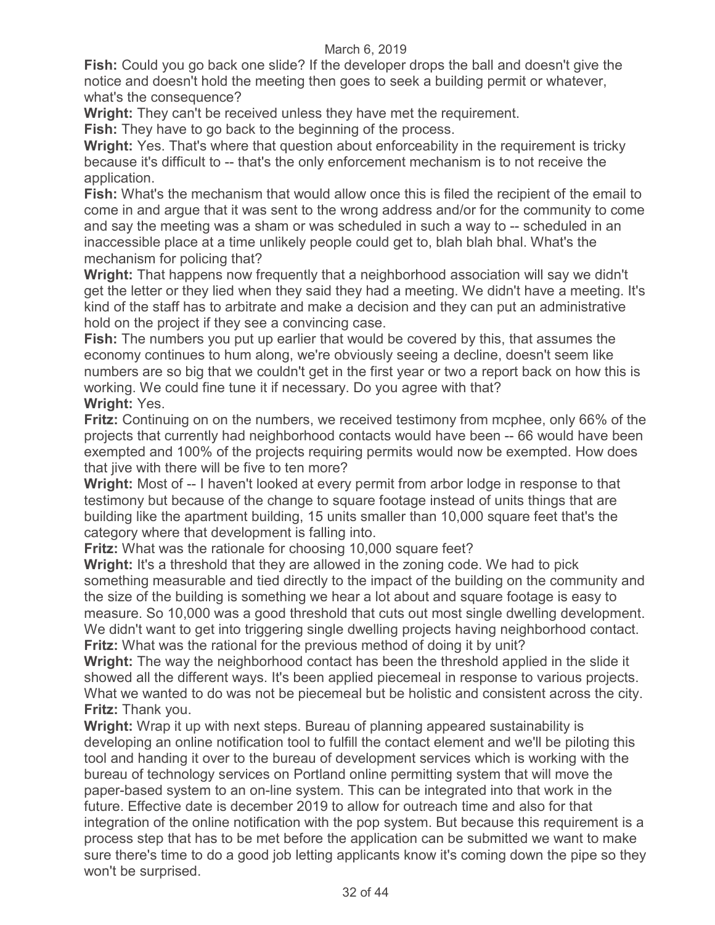**Fish:** Could you go back one slide? If the developer drops the ball and doesn't give the notice and doesn't hold the meeting then goes to seek a building permit or whatever, what's the consequence?

**Wright:** They can't be received unless they have met the requirement.

**Fish:** They have to go back to the beginning of the process.

**Wright:** Yes. That's where that question about enforceability in the requirement is tricky because it's difficult to -- that's the only enforcement mechanism is to not receive the application.

**Fish:** What's the mechanism that would allow once this is filed the recipient of the email to come in and argue that it was sent to the wrong address and/or for the community to come and say the meeting was a sham or was scheduled in such a way to -- scheduled in an inaccessible place at a time unlikely people could get to, blah blah bhal. What's the mechanism for policing that?

**Wright:** That happens now frequently that a neighborhood association will say we didn't get the letter or they lied when they said they had a meeting. We didn't have a meeting. It's kind of the staff has to arbitrate and make a decision and they can put an administrative hold on the project if they see a convincing case.

**Fish:** The numbers you put up earlier that would be covered by this, that assumes the economy continues to hum along, we're obviously seeing a decline, doesn't seem like numbers are so big that we couldn't get in the first year or two a report back on how this is working. We could fine tune it if necessary. Do you agree with that? **Wright:** Yes.

**Fritz:** Continuing on on the numbers, we received testimony from mcphee, only 66% of the projects that currently had neighborhood contacts would have been -- 66 would have been exempted and 100% of the projects requiring permits would now be exempted. How does that jive with there will be five to ten more?

**Wright:** Most of -- I haven't looked at every permit from arbor lodge in response to that testimony but because of the change to square footage instead of units things that are building like the apartment building, 15 units smaller than 10,000 square feet that's the category where that development is falling into.

**Fritz:** What was the rationale for choosing 10,000 square feet?

**Wright:** It's a threshold that they are allowed in the zoning code. We had to pick something measurable and tied directly to the impact of the building on the community and the size of the building is something we hear a lot about and square footage is easy to measure. So 10,000 was a good threshold that cuts out most single dwelling development. We didn't want to get into triggering single dwelling projects having neighborhood contact. **Fritz:** What was the rational for the previous method of doing it by unit?

**Wright:** The way the neighborhood contact has been the threshold applied in the slide it showed all the different ways. It's been applied piecemeal in response to various projects. What we wanted to do was not be piecemeal but be holistic and consistent across the city. **Fritz:** Thank you.

**Wright:** Wrap it up with next steps. Bureau of planning appeared sustainability is developing an online notification tool to fulfill the contact element and we'll be piloting this tool and handing it over to the bureau of development services which is working with the bureau of technology services on Portland online permitting system that will move the paper-based system to an on-line system. This can be integrated into that work in the future. Effective date is december 2019 to allow for outreach time and also for that integration of the online notification with the pop system. But because this requirement is a process step that has to be met before the application can be submitted we want to make sure there's time to do a good job letting applicants know it's coming down the pipe so they won't be surprised.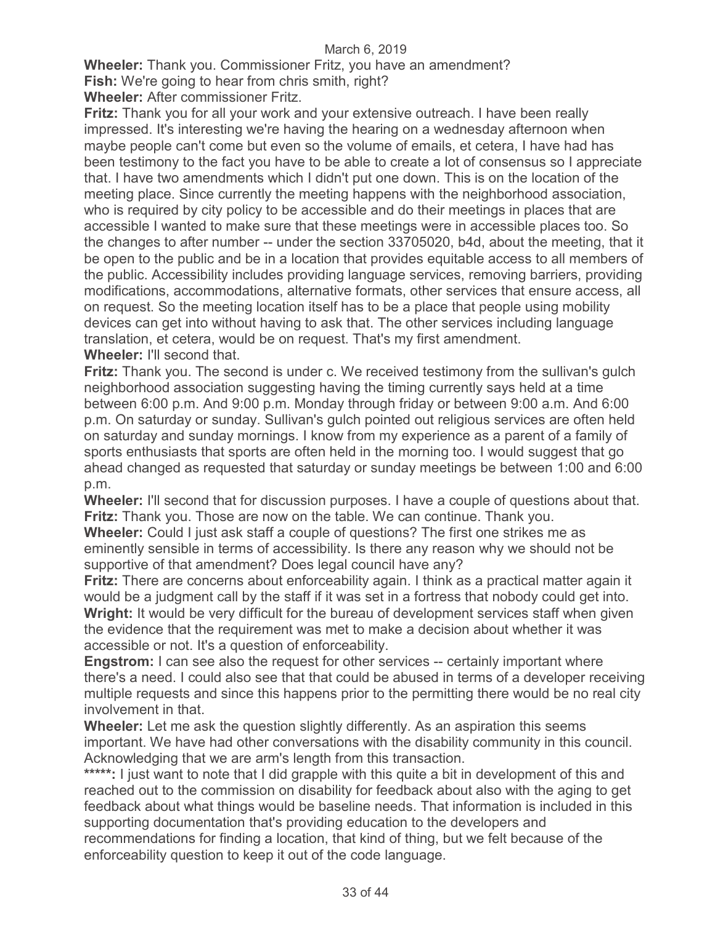**Wheeler:** Thank you. Commissioner Fritz, you have an amendment?

**Fish:** We're going to hear from chris smith, right?

**Wheeler:** After commissioner Fritz.

**Fritz:** Thank you for all your work and your extensive outreach. I have been really impressed. It's interesting we're having the hearing on a wednesday afternoon when maybe people can't come but even so the volume of emails, et cetera, I have had has been testimony to the fact you have to be able to create a lot of consensus so I appreciate that. I have two amendments which I didn't put one down. This is on the location of the meeting place. Since currently the meeting happens with the neighborhood association, who is required by city policy to be accessible and do their meetings in places that are accessible I wanted to make sure that these meetings were in accessible places too. So the changes to after number -- under the section 33705020, b4d, about the meeting, that it be open to the public and be in a location that provides equitable access to all members of the public. Accessibility includes providing language services, removing barriers, providing modifications, accommodations, alternative formats, other services that ensure access, all on request. So the meeting location itself has to be a place that people using mobility devices can get into without having to ask that. The other services including language translation, et cetera, would be on request. That's my first amendment. **Wheeler:** I'll second that.

**Fritz:** Thank you. The second is under c. We received testimony from the sullivan's gulch neighborhood association suggesting having the timing currently says held at a time between 6:00 p.m. And 9:00 p.m. Monday through friday or between 9:00 a.m. And 6:00 p.m. On saturday or sunday. Sullivan's gulch pointed out religious services are often held on saturday and sunday mornings. I know from my experience as a parent of a family of sports enthusiasts that sports are often held in the morning too. I would suggest that go ahead changed as requested that saturday or sunday meetings be between 1:00 and 6:00 p.m.

**Wheeler:** I'll second that for discussion purposes. I have a couple of questions about that. **Fritz:** Thank you. Those are now on the table. We can continue. Thank you.

**Wheeler:** Could I just ask staff a couple of questions? The first one strikes me as eminently sensible in terms of accessibility. Is there any reason why we should not be supportive of that amendment? Does legal council have any?

**Fritz:** There are concerns about enforceability again. I think as a practical matter again it would be a judgment call by the staff if it was set in a fortress that nobody could get into. Wright: It would be very difficult for the bureau of development services staff when given the evidence that the requirement was met to make a decision about whether it was accessible or not. It's a question of enforceability.

**Engstrom:** I can see also the request for other services -- certainly important where there's a need. I could also see that that could be abused in terms of a developer receiving multiple requests and since this happens prior to the permitting there would be no real city involvement in that.

**Wheeler:** Let me ask the question slightly differently. As an aspiration this seems important. We have had other conversations with the disability community in this council. Acknowledging that we are arm's length from this transaction.

\*\*\*\*\*: I just want to note that I did grapple with this quite a bit in development of this and reached out to the commission on disability for feedback about also with the aging to get feedback about what things would be baseline needs. That information is included in this supporting documentation that's providing education to the developers and recommendations for finding a location, that kind of thing, but we felt because of the enforceability question to keep it out of the code language.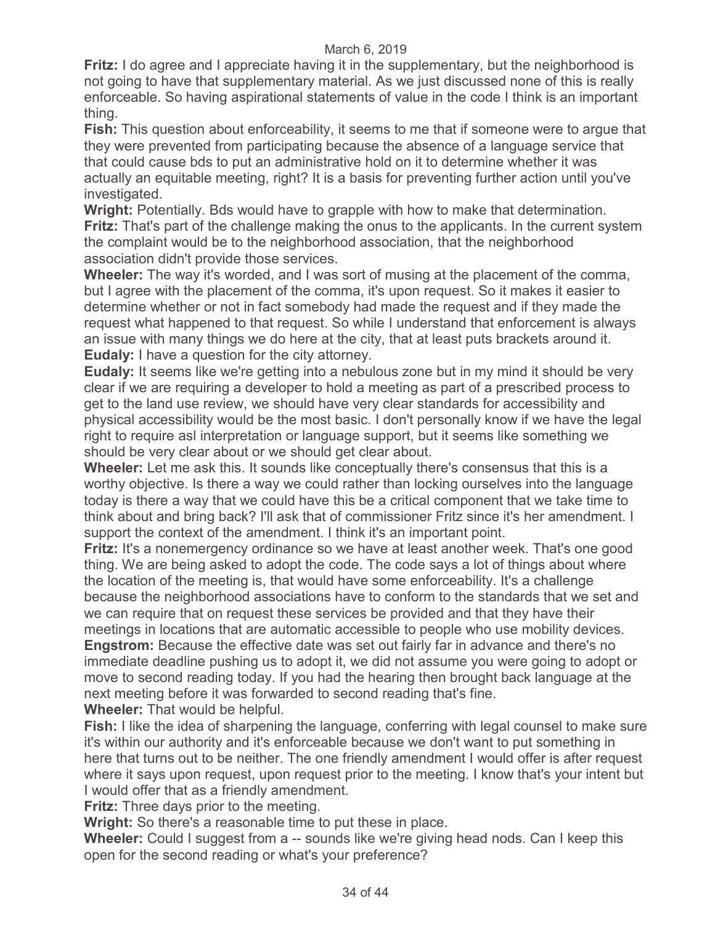**Fritz:** I do agree and I appreciate having it in the supplementary, but the neighborhood is not going to have that supplementary material. As we just discussed none of this is really enforceable. So having aspirational statements of value in the code I think is an important thing.

**Fish:** This question about enforceability, it seems to me that if someone were to argue that they were prevented from participating because the absence of a language service that that could cause bds to put an administrative hold on it to determine whether it was actually an equitable meeting, right? It is a basis for preventing further action until you've investigated.

**Wright:** Potentially. Bds would have to grapple with how to make that determination. **Fritz:** That's part of the challenge making the onus to the applicants. In the current system the complaint would be to the neighborhood association, that the neighborhood association didn't provide those services.

**Wheeler:** The way it's worded, and I was sort of musing at the placement of the comma, but I agree with the placement of the comma, it's upon request. So it makes it easier to determine whether or not in fact somebody had made the request and if they made the request what happened to that request. So while I understand that enforcement is always an issue with many things we do here at the city, that at least puts brackets around it. **Eudaly:** I have a question for the city attorney.

**Eudaly:** It seems like we're getting into a nebulous zone but in my mind it should be very clear if we are requiring a developer to hold a meeting as part of a prescribed process to get to the land use review, we should have very clear standards for accessibility and physical accessibility would be the most basic. I don't personally know if we have the legal right to require asl interpretation or language support, but it seems like something we should be very clear about or we should get clear about.

**Wheeler:** Let me ask this. It sounds like conceptually there's consensus that this is a worthy objective. Is there a way we could rather than locking ourselves into the language today is there a way that we could have this be a critical component that we take time to think about and bring back? I'll ask that of commissioner Fritz since it's her amendment. I support the context of the amendment. I think it's an important point.

**Fritz:** It's a nonemergency ordinance so we have at least another week. That's one good thing. We are being asked to adopt the code. The code says a lot of things about where the location of the meeting is, that would have some enforceability. It's a challenge because the neighborhood associations have to conform to the standards that we set and we can require that on request these services be provided and that they have their meetings in locations that are automatic accessible to people who use mobility devices.

**Engstrom:** Because the effective date was set out fairly far in advance and there's no immediate deadline pushing us to adopt it, we did not assume you were going to adopt or move to second reading today. If you had the hearing then brought back language at the next meeting before it was forwarded to second reading that's fine.

**Wheeler:** That would be helpful.

**Fish:** I like the idea of sharpening the language, conferring with legal counsel to make sure it's within our authority and it's enforceable because we don't want to put something in here that turns out to be neither. The one friendly amendment I would offer is after request where it says upon request, upon request prior to the meeting. I know that's your intent but I would offer that as a friendly amendment.

**Fritz:** Three days prior to the meeting.

**Wright:** So there's a reasonable time to put these in place.

**Wheeler:** Could I suggest from a -- sounds like we're giving head nods. Can I keep this open for the second reading or what's your preference?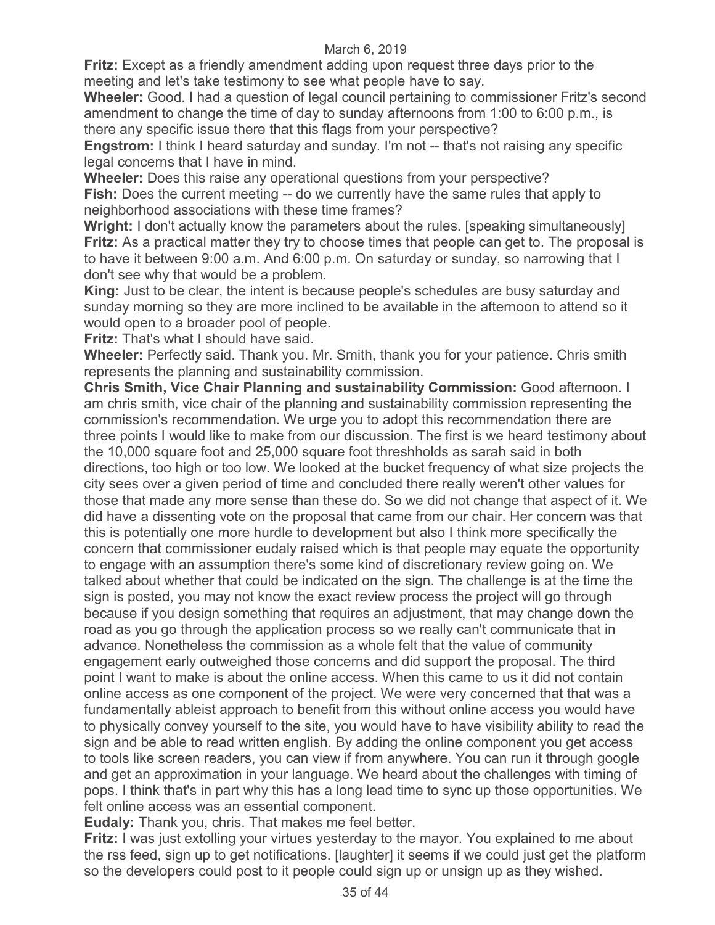**Fritz:** Except as a friendly amendment adding upon request three days prior to the meeting and let's take testimony to see what people have to say.

**Wheeler:** Good. I had a question of legal council pertaining to commissioner Fritz's second amendment to change the time of day to sunday afternoons from 1:00 to 6:00 p.m., is there any specific issue there that this flags from your perspective?

**Engstrom:** I think I heard saturday and sunday. I'm not -- that's not raising any specific legal concerns that I have in mind.

**Wheeler:** Does this raise any operational questions from your perspective? **Fish:** Does the current meeting -- do we currently have the same rules that apply to neighborhood associations with these time frames?

**Wright:** I don't actually know the parameters about the rules. [speaking simultaneously] **Fritz:** As a practical matter they try to choose times that people can get to. The proposal is to have it between 9:00 a.m. And 6:00 p.m. On saturday or sunday, so narrowing that I don't see why that would be a problem.

**King:** Just to be clear, the intent is because people's schedules are busy saturday and sunday morning so they are more inclined to be available in the afternoon to attend so it would open to a broader pool of people.

**Fritz:** That's what I should have said.

**Wheeler:** Perfectly said. Thank you. Mr. Smith, thank you for your patience. Chris smith represents the planning and sustainability commission.

**Chris Smith, Vice Chair Planning and sustainability Commission:** Good afternoon. I am chris smith, vice chair of the planning and sustainability commission representing the commission's recommendation. We urge you to adopt this recommendation there are three points I would like to make from our discussion. The first is we heard testimony about the 10,000 square foot and 25,000 square foot threshholds as sarah said in both directions, too high or too low. We looked at the bucket frequency of what size projects the city sees over a given period of time and concluded there really weren't other values for those that made any more sense than these do. So we did not change that aspect of it. We did have a dissenting vote on the proposal that came from our chair. Her concern was that this is potentially one more hurdle to development but also I think more specifically the concern that commissioner eudaly raised which is that people may equate the opportunity to engage with an assumption there's some kind of discretionary review going on. We talked about whether that could be indicated on the sign. The challenge is at the time the sign is posted, you may not know the exact review process the project will go through because if you design something that requires an adjustment, that may change down the road as you go through the application process so we really can't communicate that in advance. Nonetheless the commission as a whole felt that the value of community engagement early outweighed those concerns and did support the proposal. The third point I want to make is about the online access. When this came to us it did not contain online access as one component of the project. We were very concerned that that was a fundamentally ableist approach to benefit from this without online access you would have to physically convey yourself to the site, you would have to have visibility ability to read the sign and be able to read written english. By adding the online component you get access to tools like screen readers, you can view if from anywhere. You can run it through google and get an approximation in your language. We heard about the challenges with timing of pops. I think that's in part why this has a long lead time to sync up those opportunities. We felt online access was an essential component.

**Eudaly:** Thank you, chris. That makes me feel better.

**Fritz:** I was just extolling your virtues yesterday to the mayor. You explained to me about the rss feed, sign up to get notifications. [laughter] it seems if we could just get the platform so the developers could post to it people could sign up or unsign up as they wished.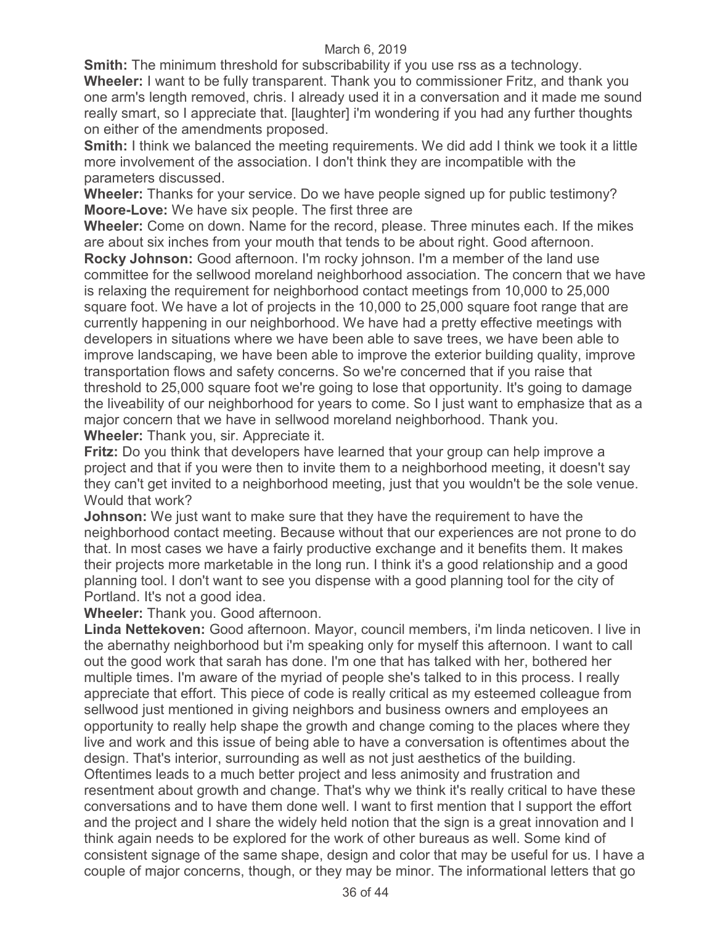**Smith:** The minimum threshold for subscribability if you use rss as a technology. **Wheeler:** I want to be fully transparent. Thank you to commissioner Fritz, and thank you one arm's length removed, chris. I already used it in a conversation and it made me sound really smart, so I appreciate that. [laughter] i'm wondering if you had any further thoughts on either of the amendments proposed.

**Smith:** I think we balanced the meeting requirements. We did add I think we took it a little more involvement of the association. I don't think they are incompatible with the parameters discussed.

**Wheeler:** Thanks for your service. Do we have people signed up for public testimony? **Moore-Love:** We have six people. The first three are

**Wheeler:** Come on down. Name for the record, please. Three minutes each. If the mikes are about six inches from your mouth that tends to be about right. Good afternoon.

**Rocky Johnson:** Good afternoon. I'm rocky johnson. I'm a member of the land use committee for the sellwood moreland neighborhood association. The concern that we have is relaxing the requirement for neighborhood contact meetings from 10,000 to 25,000 square foot. We have a lot of projects in the 10,000 to 25,000 square foot range that are currently happening in our neighborhood. We have had a pretty effective meetings with developers in situations where we have been able to save trees, we have been able to improve landscaping, we have been able to improve the exterior building quality, improve transportation flows and safety concerns. So we're concerned that if you raise that threshold to 25,000 square foot we're going to lose that opportunity. It's going to damage the liveability of our neighborhood for years to come. So I just want to emphasize that as a major concern that we have in sellwood moreland neighborhood. Thank you. **Wheeler:** Thank you, sir. Appreciate it.

**Fritz:** Do you think that developers have learned that your group can help improve a project and that if you were then to invite them to a neighborhood meeting, it doesn't say they can't get invited to a neighborhood meeting, just that you wouldn't be the sole venue. Would that work?

**Johnson:** We just want to make sure that they have the requirement to have the neighborhood contact meeting. Because without that our experiences are not prone to do that. In most cases we have a fairly productive exchange and it benefits them. It makes their projects more marketable in the long run. I think it's a good relationship and a good planning tool. I don't want to see you dispense with a good planning tool for the city of Portland. It's not a good idea.

**Wheeler:** Thank you. Good afternoon.

**Linda Nettekoven:** Good afternoon. Mayor, council members, i'm linda neticoven. I live in the abernathy neighborhood but i'm speaking only for myself this afternoon. I want to call out the good work that sarah has done. I'm one that has talked with her, bothered her multiple times. I'm aware of the myriad of people she's talked to in this process. I really appreciate that effort. This piece of code is really critical as my esteemed colleague from sellwood just mentioned in giving neighbors and business owners and employees an opportunity to really help shape the growth and change coming to the places where they live and work and this issue of being able to have a conversation is oftentimes about the design. That's interior, surrounding as well as not just aesthetics of the building. Oftentimes leads to a much better project and less animosity and frustration and resentment about growth and change. That's why we think it's really critical to have these conversations and to have them done well. I want to first mention that I support the effort and the project and I share the widely held notion that the sign is a great innovation and I think again needs to be explored for the work of other bureaus as well. Some kind of consistent signage of the same shape, design and color that may be useful for us. I have a couple of major concerns, though, or they may be minor. The informational letters that go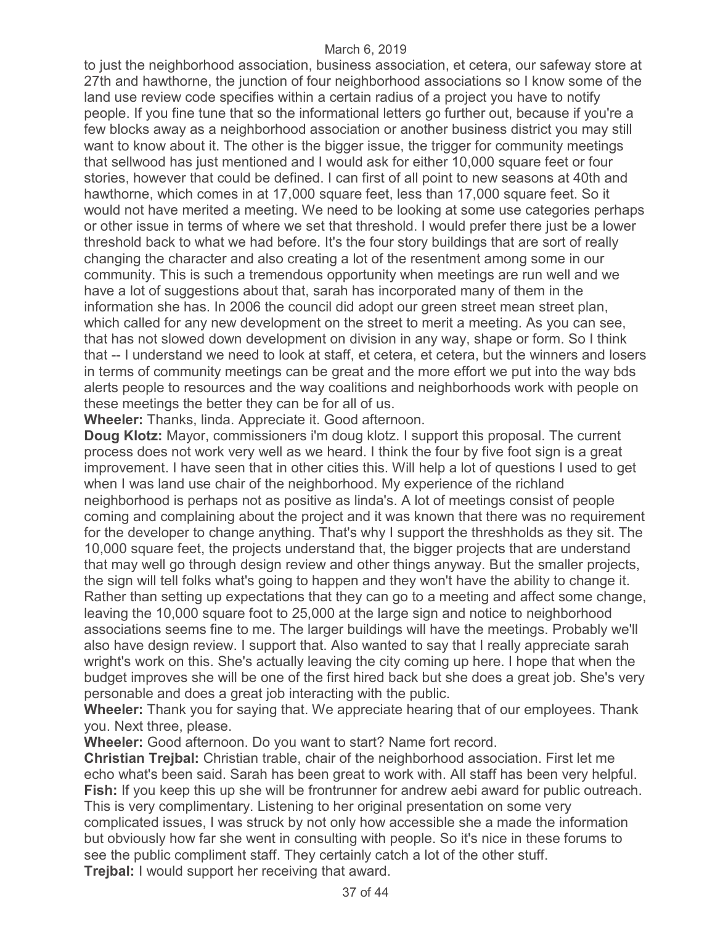to just the neighborhood association, business association, et cetera, our safeway store at 27th and hawthorne, the junction of four neighborhood associations so I know some of the land use review code specifies within a certain radius of a project you have to notify people. If you fine tune that so the informational letters go further out, because if you're a few blocks away as a neighborhood association or another business district you may still want to know about it. The other is the bigger issue, the trigger for community meetings that sellwood has just mentioned and I would ask for either 10,000 square feet or four stories, however that could be defined. I can first of all point to new seasons at 40th and hawthorne, which comes in at 17,000 square feet, less than 17,000 square feet. So it would not have merited a meeting. We need to be looking at some use categories perhaps or other issue in terms of where we set that threshold. I would prefer there just be a lower threshold back to what we had before. It's the four story buildings that are sort of really changing the character and also creating a lot of the resentment among some in our community. This is such a tremendous opportunity when meetings are run well and we have a lot of suggestions about that, sarah has incorporated many of them in the information she has. In 2006 the council did adopt our green street mean street plan, which called for any new development on the street to merit a meeting. As you can see, that has not slowed down development on division in any way, shape or form. So I think that -- I understand we need to look at staff, et cetera, et cetera, but the winners and losers in terms of community meetings can be great and the more effort we put into the way bds alerts people to resources and the way coalitions and neighborhoods work with people on these meetings the better they can be for all of us.

**Wheeler:** Thanks, linda. Appreciate it. Good afternoon.

**Doug Klotz:** Mayor, commissioners i'm doug klotz. I support this proposal. The current process does not work very well as we heard. I think the four by five foot sign is a great improvement. I have seen that in other cities this. Will help a lot of questions I used to get when I was land use chair of the neighborhood. My experience of the richland neighborhood is perhaps not as positive as linda's. A lot of meetings consist of people coming and complaining about the project and it was known that there was no requirement for the developer to change anything. That's why I support the threshholds as they sit. The 10,000 square feet, the projects understand that, the bigger projects that are understand that may well go through design review and other things anyway. But the smaller projects, the sign will tell folks what's going to happen and they won't have the ability to change it. Rather than setting up expectations that they can go to a meeting and affect some change, leaving the 10,000 square foot to 25,000 at the large sign and notice to neighborhood associations seems fine to me. The larger buildings will have the meetings. Probably we'll also have design review. I support that. Also wanted to say that I really appreciate sarah wright's work on this. She's actually leaving the city coming up here. I hope that when the budget improves she will be one of the first hired back but she does a great job. She's very personable and does a great job interacting with the public.

**Wheeler:** Thank you for saying that. We appreciate hearing that of our employees. Thank you. Next three, please.

**Wheeler:** Good afternoon. Do you want to start? Name fort record.

**Christian Trejbal:** Christian trable, chair of the neighborhood association. First let me echo what's been said. Sarah has been great to work with. All staff has been very helpful. **Fish:** If you keep this up she will be frontrunner for andrew aebi award for public outreach. This is very complimentary. Listening to her original presentation on some very complicated issues, I was struck by not only how accessible she a made the information but obviously how far she went in consulting with people. So it's nice in these forums to see the public compliment staff. They certainly catch a lot of the other stuff. **Trejbal:** I would support her receiving that award.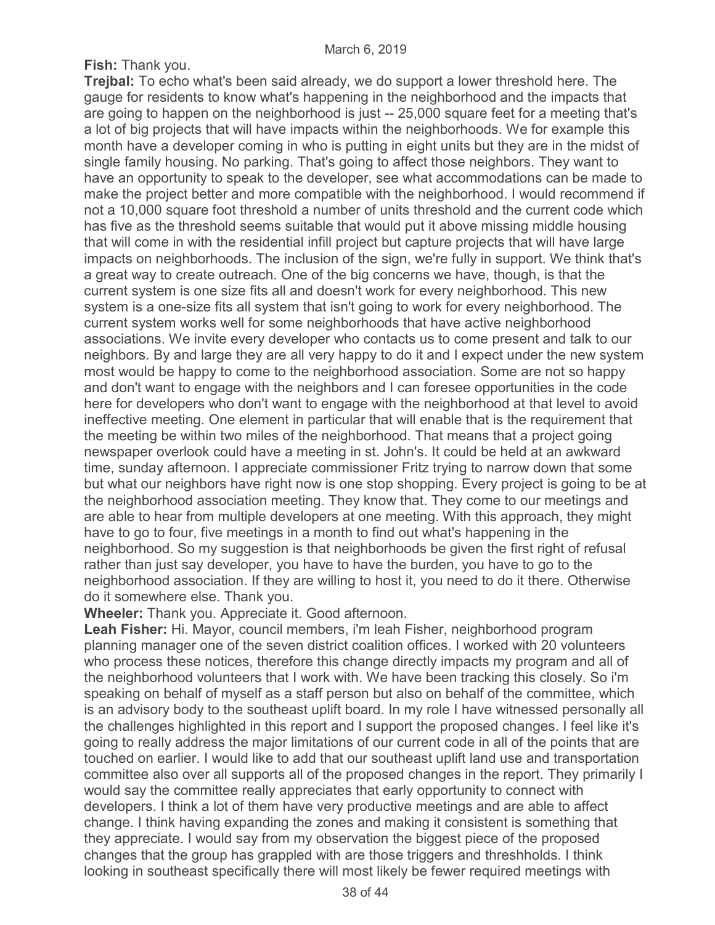**Fish:** Thank you.

**Trejbal:** To echo what's been said already, we do support a lower threshold here. The gauge for residents to know what's happening in the neighborhood and the impacts that are going to happen on the neighborhood is just -- 25,000 square feet for a meeting that's a lot of big projects that will have impacts within the neighborhoods. We for example this month have a developer coming in who is putting in eight units but they are in the midst of single family housing. No parking. That's going to affect those neighbors. They want to have an opportunity to speak to the developer, see what accommodations can be made to make the project better and more compatible with the neighborhood. I would recommend if not a 10,000 square foot threshold a number of units threshold and the current code which has five as the threshold seems suitable that would put it above missing middle housing that will come in with the residential infill project but capture projects that will have large impacts on neighborhoods. The inclusion of the sign, we're fully in support. We think that's a great way to create outreach. One of the big concerns we have, though, is that the current system is one size fits all and doesn't work for every neighborhood. This new system is a one-size fits all system that isn't going to work for every neighborhood. The current system works well for some neighborhoods that have active neighborhood associations. We invite every developer who contacts us to come present and talk to our neighbors. By and large they are all very happy to do it and I expect under the new system most would be happy to come to the neighborhood association. Some are not so happy and don't want to engage with the neighbors and I can foresee opportunities in the code here for developers who don't want to engage with the neighborhood at that level to avoid ineffective meeting. One element in particular that will enable that is the requirement that the meeting be within two miles of the neighborhood. That means that a project going newspaper overlook could have a meeting in st. John's. It could be held at an awkward time, sunday afternoon. I appreciate commissioner Fritz trying to narrow down that some but what our neighbors have right now is one stop shopping. Every project is going to be at the neighborhood association meeting. They know that. They come to our meetings and are able to hear from multiple developers at one meeting. With this approach, they might have to go to four, five meetings in a month to find out what's happening in the neighborhood. So my suggestion is that neighborhoods be given the first right of refusal rather than just say developer, you have to have the burden, you have to go to the neighborhood association. If they are willing to host it, you need to do it there. Otherwise do it somewhere else. Thank you.

**Wheeler:** Thank you. Appreciate it. Good afternoon.

**Leah Fisher:** Hi. Mayor, council members, i'm leah Fisher, neighborhood program planning manager one of the seven district coalition offices. I worked with 20 volunteers who process these notices, therefore this change directly impacts my program and all of the neighborhood volunteers that I work with. We have been tracking this closely. So i'm speaking on behalf of myself as a staff person but also on behalf of the committee, which is an advisory body to the southeast uplift board. In my role I have witnessed personally all the challenges highlighted in this report and I support the proposed changes. I feel like it's going to really address the major limitations of our current code in all of the points that are touched on earlier. I would like to add that our southeast uplift land use and transportation committee also over all supports all of the proposed changes in the report. They primarily I would say the committee really appreciates that early opportunity to connect with developers. I think a lot of them have very productive meetings and are able to affect change. I think having expanding the zones and making it consistent is something that they appreciate. I would say from my observation the biggest piece of the proposed changes that the group has grappled with are those triggers and threshholds. I think looking in southeast specifically there will most likely be fewer required meetings with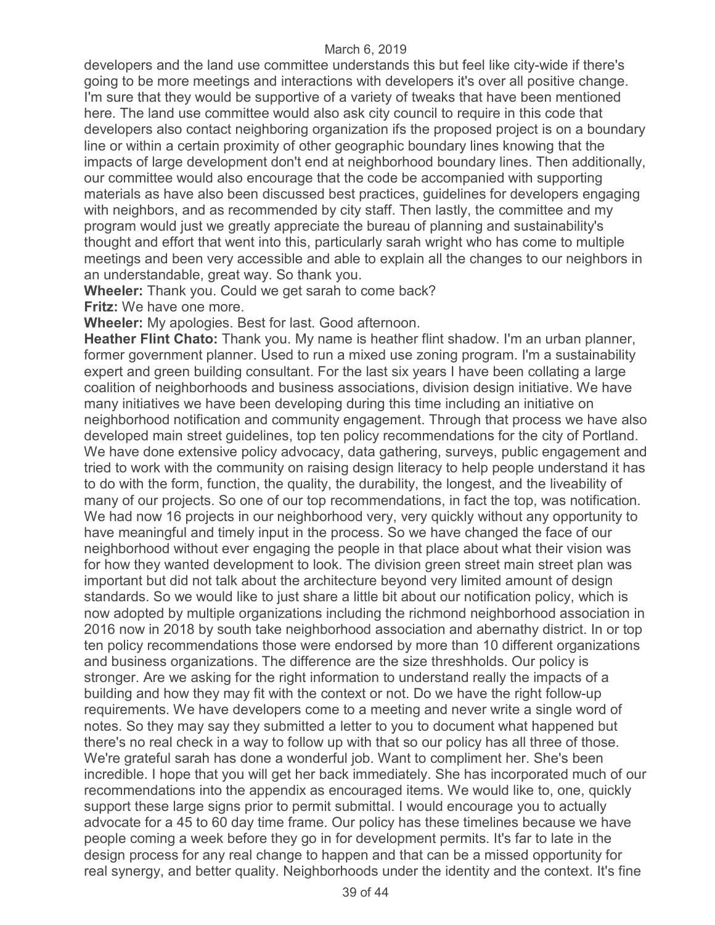developers and the land use committee understands this but feel like city-wide if there's going to be more meetings and interactions with developers it's over all positive change. I'm sure that they would be supportive of a variety of tweaks that have been mentioned here. The land use committee would also ask city council to require in this code that developers also contact neighboring organization ifs the proposed project is on a boundary line or within a certain proximity of other geographic boundary lines knowing that the impacts of large development don't end at neighborhood boundary lines. Then additionally, our committee would also encourage that the code be accompanied with supporting materials as have also been discussed best practices, guidelines for developers engaging with neighbors, and as recommended by city staff. Then lastly, the committee and my program would just we greatly appreciate the bureau of planning and sustainability's thought and effort that went into this, particularly sarah wright who has come to multiple meetings and been very accessible and able to explain all the changes to our neighbors in an understandable, great way. So thank you.

**Wheeler:** Thank you. Could we get sarah to come back?

**Fritz:** We have one more.

**Wheeler:** My apologies. Best for last. Good afternoon.

**Heather Flint Chato:** Thank you. My name is heather flint shadow. I'm an urban planner, former government planner. Used to run a mixed use zoning program. I'm a sustainability expert and green building consultant. For the last six years I have been collating a large coalition of neighborhoods and business associations, division design initiative. We have many initiatives we have been developing during this time including an initiative on neighborhood notification and community engagement. Through that process we have also developed main street guidelines, top ten policy recommendations for the city of Portland. We have done extensive policy advocacy, data gathering, surveys, public engagement and tried to work with the community on raising design literacy to help people understand it has to do with the form, function, the quality, the durability, the longest, and the liveability of many of our projects. So one of our top recommendations, in fact the top, was notification. We had now 16 projects in our neighborhood very, very quickly without any opportunity to have meaningful and timely input in the process. So we have changed the face of our neighborhood without ever engaging the people in that place about what their vision was for how they wanted development to look. The division green street main street plan was important but did not talk about the architecture beyond very limited amount of design standards. So we would like to just share a little bit about our notification policy, which is now adopted by multiple organizations including the richmond neighborhood association in 2016 now in 2018 by south take neighborhood association and abernathy district. In or top ten policy recommendations those were endorsed by more than 10 different organizations and business organizations. The difference are the size threshholds. Our policy is stronger. Are we asking for the right information to understand really the impacts of a building and how they may fit with the context or not. Do we have the right follow-up requirements. We have developers come to a meeting and never write a single word of notes. So they may say they submitted a letter to you to document what happened but there's no real check in a way to follow up with that so our policy has all three of those. We're grateful sarah has done a wonderful job. Want to compliment her. She's been incredible. I hope that you will get her back immediately. She has incorporated much of our recommendations into the appendix as encouraged items. We would like to, one, quickly support these large signs prior to permit submittal. I would encourage you to actually advocate for a 45 to 60 day time frame. Our policy has these timelines because we have people coming a week before they go in for development permits. It's far to late in the design process for any real change to happen and that can be a missed opportunity for real synergy, and better quality. Neighborhoods under the identity and the context. It's fine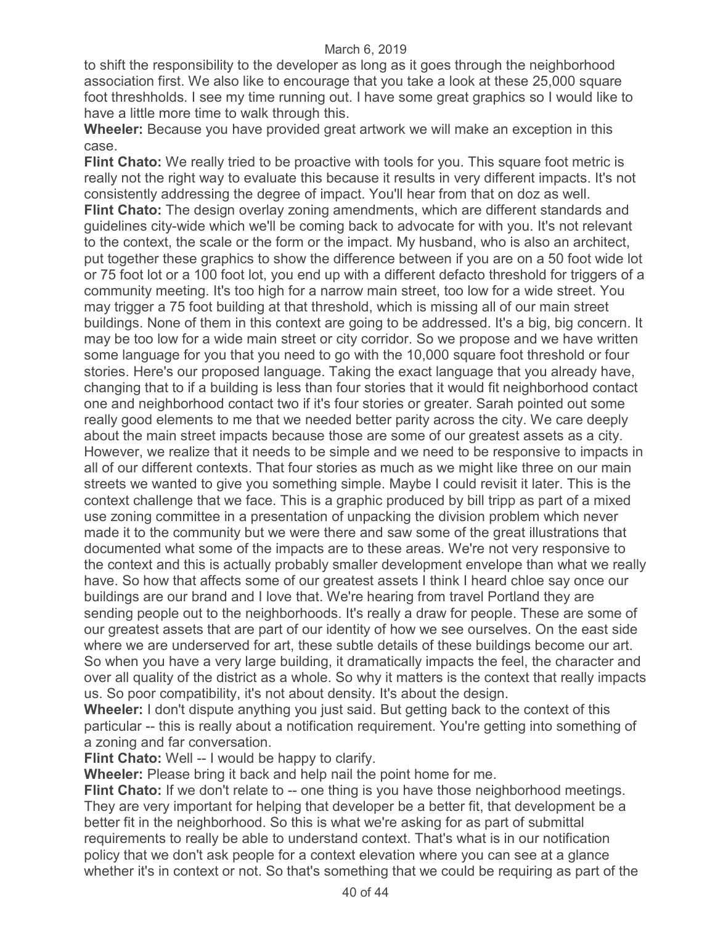to shift the responsibility to the developer as long as it goes through the neighborhood association first. We also like to encourage that you take a look at these 25,000 square foot threshholds. I see my time running out. I have some great graphics so I would like to have a little more time to walk through this.

**Wheeler:** Because you have provided great artwork we will make an exception in this case.

**Flint Chato:** We really tried to be proactive with tools for you. This square foot metric is really not the right way to evaluate this because it results in very different impacts. It's not consistently addressing the degree of impact. You'll hear from that on doz as well. **Flint Chato:** The design overlay zoning amendments, which are different standards and guidelines city-wide which we'll be coming back to advocate for with you. It's not relevant to the context, the scale or the form or the impact. My husband, who is also an architect, put together these graphics to show the difference between if you are on a 50 foot wide lot or 75 foot lot or a 100 foot lot, you end up with a different defacto threshold for triggers of a community meeting. It's too high for a narrow main street, too low for a wide street. You may trigger a 75 foot building at that threshold, which is missing all of our main street buildings. None of them in this context are going to be addressed. It's a big, big concern. It may be too low for a wide main street or city corridor. So we propose and we have written some language for you that you need to go with the 10,000 square foot threshold or four stories. Here's our proposed language. Taking the exact language that you already have, changing that to if a building is less than four stories that it would fit neighborhood contact one and neighborhood contact two if it's four stories or greater. Sarah pointed out some really good elements to me that we needed better parity across the city. We care deeply about the main street impacts because those are some of our greatest assets as a city. However, we realize that it needs to be simple and we need to be responsive to impacts in all of our different contexts. That four stories as much as we might like three on our main streets we wanted to give you something simple. Maybe I could revisit it later. This is the context challenge that we face. This is a graphic produced by bill tripp as part of a mixed use zoning committee in a presentation of unpacking the division problem which never made it to the community but we were there and saw some of the great illustrations that documented what some of the impacts are to these areas. We're not very responsive to the context and this is actually probably smaller development envelope than what we really have. So how that affects some of our greatest assets I think I heard chloe say once our buildings are our brand and I love that. We're hearing from travel Portland they are sending people out to the neighborhoods. It's really a draw for people. These are some of our greatest assets that are part of our identity of how we see ourselves. On the east side where we are underserved for art, these subtle details of these buildings become our art. So when you have a very large building, it dramatically impacts the feel, the character and over all quality of the district as a whole. So why it matters is the context that really impacts us. So poor compatibility, it's not about density. It's about the design.

**Wheeler:** I don't dispute anything you just said. But getting back to the context of this particular -- this is really about a notification requirement. You're getting into something of a zoning and far conversation.

**Flint Chato:** Well -- I would be happy to clarify.

**Wheeler:** Please bring it back and help nail the point home for me.

**Flint Chato:** If we don't relate to -- one thing is you have those neighborhood meetings. They are very important for helping that developer be a better fit, that development be a better fit in the neighborhood. So this is what we're asking for as part of submittal requirements to really be able to understand context. That's what is in our notification policy that we don't ask people for a context elevation where you can see at a glance whether it's in context or not. So that's something that we could be requiring as part of the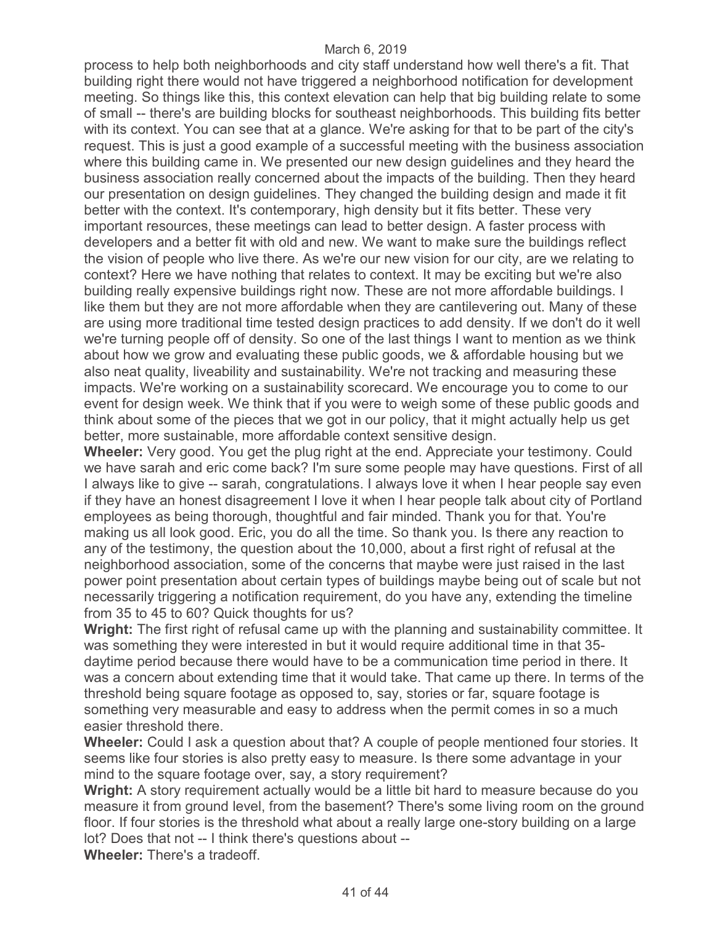process to help both neighborhoods and city staff understand how well there's a fit. That building right there would not have triggered a neighborhood notification for development meeting. So things like this, this context elevation can help that big building relate to some of small -- there's are building blocks for southeast neighborhoods. This building fits better with its context. You can see that at a glance. We're asking for that to be part of the city's request. This is just a good example of a successful meeting with the business association where this building came in. We presented our new design guidelines and they heard the business association really concerned about the impacts of the building. Then they heard our presentation on design guidelines. They changed the building design and made it fit better with the context. It's contemporary, high density but it fits better. These very important resources, these meetings can lead to better design. A faster process with developers and a better fit with old and new. We want to make sure the buildings reflect the vision of people who live there. As we're our new vision for our city, are we relating to context? Here we have nothing that relates to context. It may be exciting but we're also building really expensive buildings right now. These are not more affordable buildings. I like them but they are not more affordable when they are cantilevering out. Many of these are using more traditional time tested design practices to add density. If we don't do it well we're turning people off of density. So one of the last things I want to mention as we think about how we grow and evaluating these public goods, we & affordable housing but we also neat quality, liveability and sustainability. We're not tracking and measuring these impacts. We're working on a sustainability scorecard. We encourage you to come to our event for design week. We think that if you were to weigh some of these public goods and think about some of the pieces that we got in our policy, that it might actually help us get better, more sustainable, more affordable context sensitive design.

**Wheeler:** Very good. You get the plug right at the end. Appreciate your testimony. Could we have sarah and eric come back? I'm sure some people may have questions. First of all I always like to give -- sarah, congratulations. I always love it when I hear people say even if they have an honest disagreement I love it when I hear people talk about city of Portland employees as being thorough, thoughtful and fair minded. Thank you for that. You're making us all look good. Eric, you do all the time. So thank you. Is there any reaction to any of the testimony, the question about the 10,000, about a first right of refusal at the neighborhood association, some of the concerns that maybe were just raised in the last power point presentation about certain types of buildings maybe being out of scale but not necessarily triggering a notification requirement, do you have any, extending the timeline from 35 to 45 to 60? Quick thoughts for us?

**Wright:** The first right of refusal came up with the planning and sustainability committee. It was something they were interested in but it would require additional time in that 35 daytime period because there would have to be a communication time period in there. It was a concern about extending time that it would take. That came up there. In terms of the threshold being square footage as opposed to, say, stories or far, square footage is something very measurable and easy to address when the permit comes in so a much easier threshold there.

**Wheeler:** Could I ask a question about that? A couple of people mentioned four stories. It seems like four stories is also pretty easy to measure. Is there some advantage in your mind to the square footage over, say, a story requirement?

**Wright:** A story requirement actually would be a little bit hard to measure because do you measure it from ground level, from the basement? There's some living room on the ground floor. If four stories is the threshold what about a really large one-story building on a large lot? Does that not -- I think there's questions about --

**Wheeler:** There's a tradeoff.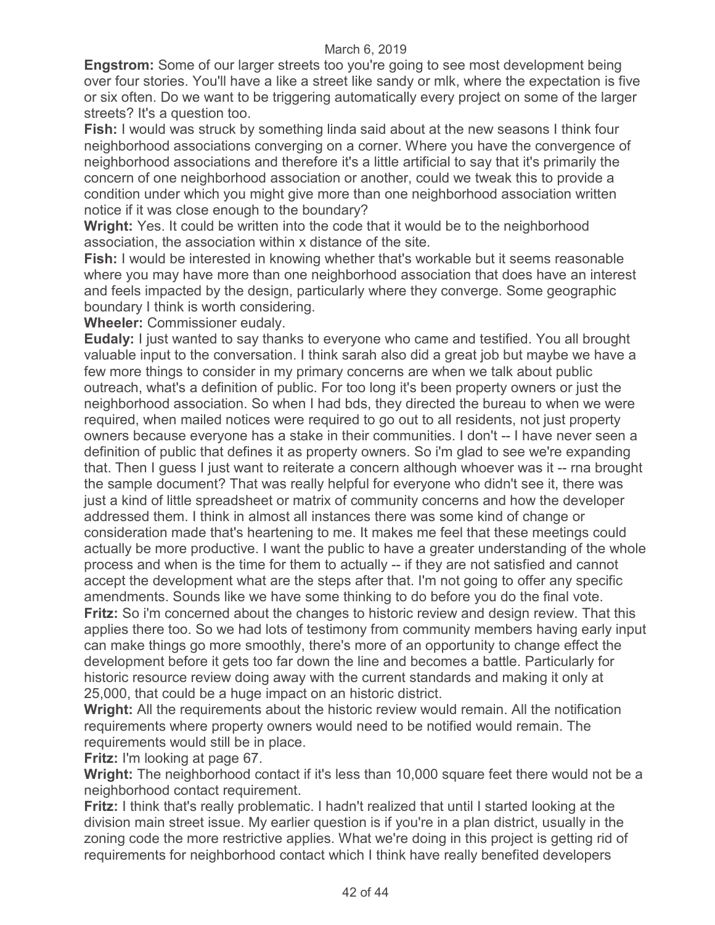**Engstrom:** Some of our larger streets too you're going to see most development being over four stories. You'll have a like a street like sandy or mlk, where the expectation is five or six often. Do we want to be triggering automatically every project on some of the larger streets? It's a question too.

**Fish:** I would was struck by something linda said about at the new seasons I think four neighborhood associations converging on a corner. Where you have the convergence of neighborhood associations and therefore it's a little artificial to say that it's primarily the concern of one neighborhood association or another, could we tweak this to provide a condition under which you might give more than one neighborhood association written notice if it was close enough to the boundary?

**Wright:** Yes. It could be written into the code that it would be to the neighborhood association, the association within x distance of the site.

**Fish:** I would be interested in knowing whether that's workable but it seems reasonable where you may have more than one neighborhood association that does have an interest and feels impacted by the design, particularly where they converge. Some geographic boundary I think is worth considering.

**Wheeler:** Commissioner eudaly.

**Eudaly:** I just wanted to say thanks to everyone who came and testified. You all brought valuable input to the conversation. I think sarah also did a great job but maybe we have a few more things to consider in my primary concerns are when we talk about public outreach, what's a definition of public. For too long it's been property owners or just the neighborhood association. So when I had bds, they directed the bureau to when we were required, when mailed notices were required to go out to all residents, not just property owners because everyone has a stake in their communities. I don't -- I have never seen a definition of public that defines it as property owners. So i'm glad to see we're expanding that. Then I guess I just want to reiterate a concern although whoever was it -- rna brought the sample document? That was really helpful for everyone who didn't see it, there was just a kind of little spreadsheet or matrix of community concerns and how the developer addressed them. I think in almost all instances there was some kind of change or consideration made that's heartening to me. It makes me feel that these meetings could actually be more productive. I want the public to have a greater understanding of the whole process and when is the time for them to actually -- if they are not satisfied and cannot accept the development what are the steps after that. I'm not going to offer any specific amendments. Sounds like we have some thinking to do before you do the final vote. **Fritz:** So i'm concerned about the changes to historic review and design review. That this applies there too. So we had lots of testimony from community members having early input can make things go more smoothly, there's more of an opportunity to change effect the development before it gets too far down the line and becomes a battle. Particularly for historic resource review doing away with the current standards and making it only at 25,000, that could be a huge impact on an historic district.

**Wright:** All the requirements about the historic review would remain. All the notification requirements where property owners would need to be notified would remain. The requirements would still be in place.

**Fritz:** I'm looking at page 67.

**Wright:** The neighborhood contact if it's less than 10,000 square feet there would not be a neighborhood contact requirement.

**Fritz:** I think that's really problematic. I hadn't realized that until I started looking at the division main street issue. My earlier question is if you're in a plan district, usually in the zoning code the more restrictive applies. What we're doing in this project is getting rid of requirements for neighborhood contact which I think have really benefited developers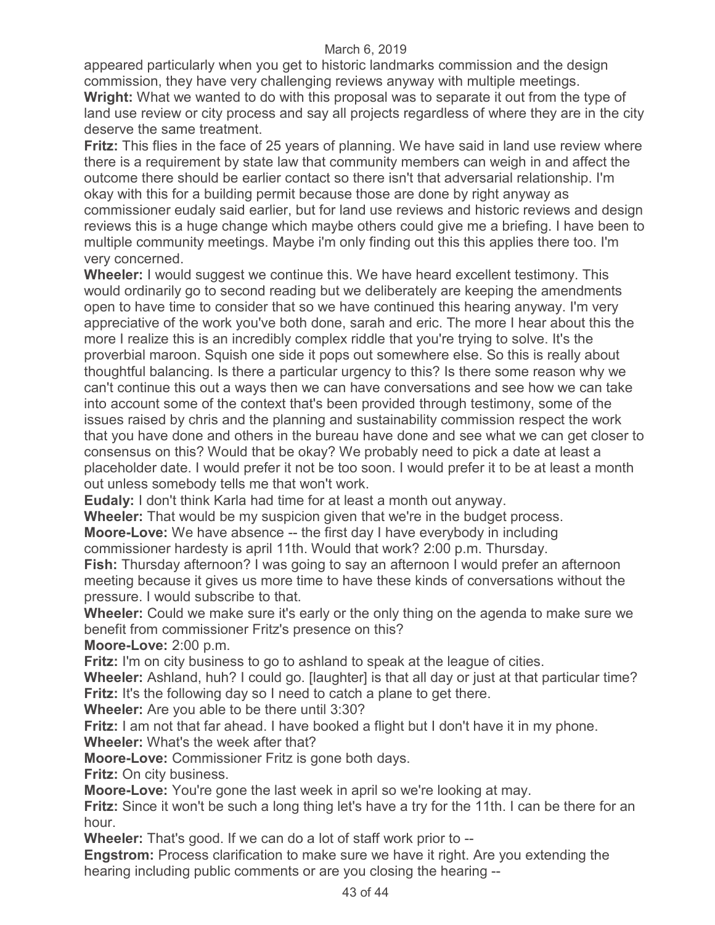appeared particularly when you get to historic landmarks commission and the design commission, they have very challenging reviews anyway with multiple meetings. **Wright:** What we wanted to do with this proposal was to separate it out from the type of

land use review or city process and say all projects regardless of where they are in the city deserve the same treatment.

**Fritz:** This flies in the face of 25 years of planning. We have said in land use review where there is a requirement by state law that community members can weigh in and affect the outcome there should be earlier contact so there isn't that adversarial relationship. I'm okay with this for a building permit because those are done by right anyway as commissioner eudaly said earlier, but for land use reviews and historic reviews and design reviews this is a huge change which maybe others could give me a briefing. I have been to multiple community meetings. Maybe i'm only finding out this this applies there too. I'm very concerned.

**Wheeler:** I would suggest we continue this. We have heard excellent testimony. This would ordinarily go to second reading but we deliberately are keeping the amendments open to have time to consider that so we have continued this hearing anyway. I'm very appreciative of the work you've both done, sarah and eric. The more I hear about this the more I realize this is an incredibly complex riddle that you're trying to solve. It's the proverbial maroon. Squish one side it pops out somewhere else. So this is really about thoughtful balancing. Is there a particular urgency to this? Is there some reason why we can't continue this out a ways then we can have conversations and see how we can take into account some of the context that's been provided through testimony, some of the issues raised by chris and the planning and sustainability commission respect the work that you have done and others in the bureau have done and see what we can get closer to consensus on this? Would that be okay? We probably need to pick a date at least a placeholder date. I would prefer it not be too soon. I would prefer it to be at least a month out unless somebody tells me that won't work.

**Eudaly:** I don't think Karla had time for at least a month out anyway.

**Wheeler:** That would be my suspicion given that we're in the budget process. **Moore-Love:** We have absence -- the first day I have everybody in including

commissioner hardesty is april 11th. Would that work? 2:00 p.m. Thursday.

**Fish:** Thursday afternoon? I was going to say an afternoon I would prefer an afternoon meeting because it gives us more time to have these kinds of conversations without the pressure. I would subscribe to that.

**Wheeler:** Could we make sure it's early or the only thing on the agenda to make sure we benefit from commissioner Fritz's presence on this?

**Moore-Love:** 2:00 p.m.

**Fritz:** I'm on city business to go to ashland to speak at the league of cities.

**Wheeler:** Ashland, huh? I could go. [laughter] is that all day or just at that particular time? **Fritz:** It's the following day so I need to catch a plane to get there.

**Wheeler:** Are you able to be there until 3:30?

**Fritz:** I am not that far ahead. I have booked a flight but I don't have it in my phone. **Wheeler:** What's the week after that?

**Moore-Love:** Commissioner Fritz is gone both days.

**Fritz:** On city business.

**Moore-Love:** You're gone the last week in april so we're looking at may.

**Fritz:** Since it won't be such a long thing let's have a try for the 11th. I can be there for an hour.

**Wheeler:** That's good. If we can do a lot of staff work prior to --

**Engstrom:** Process clarification to make sure we have it right. Are you extending the hearing including public comments or are you closing the hearing --